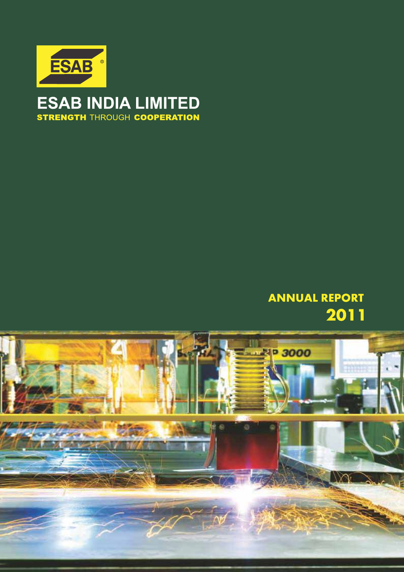

## **ESAB INDIA LIMITED STRENGTH THROUGH COOPERATION**

## **ANNUAL REPORT** 2011

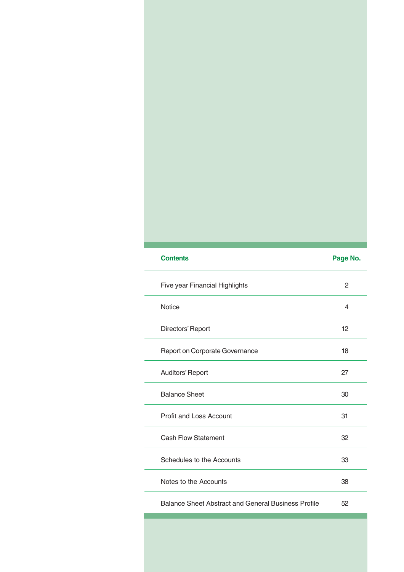| <b>Contents</b>                                            | Page No.       |
|------------------------------------------------------------|----------------|
| Five year Financial Highlights                             | $\overline{2}$ |
| <b>Notice</b>                                              | 4              |
| Directors' Report                                          | 12             |
| Report on Corporate Governance                             | 18             |
| Auditors' Report                                           | 27             |
| <b>Balance Sheet</b>                                       | 30             |
| <b>Profit and Loss Account</b>                             | 31             |
| <b>Cash Flow Statement</b>                                 | 32             |
| Schedules to the Accounts                                  | 33             |
| Notes to the Accounts                                      | 38             |
| <b>Balance Sheet Abstract and General Business Profile</b> | 52             |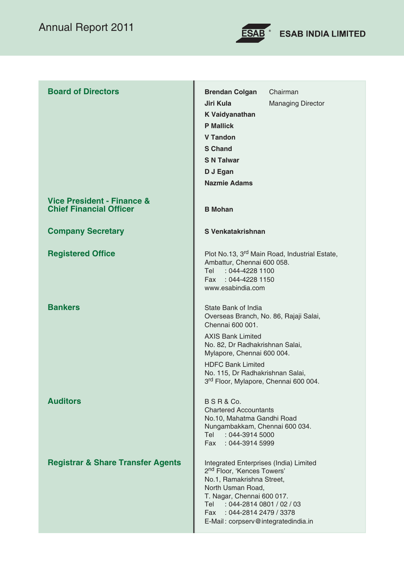

| <b>Board of Directors</b>                                               | <b>Brendan Colgan</b><br>Chairman<br>Jiri Kula<br><b>Managing Director</b><br><b>K Vaidyanathan</b><br><b>P</b> Mallick<br><b>V Tandon</b><br><b>S Chand</b><br><b>S N Talwar</b><br>D J Egan<br><b>Nazmie Adams</b>                                                                                |
|-------------------------------------------------------------------------|-----------------------------------------------------------------------------------------------------------------------------------------------------------------------------------------------------------------------------------------------------------------------------------------------------|
| <b>Vice President - Finance &amp;</b><br><b>Chief Financial Officer</b> | <b>B</b> Mohan                                                                                                                                                                                                                                                                                      |
| <b>Company Secretary</b>                                                | S Venkatakrishnan                                                                                                                                                                                                                                                                                   |
| <b>Registered Office</b>                                                | Plot No.13, 3rd Main Road, Industrial Estate,<br>Ambattur, Chennai 600 058.<br><b>Tel</b><br>$: 044 - 4228$ 1100<br>Fax : 044-4228 1150<br>www.esabindia.com                                                                                                                                        |
| <b>Bankers</b>                                                          | State Bank of India<br>Overseas Branch, No. 86, Rajaji Salai,<br>Chennai 600 001.<br><b>AXIS Bank Limited</b><br>No. 82, Dr Radhakrishnan Salai,<br>Mylapore, Chennai 600 004.<br><b>HDFC Bank Limited</b><br>No. 115, Dr Radhakrishnan Salai,<br>3 <sup>rd</sup> Floor, Mylapore, Chennai 600 004. |
| <b>Auditors</b>                                                         | BSR&Co.<br><b>Chartered Accountants</b><br>No.10, Mahatma Gandhi Road<br>Nungambakkam, Chennai 600 034.<br>Tel<br>$: 044 - 39145000$<br>Fax : 044-3914 5999                                                                                                                                         |
| <b>Registrar &amp; Share Transfer Agents</b>                            | Integrated Enterprises (India) Limited<br>2 <sup>nd</sup> Floor, 'Kences Towers'<br>No.1, Ramakrishna Street,<br>North Usman Road,<br>T. Nagar, Chennai 600 017.<br>Tel : 044-2814 0801 / 02 / 03<br>Fax : 044-2814 2479 / 3378<br>E-Mail: corpserv@integratedindia.in                              |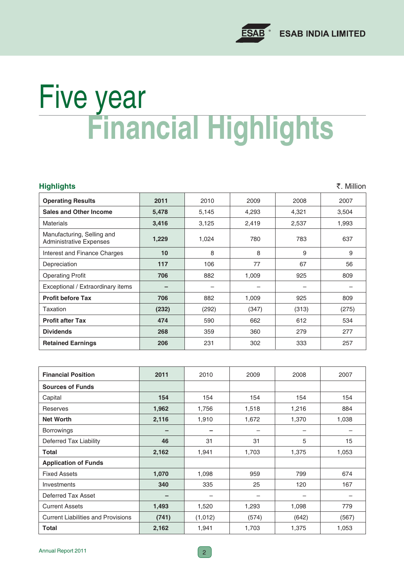

## Five year **Financial Highlights**

| <b>Highlights</b>                                            |       |       |       |       | ₹. Million |
|--------------------------------------------------------------|-------|-------|-------|-------|------------|
| <b>Operating Results</b>                                     | 2011  | 2010  | 2009  | 2008  | 2007       |
| <b>Sales and Other Income</b>                                | 5,478 | 5,145 | 4,293 | 4,321 | 3,504      |
| Materials                                                    | 3,416 | 3,125 | 2,419 | 2,537 | 1,993      |
| Manufacturing, Selling and<br><b>Administrative Expenses</b> | 1,229 | 1,024 | 780   | 783   | 637        |
| Interest and Finance Charges                                 | 10    | 8     | 8     | 9     | 9          |
| Depreciation                                                 | 117   | 106   | 77    | 67    | 56         |
| <b>Operating Profit</b>                                      | 706   | 882   | 1,009 | 925   | 809        |
| Exceptional / Extraordinary items                            |       |       |       |       |            |
| <b>Profit before Tax</b>                                     | 706   | 882   | 1,009 | 925   | 809        |
| Taxation                                                     | (232) | (292) | (347) | (313) | (275)      |
| <b>Profit after Tax</b>                                      | 474   | 590   | 662   | 612   | 534        |
| <b>Dividends</b>                                             | 268   | 359   | 360   | 279   | 277        |
| <b>Retained Earnings</b>                                     | 206   | 231   | 302   | 333   | 257        |
|                                                              |       |       |       |       |            |
|                                                              |       |       |       |       |            |

| <b>Financial Position</b>                 | 2011  | 2010    | 2009  | 2008  | 2007  |
|-------------------------------------------|-------|---------|-------|-------|-------|
| <b>Sources of Funds</b>                   |       |         |       |       |       |
| Capital                                   | 154   | 154     | 154   | 154   | 154   |
| <b>Reserves</b>                           | 1,962 | 1,756   | 1,518 | 1,216 | 884   |
| <b>Net Worth</b>                          | 2,116 | 1,910   | 1,672 | 1,370 | 1,038 |
| <b>Borrowings</b>                         |       |         |       | -     |       |
| Deferred Tax Liability                    | 46    | 31      | 31    | 5     | 15    |
| <b>Total</b>                              | 2,162 | 1,941   | 1,703 | 1,375 | 1,053 |
| <b>Application of Funds</b>               |       |         |       |       |       |
| <b>Fixed Assets</b>                       | 1,070 | 1,098   | 959   | 799   | 674   |
| Investments                               | 340   | 335     | 25    | 120   | 167   |
| Deferred Tax Asset                        | -     |         | -     |       |       |
| <b>Current Assets</b>                     | 1,493 | 1,520   | 1,293 | 1,098 | 779   |
| <b>Current Liabilities and Provisions</b> | (741) | (1,012) | (574) | (642) | (567) |
| <b>Total</b>                              | 2,162 | 1,941   | 1,703 | 1,375 | 1,053 |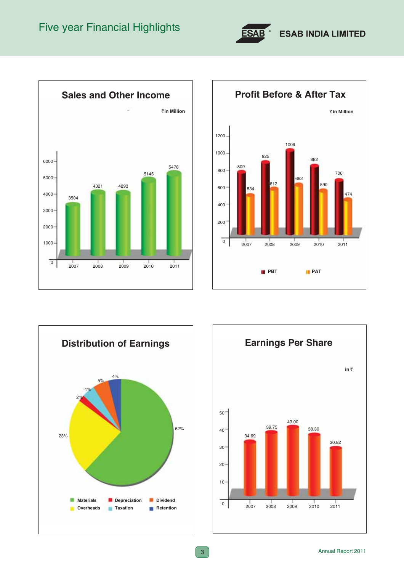## Five year Financial Highlights









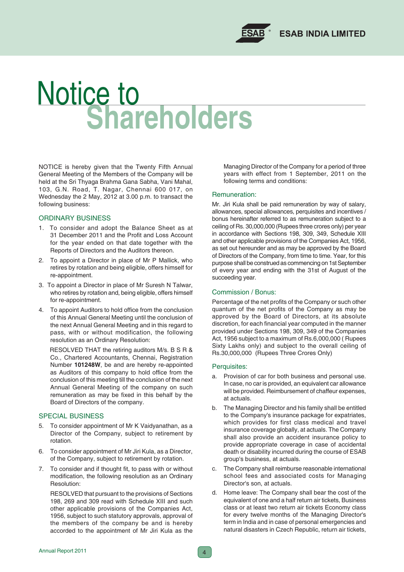

## Notice to **Shareholders**

NOTICE is hereby given that the Twenty Fifth Annual General Meeting of the Members of the Company will be held at the Sri Thyaga Brahma Gana Sabha, Vani Mahal, 103, G.N. Road, T. Nagar, Chennai 600 017, on Wednesday the 2 May, 2012 at 3.00 p.m. to transact the following business:

## ORDINARY BUSINESS

- 1. To consider and adopt the Balance Sheet as at 31 December 2011 and the Profit and Loss Account for the year ended on that date together with the Reports of Directors and the Auditors thereon.
- 2. To appoint a Director in place of Mr P Mallick, who retires by rotation and being eligible, offers himself for re-appointment.
- 3. To appoint a Director in place of Mr Suresh N Talwar, who retires by rotation and, being eligible, offers himself for re-appointment.
- 4. To appoint Auditors to hold office from the conclusion of this Annual General Meeting until the conclusion of the next Annual General Meeting and in this regard to pass, with or without modification, the following resolution as an Ordinary Resolution:

 RESOLVED THAT the retiring auditors M/s. B S R & Co., Chartered Accountants, Chennai, Registration Number **101248W**, be and are hereby re-appointed as Auditors of this company to hold office from the conclusion of this meeting till the conclusion of the next Annual General Meeting of the company on such remuneration as may be fixed in this behalf by the Board of Directors of the company.

## SPECIAL BUSINESS

- 5. To consider appointment of Mr K Vaidyanathan, as a Director of the Company, subject to retirement by rotation.
- 6. To consider appointment of Mr Jiri Kula, as a Director, of the Company, subject to retirement by rotation.
- 7. To consider and if thought fit, to pass with or without modification, the following resolution as an Ordinary Resolution:

RESOLVED that pursuant to the provisions of Sections 198, 269 and 309 read with Schedule XIII and such other applicable provisions of the Companies Act, 1956, subject to such statutory approvals, approval of the members of the company be and is hereby accorded to the appointment of Mr Jiri Kula as the Managing Director of the Company for a period of three years with effect from 1 September, 2011 on the following terms and conditions:

## Remuneration:

Mr. Jiri Kula shall be paid remuneration by way of salary, allowances, special allowances, perquisites and incentives / bonus hereinafter referred to as remuneration subject to a ceiling of Rs. 30,000,000 (Rupees three crores only) per year in accordance with Sections 198, 309, 349, Schedule XIII and other applicable provisions of the Companies Act, 1956, as set out hereunder and as may be approved by the Board of Directors of the Company, from time to time. Year, for this purpose shall be construed as commencing on 1st September of every year and ending with the 31st of August of the succeeding year.

## Commission / Bonus:

Percentage of the net profits of the Company or such other quantum of the net profits of the Company as may be approved by the Board of Directors, at its absolute discretion, for each financial year computed in the manner provided under Sections 198, 309, 349 of the Companies Act, 1956 subject to a maximum of Rs.6,000,000 ( Rupees Sixty Lakhs only) and subject to the overall ceiling of Rs.30,000,000 (Rupees Three Crores Only)

## Perquisites:

- a. Provision of car for both business and personal use. In case, no car is provided, an equivalent car allowance will be provided. Reimbursement of chaffeur expenses, at actuals.
- b. The Managing Director and his family shall be entitled to the Company's insurance package for expatriates, which provides for first class medical and travel insurance coverage globally, at actuals. The Company shall also provide an accident insurance policy to provide appropriate coverage in case of accidental death or disability incurred during the course of ESAB group's business, at actuals.
- c. The Company shall reimburse reasonable international school fees and associated costs for Managing Director's son, at actuals.
- d. Home leave: The Company shall bear the cost of the equivalent of one and a half return air tickets, Business class or at least two return air tickets Economy class for every twelve months of the Managing Director's term in India and in case of personal emergencies and natural disasters in Czech Republic, return air tickets,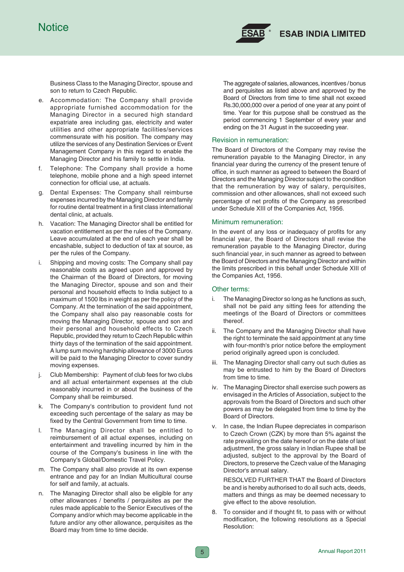

Business Class to the Managing Director, spouse and son to return to Czech Republic.

- e. Accommodation: The Company shall provide appropriate furnished accommodation for the Managing Director in a secured high standard expatriate area including gas, electricity and water utilities and other appropriate facilities/services commensurate with his position. The company may utilize the services of any Destination Services or Event Management Company in this regard to enable the Managing Director and his family to settle in India.
- f. Telephone: The Company shall provide a home telephone, mobile phone and a high speed internet connection for official use, at actuals.
- g. Dental Expenses: The Company shall reimburse expenses incurred by the Managing Director and family for routine dental treatment in a first class international dental clinic, at actuals.
- h. Vacation: The Managing Director shall be entitled for vacation entitlement as per the rules of the Company. Leave accumulated at the end of each year shall be encashable, subject to deduction of tax at source, as per the rules of the Company.
- Shipping and moving costs: The Company shall pay reasonable costs as agreed upon and approved by the Chairman of the Board of Directors, for moving the Managing Director, spouse and son and their personal and household effects to India subject to a maximum of 1500 lbs in weight as per the policy of the Company. At the termination of the said appointment, the Company shall also pay reasonable costs for moving the Managing Director, spouse and son and their personal and household effects to Czech Republic, provided they return to Czech Republic within thirty days of the termination of the said appointment. A lump sum moving hardship allowance of 3000 Euros will be paid to the Managing Director to cover sundry moving expenses.
- j. Club Membership: Payment of club fees for two clubs and all actual entertainment expenses at the club reasonably incurred in or about the business of the Company shall be reimbursed.
- k. The Company's contribution to provident fund not exceeding such percentage of the salary as may be fixed by the Central Government from time to time.
- The Managing Director shall be entitled to reimbursement of all actual expenses, including on entertainment and travelling incurred by him in the course of the Company's business in line with the Company's Global/Domestic Travel Policy.
- m. The Company shall also provide at its own expense entrance and pay for an Indian Multicultural course for self and family, at actuals.
- n. The Managing Director shall also be eligible for any other allowances / benefits / perquisites as per the rules made applicable to the Senior Executives of the Company and/or which may become applicable in the future and/or any other allowance, perquisites as the Board may from time to time decide.

The aggregate of salaries, allowances, incentives / bonus and perquisites as listed above and approved by the Board of Directors from time to time shall not exceed Rs.30,000,000 over a period of one year at any point of time. Year for this purpose shall be construed as the period commencing 1 September of every year and ending on the 31 August in the succeeding year.

## Revision in remuneration:

The Board of Directors of the Company may revise the remuneration payable to the Managing Director, in any financial year during the currency of the present tenure of office, in such manner as agreed to between the Board of Directors and the Managing Director subject to the condition that the remuneration by way of salary, perquisites, commission and other allowances, shall not exceed such percentage of net profits of the Company as prescribed under Schedule XIII of the Companies Act, 1956.

## Minimum remuneration:

In the event of any loss or inadequacy of profits for any financial year, the Board of Directors shall revise the remuneration payable to the Managing Director, during such financial year, in such manner as agreed to between the Board of Directors and the Managing Director and within the limits prescribed in this behalf under Schedule XIII of the Companies Act, 1956.

## Other terms:

- i. The Managing Director so long as he functions as such, shall not be paid any sitting fees for attending the meetings of the Board of Directors or committees thereof.
- ii. The Company and the Managing Director shall have the right to terminate the said appointment at any time with four-month's prior notice before the employment period originally agreed upon is concluded.
- iii. The Managing Director shall carry out such duties as may be entrusted to him by the Board of Directors from time to time.
- iv. The Managing Director shall exercise such powers as envisaged in the Articles of Association, subject to the approvals from the Board of Directors and such other powers as may be delegated from time to time by the Board of Directors.
- In case, the Indian Rupee depreciates in comparison to Czech Crown (CZK) by more than 5% against the rate prevailing on the date hereof or on the date of last adjustment, the gross salary in Indian Rupee shall be adjusted, subject to the approval by the Board of Directors, to preserve the Czech value of the Managing Director's annual salary.

RESOLVED FURTHER THAT the Board of Directors be and is hereby authorised to do all such acts, deeds, matters and things as may be deemed necessary to give effect to the above resolution.

8. To consider and if thought fit, to pass with or without modification, the following resolutions as a Special Resolution: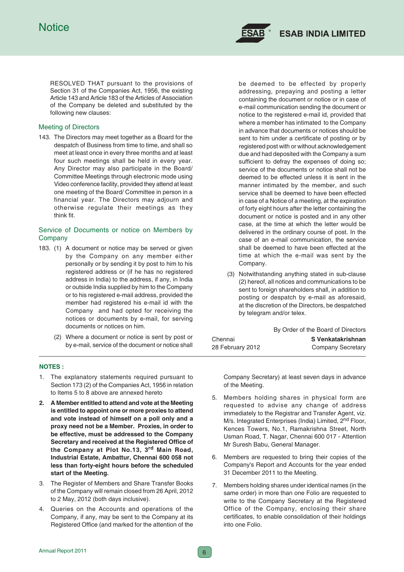

RESOLVED THAT pursuant to the provisions of Section 31 of the Companies Act, 1956, the existing Article 143 and Article 183 of the Articles of Association of the Company be deleted and substituted by the following new clauses:

## Meeting of Directors

143. The Directors may meet together as a Board for the despatch of Business from time to time, and shall so meet at least once in every three months and at least four such meetings shall be held in every year. Any Director may also participate in the Board/ Committee Meetings through electronic mode using Video conference facility, provided they attend at least one meeting of the Board/ Committee in person in a financial year. The Directors may adjourn and otherwise regulate their meetings as they think fit.

## Service of Documents or notice on Members by Company

- 183. (1) A document or notice may be served or given by the Company on any member either personally or by sending it by post to him to his registered address or (if he has no registered address in India) to the address, if any, in India or outside India supplied by him to the Company or to his registered e-mail address, provided the member had registered his e-mail id with the Company and had opted for receiving the notices or documents by e-mail, for serving documents or notices on him.
	- (2) Where a document or notice is sent by post or by e-mail, service of the document or notice shall

be deemed to be effected by properly addressing, prepaying and posting a letter containing the document or notice or in case of e-mail communication sending the document or notice to the registered e-mail id, provided that where a member has intimated to the Company in advance that documents or notices should be sent to him under a certificate of posting or by registered post with or without acknowledgement due and had deposited with the Company a sum sufficient to defray the expenses of doing so; service of the documents or notice shall not be deemed to be effected unless it is sent in the manner intimated by the member, and such service shall be deemed to have been effected in case of a Notice of a meeting, at the expiration of forty eight hours after the letter containing the document or notice is posted and in any other case, at the time at which the letter would be delivered in the ordinary course of post. In the case of an e-mail communication, the service shall be deemed to have been effected at the time at which the e-mail was sent by the Company.

(3) Notwithstanding anything stated in sub-clause (2) hereof, all notices and communications to be sent to foreign shareholders shall, in addition to posting or despatch by e-mail as aforesaid, at the discretion of the Directors, be despatched by telegram and/or telex.

|                  | By Order of the Board of Directors |
|------------------|------------------------------------|
| Chennai          | S Venkatakrishnan                  |
| 28 February 2012 | <b>Company Secretary</b>           |

## **NOTES :**

- 1. The explanatory statements required pursuant to Section 173 (2) of the Companies Act, 1956 in relation to Items 5 to 8 above are annexed hereto
- **2. A Member entitled to attend and vote at the Meeting is entitled to appoint one or more proxies to attend and vote instead of himself on a poll only and a proxy need not be a Member. Proxies, in order to be effective, must be addressed to the Company Secretary and received at the Registered Office of the Company at Plot No.13, 3rd Main Road, Industrial Estate, Ambattur, Chennai 600 058 not less than forty-eight hours before the scheduled start of the Meeting.**
- 3. The Register of Members and Share Transfer Books of the Company will remain closed from 26 April, 2012 to 2 May, 2012 (both days inclusive).
- 4. Queries on the Accounts and operations of the Company, if any, may be sent to the Company at its Registered Office (and marked for the attention of the

Company Secretary) at least seven days in advance of the Meeting.

- 5. Members holding shares in physical form are requested to advise any change of address immediately to the Registrar and Transfer Agent, viz. M/s. Integrated Enterprises (India) Limited, 2<sup>nd</sup> Floor, Kences Towers, No.1, Ramakrishna Street, North Usman Road, T. Nagar, Chennai 600 017 - Attention Mr Suresh Babu, General Manager.
- 6. Members are requested to bring their copies of the Company's Report and Accounts for the year ended 31 December 2011 to the Meeting.
- 7. Members holding shares under identical names (in the same order) in more than one Folio are requested to write to the Company Secretary at the Registered Office of the Company, enclosing their share certificates, to enable consolidation of their holdings into one Folio.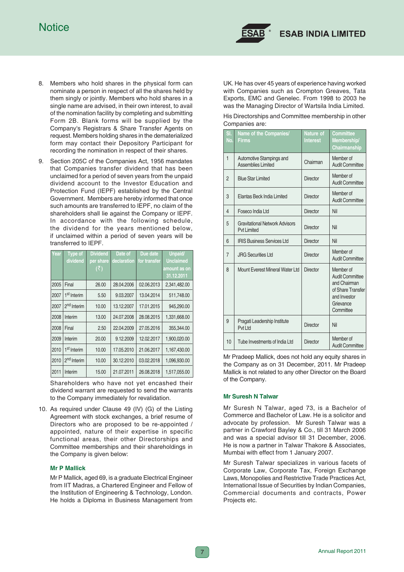- 8. Members who hold shares in the physical form can nominate a person in respect of all the shares held by them singly or jointly. Members who hold shares in a single name are advised, in their own interest, to avail of the nomination facility by completing and submitting Form 2B. Blank forms will be supplied by the Company's Registrars & Share Transfer Agents on request. Members holding shares in the dematerialized form may contact their Depository Participant for recording the nomination in respect of their shares.
- 9. Section 205C of the Companies Act, 1956 mandates that Companies transfer dividend that has been unclaimed for a period of seven years from the unpaid dividend account to the Investor Education and Protection Fund (IEPF) established by the Central Government. Members are hereby informed that once such amounts are transferred to IEPF, no claim of the shareholders shall lie against the Company or IEPF. In accordance with the following schedule, the dividend for the years mentioned below, if unclaimed within a period of seven years will be transferred to IEPF.

| Year | <b>Type of</b>          | <b>Dividend</b>      | Date of     | Due date     | Unpaid/          |
|------|-------------------------|----------------------|-------------|--------------|------------------|
|      | dividend                | per share            | declaration | for transfer | <b>Unclaimed</b> |
|      |                         | $(\overline{\zeta})$ |             |              | amount as on     |
|      |                         |                      |             |              | 31.12.2011       |
| 2005 | Final                   | 26.00                | 28.04.2006  | 02.06.2013   | 2,341,482.00     |
| 2007 | 1 <sup>st</sup> Interim | 5.50                 | 9.03.2007   | 13.04.2014   | 511,748.00       |
| 2007 | 2 <sup>nd</sup> Interim | 10.00                | 13.12.2007  | 17.01.2015   | 945,290.00       |
| 2008 | Interim                 | 13.00                | 24.07.2008  | 28.08.2015   | 1,331,668.00     |
| 2008 | Final                   | 2.50                 | 22.04.2009  | 27.05.2016   | 355,344.00       |
| 2009 | Interim                 | 20.00                | 9.12.2009   | 12.02.2017   | 1,900,020.00     |
| 2010 | 1 <sup>st</sup> Interim | 10.00                | 17.05.2010  | 21.06.2017   | 1,167,430.00     |
| 2010 | 2 <sup>nd</sup> Interim | 10.00                | 30.12.2010  | 03.02.2018   | 1,096,930.00     |
| 2011 | Interim                 | 15.00                | 21.07.2011  | 26.08.2018   | 1,517,055.00     |

Shareholders who have not yet encashed their dividend warrant are requested to send the warrants to the Company immediately for revalidation.

10. As required under Clause 49 (IV) (G) of the Listing Agreement with stock exchanges, a brief resume of Directors who are proposed to be re-appointed / appointed, nature of their expertise in specific functional areas, their other Directorships and Committee memberships and their shareholdings in the Company is given below:

## **Mr P Mallick**

Mr P Mallick, aged 69, is a graduate Electrical Engineer from IIT Madras, a Chartered Engineer and Fellow of the Institution of Engineering & Technology, London. He holds a Diploma in Business Management from UK. He has over 45 years of experience having worked with Companies such as Crompton Greaves, Tata Exports, EMC and Genelec. From 1998 to 2003 he was the Managing Director of Wartsila India Limited.

His Directorships and Committee membership in other Companies are:

| SI.<br>No.     | Name of the Companies/<br><b>Firms</b>                      | Nature of<br><b>Interest</b> | <b>Committee</b><br>Membership/<br><b>Chairmanship</b>                                                             |
|----------------|-------------------------------------------------------------|------------------------------|--------------------------------------------------------------------------------------------------------------------|
| $\mathbf{1}$   | Automotive Stampings and<br><b>Assemblies Limited</b>       | Chairman                     | Member of<br><b>Audit Committee</b>                                                                                |
| $\overline{2}$ | <b>Blue Star Limited</b>                                    | Director                     | Member of<br><b>Audit Committee</b>                                                                                |
| 3              | Elantas Beck India Limited                                  | <b>Director</b>              | Member of<br><b>Audit Committee</b>                                                                                |
| $\overline{4}$ | Foseco India Ltd                                            | Director                     | Nil                                                                                                                |
| 5              | <b>Gravitational Network Advisors</b><br><b>Pvt Limited</b> | <b>Director</b>              | Nil                                                                                                                |
| 6              | <b>IRIS Business Services Ltd</b>                           | Director                     | Nil                                                                                                                |
| $\overline{7}$ | <b>JRG Securities Ltd</b>                                   | <b>Director</b>              | Member of<br><b>Audit Committee</b>                                                                                |
| 8              | Mount Everest Mineral Water Ltd                             | <b>Director</b>              | Member of<br><b>Audit Committee</b><br>and Chairman<br>of Share Transfer<br>and Investor<br>Grievance<br>Committee |
| 9              | Pragati Leadership Institute<br>Pvt Ltd                     | Director                     | Nil                                                                                                                |
| 10             | Tube Investments of India Ltd                               | Director                     | Member of<br><b>Audit Committee</b>                                                                                |

Mr Pradeep Mallick, does not hold any equity shares in the Company as on 31 December, 2011. Mr Pradeep Mallick is not related to any other Director on the Board of the Company.

## **Mr Suresh N Talwar**

Mr Suresh N Talwar, aged 73, is a Bachelor of Commerce and Bachelor of Law. He is a solicitor and advocate by profession. Mr Suresh Talwar was a partner in Crawford Bayley & Co., till 31 March 2006 and was a special advisor till 31 December, 2006. He is now a partner in Talwar Thakore & Associates, Mumbai with effect from 1 January 2007.

Mr Suresh Talwar specializes in various facets of Corporate Law, Corporate Tax, Foreign Exchange Laws, Monopolies and Restrictive Trade Practices Act, International Issue of Securities by Indian Companies, Commercial documents and contracts, Power Projects etc.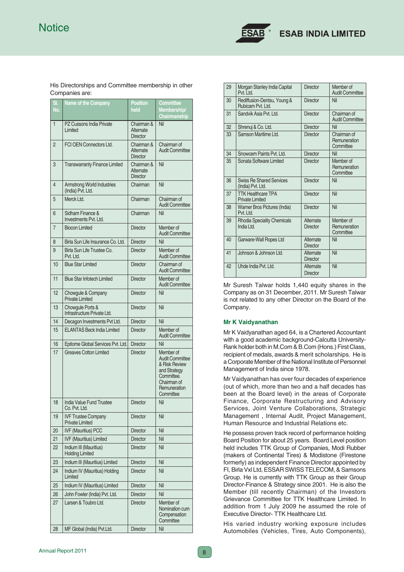## **Notice**



| His Directorships and Committee membership in other |  |
|-----------------------------------------------------|--|
| Companies are:                                      |  |

| SI.            | Name of the Company                                  | Position                                   | <b>Committee</b>                                                                                                               |
|----------------|------------------------------------------------------|--------------------------------------------|--------------------------------------------------------------------------------------------------------------------------------|
| No.            |                                                      | held                                       | Membership/                                                                                                                    |
|                |                                                      |                                            | Chairmanship                                                                                                                   |
| 1              | <b>PZ Cussons India Private</b><br>Limited           | Chairman &<br>Alternate<br><b>Director</b> | Nil                                                                                                                            |
| $\overline{2}$ | FCI OEN Connectors Ltd.                              | Chairman &<br>Alternate<br><b>Director</b> | Chairman of<br><b>Audit Committee</b>                                                                                          |
| 3              | <b>Transwarranty Finance Limited</b>                 | Chairman &<br>Alternate<br><b>Director</b> | Nil                                                                                                                            |
| 4              | Armstrong World Industries<br>(India) Pvt. Ltd.      | Chairman                                   | Nil                                                                                                                            |
| 5              | Merck Ltd.                                           | Chairman                                   | Chairman of<br><b>Audit Committee</b>                                                                                          |
| 6              | Sidham Finance &<br>Investments Pvt. Ltd.            | Chairman                                   | Nil                                                                                                                            |
| $\overline{7}$ | <b>Biocon Limited</b>                                | <b>Director</b>                            | Member of<br><b>Audit Committee</b>                                                                                            |
| 8              | Birla Sun Life Insurance Co. Ltd.                    | <b>Director</b>                            | Nil                                                                                                                            |
| 9              | Birla Sun Life Trustee Co.<br>Pvt. Ltd.              | <b>Director</b>                            | Member of<br><b>Audit Committee</b>                                                                                            |
| 10             | <b>Blue Star Limited</b>                             | <b>Director</b>                            | Chairman of<br><b>Audit Committee</b>                                                                                          |
| 11             | <b>Blue Star Infotech Limited</b>                    | <b>Director</b>                            | Member of<br><b>Audit Committee</b>                                                                                            |
| 12             | Chowgule & Company<br><b>Private Limited</b>         | <b>Director</b>                            | Nil                                                                                                                            |
| 13             | Chowgule Ports &<br>Infrastructure Private Ltd.      | <b>Director</b>                            | Nil                                                                                                                            |
| 14             | Decagon Investments Pvt Ltd.                         | <b>Director</b>                            | Nil                                                                                                                            |
| 15             | <b>ELANTAS Beck India Limited</b>                    | <b>Director</b>                            | Member of<br><b>Audit Committee</b>                                                                                            |
| 16             | Epitome Global Services Pvt. Ltd.                    | <b>Director</b>                            | Nil                                                                                                                            |
| 17             | <b>Greaves Cotton Limited</b>                        | <b>Director</b>                            | Member of<br><b>Audit Committee</b><br>& Risk Review<br>and Strategy<br>Committee.<br>Chairman of<br>Remuneration<br>Committee |
| 18             | India Value Fund Trustee<br>Co. Pvt. Ltd.            | Director                                   | Nil                                                                                                                            |
| 19             | <b>IVF Trustee Company</b><br><b>Private Limited</b> | <b>Director</b>                            | Nil                                                                                                                            |
| 20             | <b>IVF (Mauritius) PCC</b>                           | <b>Director</b>                            | Nil                                                                                                                            |
| 21             | <b>IVF (Mauritius) Limited</b>                       | Director                                   | Nil                                                                                                                            |
| 22             | Indium III (Mauritius)<br><b>Holding Limited</b>     | <b>Director</b>                            | Nil                                                                                                                            |
| 23             | Indium III (Mauritius) Limited                       | <b>Director</b>                            | Nil                                                                                                                            |
| 24             | Indium IV (Mauritius) Holding<br>Limited             | <b>Director</b>                            | Nil                                                                                                                            |
| 25             | Indium IV (Mauritius) Limited                        | <b>Director</b>                            | Nil                                                                                                                            |
| 26             | John Fowler (India) Pvt. Ltd.                        | <b>Director</b>                            | Nil                                                                                                                            |
| 27             | Larsen & Toubro Ltd.                                 | <b>Director</b>                            | Member of<br>Nomination cum<br>Compensation<br>Committee                                                                       |
| 28             | MF Global (India) Pvt.Ltd.                           | Director                                   | Nil                                                                                                                            |

| 29 | Morgan Stanley India Capital<br>Pvt. I td.           | <b>Director</b>              | Member of<br><b>Audit Committee</b>      |
|----|------------------------------------------------------|------------------------------|------------------------------------------|
| 30 | Rediffusion-Dentsu, Young &<br>Rubicam Pvt. Ltd.     | <b>Director</b>              | Nil                                      |
| 31 | Sandvik Asia Pvt. Ltd.                               | Director                     | Chairman of<br><b>Audit Committee</b>    |
| 32 | Shrenuj & Co. Ltd.                                   | <b>Director</b>              | Nil                                      |
| 33 | Samson Maritime I td.                                | <b>Director</b>              | Chairman of<br>Remuneration<br>Committee |
| 34 | Snowcem Paints Pvt. I td.                            | <b>Director</b>              | Nil                                      |
| 35 | Sonata Software Limited                              | <b>Director</b>              | Member of<br>Remuneration<br>Committee   |
| 36 | <b>Swiss Re Shared Services</b><br>(India) Pvt. Ltd. | <b>Director</b>              | Nil                                      |
| 37 | <b>TTK Healthcare TPA</b><br><b>Private Limited</b>  | Director                     | Nil                                      |
| 38 | Warner Bros Pictures (India)<br>Pvt. I td.           | <b>Director</b>              | Nil                                      |
| 39 | <b>Rhodia Speciality Chemicals</b><br>India $I$ td.  | Alternate<br><b>Director</b> | Member of<br>Remuneration<br>Committee   |
| 40 | Garware-Wall Ropes Ltd                               | Alternate<br><b>Director</b> | Nil                                      |
| 41 | Johnson & Johnson Ltd.                               | Alternate<br>Director        | Nil                                      |
| 42 | Uhde India Pvt. Ltd.                                 | Alternate<br>Director        | Nil                                      |

Mr Suresh Talwar holds 1,440 equity shares in the Company as on 31 December, 2011. Mr Suresh Talwar is not related to any other Director on the Board of the Company.

## **Mr K Vaidyanathan**

Mr K Vaidyanathan aged 64, is a Chartered Accountant with a good academic background-Calcutta University-Rank holder both in M.Com & B.Com (Hons.) First Class, recipient of medals, awards & merit scholarships. He is a Corporate Member of the National Institute of Personnel Management of India since 1978.

Mr Vaidyanathan has over four decades of experience (out of which, more than two and a half decades has been at the Board level) in the areas of Corporate Finance, Corporate Restructuring and Advisory Services, Joint Venture Collaborations, Strategic Management , Internal Audit, Project Management, Human Resource and Industrial Relations etc.

He possess proven track record of performance holding Board Position for about 25 years. Board Level position held includes TTK Group of Companies, Modi Rubber (makers of Continental Tires) & Modistone (Firestone formerly) as independent Finance Director appointed by FI, Birla Vxl Ltd, ESSAR SWISS TELECOM, & Samsons Group. He is currently with TTK Group as their Group Director-Finance & Strategy since 2001. He is also the Member (till recently Chairman) of the Investors Grievance Committee for TTK Healthcare Limited. In addition from 1 July 2009 he assumed the role of Executive Director- TTK Healthcare Ltd.

His varied industry working exposure includes Automobiles (Vehicles, Tires, Auto Components),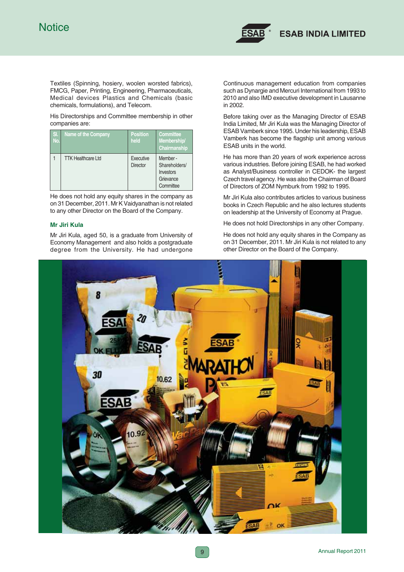

Textiles (Spinning, hosiery, woolen worsted fabrics), FMCG, Paper, Printing, Engineering, Pharmaceuticals, Medical devices Plastics and Chemicals (basic chemicals, formulations), and Telecom.

His Directorships and Committee membership in other companies are:

| SI.<br>No. | <b>Name of the Company</b> | <b>Position</b><br>held      | <b>Committee</b><br>Membership/<br>Chairmanship                  |
|------------|----------------------------|------------------------------|------------------------------------------------------------------|
|            | <b>TTK Healthcare Ltd</b>  | Executive<br><b>Director</b> | Member -<br>Shareholders/<br>Investors<br>Grievance<br>Committee |

He does not hold any equity shares in the company as on 31 December, 2011. Mr K Vaidyanathan is not related to any other Director on the Board of the Company.

## **Mr Jiri Kula**

Mr Jiri Kula, aged 50, is a graduate from University of Economy Management and also holds a postgraduate degree from the University. He had undergone

Continuous management education from companies such as Dynargie and Mercuri International from 1993 to 2010 and also IMD executive development in Lausanne in 2002.

Before taking over as the Managing Director of ESAB India Limited, Mr Jiri Kula was the Managing Director of ESAB Vamberk since 1995. Under his leadership, ESAB Vamberk has become the flagship unit among various ESAB units in the world.

He has more than 20 years of work experience across various industries. Before joining ESAB, he had worked as Analyst/Business controller in CEDOK- the largest Czech travel agency. He was also the Chairman of Board of Directors of ZOM Nymburk from 1992 to 1995.

Mr Jiri Kula also contributes articles to various business books in Czech Republic and he also lectures students on leadership at the University of Economy at Prague.

He does not hold Directorships in any other Company.

He does not hold any equity shares in the Company as on 31 December, 2011. Mr Jiri Kula is not related to any other Director on the Board of the Company.

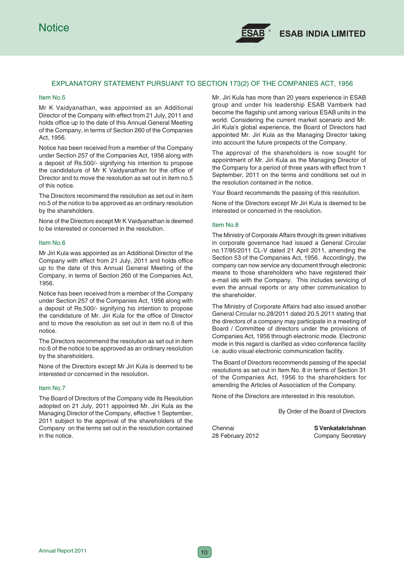

## EXPLANATORY STATEMENT PURSUANT TO SECTION 173(2) OF THE COMPANIES ACT, 1956

### Item No.5

Mr K Vaidyanathan, was appointed as an Additional Director of the Company with effect from 21 July, 2011 and holds office up to the date of this Annual General Meeting of the Company, in terms of Section 260 of the Companies Act, 1956.

Notice has been received from a member of the Company under Section 257 of the Companies Act, 1956 along with a deposit of Rs.500/- signifying his intention to propose the candidature of Mr K Vaidyanathan for the office of Director and to move the resolution as set out in item no.5 of this notice.

The Directors recommend the resolution as set out in item no.5 of the notice to be approved as an ordinary resolution by the shareholders.

None of the Directors except Mr K Vaidyanathan is deemed to be interested or concerned in the resolution.

### Item No.6

Mr Jiri Kula was appointed as an Additional Director of the Company with effect from 21 July, 2011 and holds office up to the date of this Annual General Meeting of the Company, in terms of Section 260 of the Companies Act, 1956.

Notice has been received from a member of the Company under Section 257 of the Companies Act, 1956 along with a deposit of Rs.500/- signifying his intention to propose the candidature of Mr. Jiri Kula for the office of Director and to move the resolution as set out in item no.6 of this notice.

The Directors recommend the resolution as set out in item no.6 of the notice to be approved as an ordinary resolution by the shareholders.

None of the Directors except Mr Jiri Kula is deemed to be interested or concerned in the resolution.

## Item No.7

The Board of Directors of the Company vide its Resolution adopted on 21 July, 2011 appointed Mr. Jiri Kula as the Managing Director of the Company, effective 1 September, 2011 subject to the approval of the shareholders of the Company on the terms set out in the resolution contained in the notice.

Mr. Jiri Kula has more than 20 years experience in ESAB group and under his leadership ESAB Vamberk had become the flagship unit among various ESAB units in the world. Considering the current market scenario and Mr. Jiri Kula's global experience, the Board of Directors had appointed Mr. Jiri Kula as the Managing Director taking into account the future prospects of the Company.

The approval of the shareholders is now sought for appointment of Mr. Jiri Kula as the Managing Director of the Company for a period of three years with effect from 1 September, 2011 on the terms and conditions set out in the resolution contained in the notice.

Your Board recommends the passing of this resolution.

None of the Directors except Mr Jiri Kula is deemed to be interested or concerned in the resolution.

## Item No.8

The Ministry of Corporate Affairs through its green initiatives in corporate governance had issued a General Circular no.17/95/2011 CL-V dated 21 April 2011, amending the Section 53 of the Companies Act, 1956. Accordingly, the company can now service any document through electronic means to those shareholders who have registered their e-mail ids with the Company. This includes servicing of even the annual reports or any other communication to the shareholder.

The Ministry of Corporate Affairs had also issued another General Circular no.28/2011 dated 20.5.2011 stating that the directors of a company may participate in a meeting of Board / Committee of directors under the provisions of Companies Act, 1956 through electronic mode. Electronic mode in this regard is clarified as video conference facility i.e. audio visual electronic communication facility.

The Board of Directors recommends passing of the special resolutions as set out in Item No. 8 in terms of Section 31 of the Companies Act, 1956 to the shareholders for amending the Articles of Association of the Company.

None of the Directors are interested in this resolution.

By Order of the Board of Directors

Chennai **S Venkatakrishnan** 28 February 2012 Company Secretary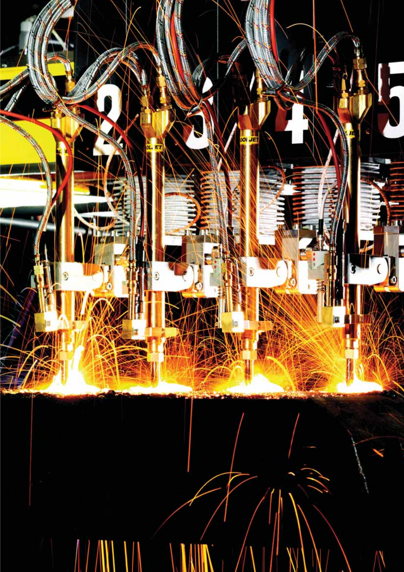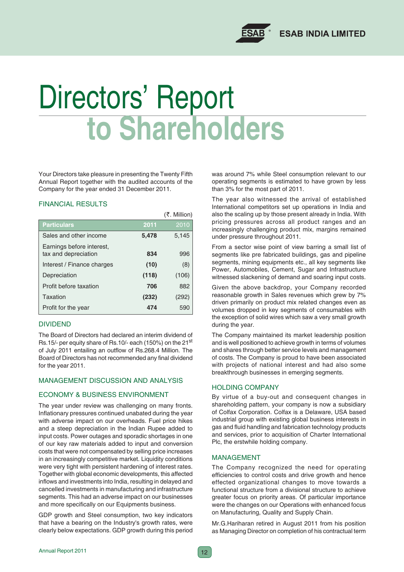

## Directors' Report **to Shareholders**

Your Directors take pleasure in presenting the Twenty Fifth Annual Report together with the audited accounts of the Company for the year ended 31 December 2011.

## FINANCIAL RESULTS

|                                                   |       | (₹. Million) |
|---------------------------------------------------|-------|--------------|
| <b>Particulars</b>                                | 2011  | 2010         |
| Sales and other income                            | 5,478 | 5,145        |
| Earnings before interest,<br>tax and depreciation | 834   | 996          |
| Interest / Finance charges                        | (10)  | (8)          |
| Depreciation                                      | (118) | (106)        |
| Profit before taxation                            | 706   | 882          |
| Taxation                                          | (232) | (292)        |
| Profit for the year                               | 474   | 590          |

## DIVIDEND

The Board of Directors had declared an interim dividend of Rs.15/- per equity share of Rs.10/- each (150%) on the 21<sup>st</sup> of July 2011 entailing an outflow of Rs.268.4 Million. The Board of Directors has not recommended any final dividend for the year 2011.

## MANAGEMENT DISCUSSION AND ANALYSIS

## ECONOMY & BUSINESS ENVIRONMENT

The year under review was challenging on many fronts. Inflationary pressures continued unabated during the year with adverse impact on our overheads. Fuel price hikes and a steep depreciation in the Indian Rupee added to input costs. Power outages and sporadic shortages in one of our key raw materials added to input and conversion costs that were not compensated by selling price increases in an increasingly competitive market. Liquidity conditions were very tight with persistent hardening of interest rates. Together with global economic developments, this affected inflows and investments into India, resulting in delayed and cancelled investments in manufacturing and infrastructure segments. This had an adverse impact on our businesses and more specifically on our Equipments business.

GDP growth and Steel consumption, two key indicators that have a bearing on the Industry's growth rates, were clearly below expectations. GDP growth during this period was around 7% while Steel consumption relevant to our operating segments is estimated to have grown by less than 3% for the most part of 2011.

The year also witnessed the arrival of established International competitors set up operations in India and also the scaling up by those present already in India. With pricing pressures across all product ranges and an increasingly challenging product mix, margins remained under pressure throughout 2011.

From a sector wise point of view barring a small list of segments like pre fabricated buildings, gas and pipeline segments, mining equipments etc., all key segments like Power, Automobiles, Cement, Sugar and Infrastructure witnessed slackening of demand and soaring input costs.

Given the above backdrop, your Company recorded reasonable growth in Sales revenues which grew by 7% driven primarily on product mix related changes even as volumes dropped in key segments of consumables with the exception of solid wires which saw a very small growth during the year.

The Company maintained its market leadership position and is well positioned to achieve growth in terms of volumes and shares through better service levels and management of costs. The Company is proud to have been associated with projects of national interest and had also some breakthrough businesses in emerging segments.

## HOLDING COMPANY

By virtue of a buy-out and consequent changes in shareholding pattern, your company is now a subsidiary of Colfax Corporation. Colfax is a Delaware, USA based industrial group with existing global business interests in gas and fluid handling and fabrication technology products and services, prior to acquisition of Charter International Plc, the erstwhile holding company.

## MANAGEMENT

The Company recognized the need for operating efficiencies to control costs and drive growth and hence effected organizational changes to move towards a functional structure from a divisional structure to achieve greater focus on priority areas. Of particular importance were the changes on our Operations with enhanced focus on Manufacturing, Quality and Supply Chain.

Mr.G.Hariharan retired in August 2011 from his position as Managing Director on completion of his contractual term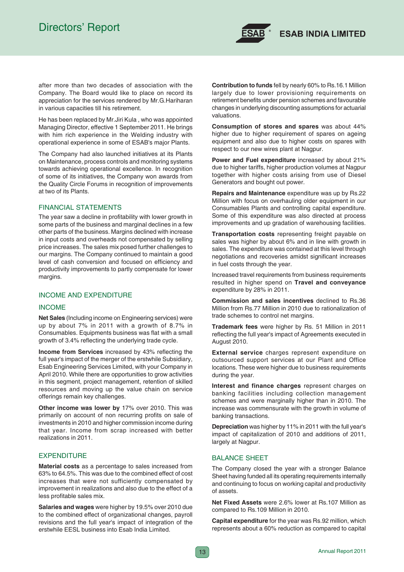

after more than two decades of association with the Company. The Board would like to place on record its appreciation for the services rendered by Mr.G.Hariharan in various capacities till his retirement.

He has been replaced by Mr.Jiri Kula , who was appointed Managing Director, effective 1 September 2011. He brings with him rich experience in the Welding industry with operational experience in some of ESAB's major Plants.

The Company had also launched initiatives at its Plants on Maintenance, process controls and monitoring systems towards achieving operational excellence. In recognition of some of its initiatives, the Company won awards from the Quality Circle Forums in recognition of improvements at two of its Plants.

## FINANCIAL STATEMENTS

The year saw a decline in profitability with lower growth in some parts of the business and marginal declines in a few other parts of the business. Margins declined with increase in input costs and overheads not compensated by selling price increases. The sales mix posed further challenges to our margins. The Company continued to maintain a good level of cash conversion and focused on efficiency and productivity improvements to partly compensate for lower margins.

## INCOME AND EXPENDITURE

## INCOME

**Net Sales** (Including income on Engineering services) were up by about 7% in 2011 with a growth of 8.7% in Consumables. Equipments business was flat with a small growth of 3.4% reflecting the underlying trade cycle.

**Income from Services** increased by 43% reflecting the full year's impact of the merger of the erstwhile Subsidiary, Esab Engineering Services Limited, with your Company in April 2010. While there are opportunities to grow activities in this segment, project management, retention of skilled resources and moving up the value chain on service offerings remain key challenges.

**Other income was lower by** 17% over 2010. This was primarily on account of non recurring profits on sale of investments in 2010 and higher commission income during that year. Income from scrap increased with better realizations in 2011.

## **EXPENDITURE**

**Material costs** as a percentage to sales increased from 63% to 64.5%. This was due to the combined effect of cost increases that were not sufficiently compensated by improvement in realizations and also due to the effect of a less profitable sales mix.

**Salaries and wages** were higher by 19.5% over 2010 due to the combined effect of organizational changes, payroll revisions and the full year's impact of integration of the erstwhile EESL business into Esab India Limited.

**Contribution to funds** fell by nearly 60% to Rs.16.1 Million largely due to lower provisioning requirements on retirement benefits under pension schemes and favourable changes in underlying discounting assumptions for actuarial valuations.

**Consumption of stores and spares** was about 44% higher due to higher requirement of spares on ageing equipment and also due to higher costs on spares with respect to our new wires plant at Nagpur.

**Power and Fuel expenditure** increased by about 21% due to higher tariffs, higher production volumes at Nagpur together with higher costs arising from use of Diesel Generators and bought out power.

**Repairs and Maintenance** expenditure was up by Rs.22 Million with focus on overhauling older equipment in our Consumables Plants and controlling capital expenditure. Some of this expenditure was also directed at process improvements and up gradation of warehousing facilities.

**Transportation costs** representing freight payable on sales was higher by about 6% and in line with growth in sales. The expenditure was contained at this level through negotiations and recoveries amidst significant increases in fuel costs through the year.

Increased travel requirements from business requirements resulted in higher spend on **Travel and conveyance** expenditure by 28% in 2011.

**Commission and sales incentives** declined to Rs.36 Million from Rs.77 Million in 2010 due to rationalization of trade schemes to control net margins.

**Trademark fees** were higher by Rs. 51 Million in 2011 reflecting the full year's impact of Agreements executed in August 2010.

**External service** charges represent expenditure on outsourced support services at our Plant and Office locations. These were higher due to business requirements during the year.

**Interest and finance charges** represent charges on banking facilities including collection management schemes and were marginally higher than in 2010. The increase was commensurate with the growth in volume of banking transactions.

**Depreciation** was higher by 11% in 2011 with the full year's impact of capitalization of 2010 and additions of 2011, largely at Nagpur.

## BALANCE SHEET

The Company closed the year with a stronger Balance Sheet having funded all its operating requirements internally and continuing to focus on working capital and productivity of assets.

**Net Fixed Assets** were 2.6% lower at Rs.107 Million as compared to Rs.109 Million in 2010.

**Capital expenditure** for the year was Rs.92 million, which represents about a 60% reduction as compared to capital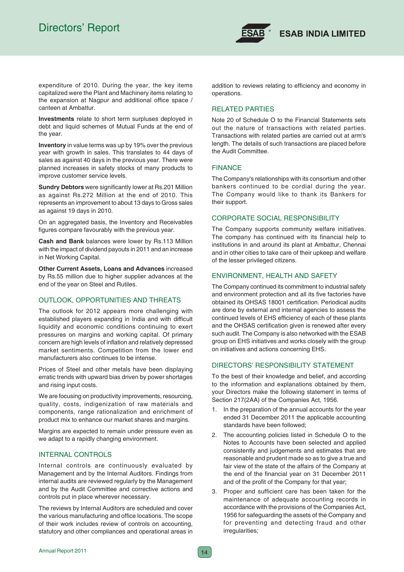

expenditure of 2010. During the year, the key items capitalized were the Plant and Machinery items relating to the expansion at Nagpur and additional office space / canteen at Ambattur.

**Investments** relate to short term surpluses deployed in debt and liquid schemes of Mutual Funds at the end of the year.

**Inventory** in value terms was up by 19% over the previous year with growth in sales. This translates to 44 days of sales as against 40 days in the previous year. There were planned increases in safety stocks of many products to improve customer service levels.

**Sundry Debtors** were significantly lower at Rs.201 Million as against Rs.272 Million at the end of 2010. This represents an improvement to about 13 days to Gross sales as against 19 days in 2010.

On an aggregated basis, the Inventory and Receivables figures compare favourably with the previous year.

**Cash and Bank** balances were lower by Rs.113 Million with the impact of dividend payouts in 2011 and an increase in Net Working Capital.

**Other Current Assets, Loans and Advances** increased by Rs.55 million due to higher supplier advances at the end of the year on Steel and Rutiles.

## OUTLOOK, OPPORTUNITIES AND THREATS

The outlook for 2012 appears more challenging with established players expanding in India and with difficult liquidity and economic conditions continuing to exert pressures on margins and working capital. Of primary concern are high levels of inflation and relatively depressed market sentiments. Competition from the lower end manufacturers also continues to be intense.

Prices of Steel and other metals have been displaying erratic trends with upward bias driven by power shortages and rising input costs.

We are focusing on productivity improvements, resourcing, quality, costs, indigenization of raw materials and components, range rationalization and enrichment of product mix to enhance our market shares and margins.

Margins are expected to remain under pressure even as we adapt to a rapidly changing environment.

## INTERNAL CONTROLS

Internal controls are continuously evaluated by Management and by the Internal Auditors. Findings from internal audits are reviewed regularly by the Management and by the Audit Committee and corrective actions and controls put in place wherever necessary.

The reviews by Internal Auditors are scheduled and cover the various manufacturing and office locations. The scope of their work includes review of controls on accounting, statutory and other compliances and operational areas in addition to reviews relating to efficiency and economy in operations.

## RELATED PARTIES

Note 20 of Schedule O to the Financial Statements sets out the nature of transactions with related parties. Transactions with related parties are carried out at arm's length. The details of such transactions are placed before the Audit Committee.

## FINANCE

The Company's relationships with its consortium and other bankers continued to be cordial during the year. The Company would like to thank its Bankers for their support.

## CORPORATE SOCIAL RESPONSIBILITY

The Company supports community welfare initiatives. The company has continued with its financial help to institutions in and around its plant at Ambattur, Chennai and in other cities to take care of their upkeep and welfare of the lesser privileged citizens.

## ENVIRONMENT, HEALTH AND SAFETY

The Company continued its commitment to industrial safety and environment protection and all its five factories have obtained its OHSAS 18001 certification. Periodical audits are done by external and internal agencies to assess the continued levels of EHS efficiency of each of these plants and the OHSAS certification given is renewed after every such audit. The Company is also networked with the ESAB group on EHS initiatives and works closely with the group on initiatives and actions concerning EHS.

## DIRECTORS' RESPONSIBILITY STATEMENT

To the best of their knowledge and belief, and according to the information and explanations obtained by them, your Directors make the following statement in terms of Section 217(2AA) of the Companies Act, 1956.

- 1. In the preparation of the annual accounts for the year ended 31 December 2011 the applicable accounting standards have been followed;
- 2. The accounting policies listed in Schedule O to the Notes to Accounts have been selected and applied consistently and judgements and estimates that are reasonable and prudent made so as to give a true and fair view of the state of the affairs of the Company at the end of the financial year on 31 December 2011 and of the profit of the Company for that year;
- 3. Proper and sufficient care has been taken for the maintenance of adequate accounting records in accordance with the provisions of the Companies Act, 1956 for safeguarding the assets of the Company and for preventing and detecting fraud and other irregularities;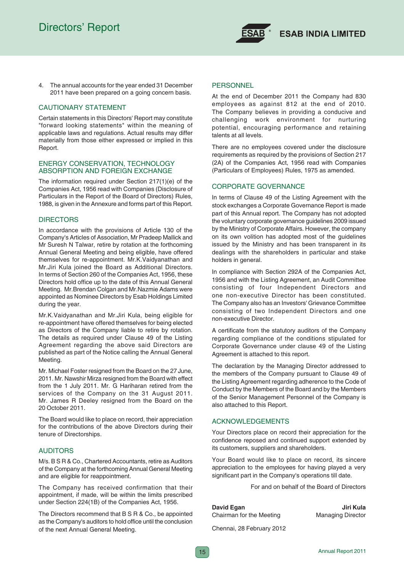

4. The annual accounts for the year ended 31 December 2011 have been prepared on a going concern basis.

## CAUTIONARY STATEMENT

Certain statements in this Directors' Report may constitute "forward looking statements" within the meaning of applicable laws and regulations. Actual results may differ materially from those either expressed or implied in this Report.

## ENERGY CONSERVATION, TECHNOLOGY ABSORPTION AND FOREIGN EXCHANGE

The information required under Section 217(1)(e) of the Companies Act, 1956 read with Companies (Disclosure of Particulars in the Report of the Board of Directors) Rules, 1988, is given in the Annexure and forms part of this Report.

## **DIRECTORS**

In accordance with the provisions of Article 130 of the Company's Articles of Association, Mr Pradeep Mallick and Mr Suresh N Talwar, retire by rotation at the forthcoming Annual General Meeting and being eligible, have offered themselves for re-appointment. Mr.K.Vaidyanathan and Mr.Jiri Kula joined the Board as Additional Directors. In terms of Section 260 of the Companies Act, 1956, these Directors hold office up to the date of this Annual General Meeting. Mr.Brendan Colgan and Mr.Nazmie Adams were appointed as Nominee Directors by Esab Holdings Limited during the year.

Mr.K.Vaidyanathan and Mr.Jiri Kula, being eligible for re-appointment have offered themselves for being elected as Directors of the Company liable to retire by rotation. The details as required under Clause 49 of the Listing Agreement regarding the above said Directors are published as part of the Notice calling the Annual General Meeting.

Mr. Michael Foster resigned from the Board on the 27 June, 2011. Mr. Nawshir Mirza resigned from the Board with effect from the 1 July 2011. Mr. G Hariharan retired from the services of the Company on the 31 August 2011. Mr. James R Deeley resigned from the Board on the 20 October 2011.

The Board would like to place on record, their appreciation for the contributions of the above Directors during their tenure of Directorships.

## **AUDITORS**

M/s. B S R & Co., Chartered Accountants, retire as Auditors of the Company at the forthcoming Annual General Meeting and are eligible for reappointment.

The Company has received confirmation that their appointment, if made, will be within the limits prescribed under Section 224(1B) of the Companies Act, 1956.

The Directors recommend that B S R & Co., be appointed as the Company's auditors to hold office until the conclusion of the next Annual General Meeting.

## **PERSONNEL**

At the end of December 2011 the Company had 830 employees as against 812 at the end of 2010. The Company believes in providing a conducive and challenging work environment for nurturing potential, encouraging performance and retaining talents at all levels.

There are no employees covered under the disclosure requirements as required by the provisions of Section 217 (2A) of the Companies Act, 1956 read with Companies (Particulars of Employees) Rules, 1975 as amended.

## CORPORATE GOVERNANCE

In terms of Clause 49 of the Listing Agreement with the stock exchanges a Corporate Governance Report is made part of this Annual report. The Company has not adopted the voluntary corporate governance guidelines 2009 issued by the Ministry of Corporate Affairs. However, the company on its own volition has adopted most of the guidelines issued by the Ministry and has been transparent in its dealings with the shareholders in particular and stake holders in general.

In compliance with Section 292A of the Companies Act, 1956 and with the Listing Agreement, an Audit Committee consisting of four Independent Directors and one non-executive Director has been constituted. The Company also has an Investors' Grievance Committee consisting of two Independent Directors and one non-executive Director.

A certificate from the statutory auditors of the Company regarding compliance of the conditions stipulated for Corporate Governance under clause 49 of the Listing Agreement is attached to this report.

The declaration by the Managing Director addressed to the members of the Company pursuant to Clause 49 of the Listing Agreement regarding adherence to the Code of Conduct by the Members of the Board and by the Members of the Senior Management Personnel of the Company is also attached to this Report.

## ACKNOWLEDGEMENTS

Your Directors place on record their appreciation for the confidence reposed and continued support extended by its customers, suppliers and shareholders.

Your Board would like to place on record, its sincere appreciation to the employees for having played a very significant part in the Company's operations till date.

For and on behalf of the Board of Directors

**David Egan Jiri Kula** Chairman for the Meeting Managing Director

Chennai, 28 February 2012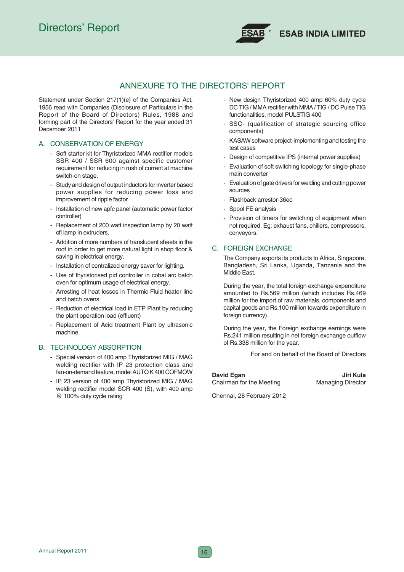

## ANNEXURE TO THE DIRECTORS' REPORT

Statement under Section 217(1)(e) of the Companies Act, 1956 read with Companies (Disclosure of Particulars in the Report of the Board of Directors) Rules, 1988 and forming part of the Directors' Report for the year ended 31 December 2011

## A. CONSERVATION OF ENERGY

- Soft starter kit for Thyristorized MMA rectifier models SSR 400 / SSR 600 against specific customer requirement for reducing in rush of current at machine switch-on stage.
- Study and design of output inductors for inverter based power supplies for reducing power loss and improvement of ripple factor
- Installation of new apfc panel (automatic power factor controller)
- Replacement of 200 watt inspection lamp by 20 watt cfl lamp in extruders.
- Addition of more numbers of translucent sheets in the roof in order to get more natural light in shop floor & saving in electrical energy.
- Installation of centralized energy saver for lighting.
- Use of thyristorised pid controller in cobal arc batch oven for optimum usage of electrical energy.
- Arresting of heat losses in Thermic Fluid heater line and batch ovens
- Reduction of electrical load in ETP Plant by reducing the plant operation load (effluent)
- Replacement of Acid treatment Plant by ultrasonic machine.

## B. TECHNOLOGY ABSORPTION

- Special version of 400 amp Thyristorized MIG / MAG welding rectifier with IP 23 protection class and fan-on-demand feature, model AUTO K 400 COFMOW
- IP 23 version of 400 amp Thyristorized MIG / MAG welding rectifier model SCR 400 (S), with 400 amp @ 100% duty cycle rating
- New design Thyristorized 400 amp 60% duty cycle DC TIG / MMA rectifier with MMA / TIG / DC Pulse TIG functionalities, model PULSTIG 400
- SSO- (qualification of strategic sourcing office components)
- KASAW software project-implementing and testing the test cases
- Design of competitive IPS (internal power supplies)
- Evaluation of soft switching topology for single-phase main converter
- Evaluation of gate drivers for welding and cutting power sources
- Flashback arrestor-36ec
- Spool FE analysis
- Provision of timers for switching of equipment when not required. Eg: exhaust fans, chillers, compressors, conveyors.

## C. FOREIGN EXCHANGE

The Company exports its products to Africa, Singapore, Bangladesh, Sri Lanka, Uganda, Tanzania and the Middle East.

During the year, the total foreign exchange expenditure amounted to Rs.569 million (which includes Rs.469 million for the import of raw materials, components and capital goods and Rs.100 million towards expenditure in foreign currency).

During the year, the Foreign exchange earnings were Rs.241 million resulting in net foreign exchange outflow of Rs.338 million for the year.

For and on behalf of the Board of Directors

David Egan **Jiri Kula** Chairman for the Meeting Managing Director

Chennai, 28 February 2012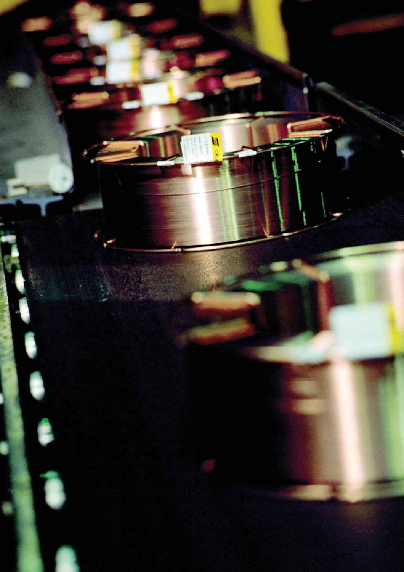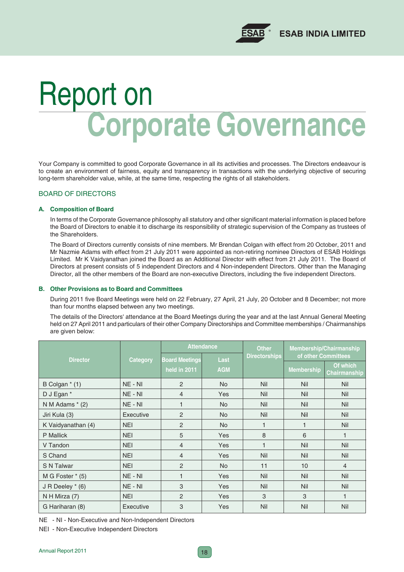

## Report on **Corporate Governance**

Your Company is committed to good Corporate Governance in all its activities and processes. The Directors endeavour is to create an environment of fairness, equity and transparency in transactions with the underlying objective of securing long-term shareholder value, while, at the same time, respecting the rights of all stakeholders.

## BOARD OF DIRECTORS

## **A. Composition of Board**

In terms of the Corporate Governance philosophy all statutory and other significant material information is placed before the Board of Directors to enable it to discharge its responsibility of strategic supervision of the Company as trustees of the Shareholders.

The Board of Directors currently consists of nine members. Mr Brendan Colgan with effect from 20 October, 2011 and Mr Nazmie Adams with effect from 21 July 2011 were appointed as non-retiring nominee Directors of ESAB Holdings Limited. Mr K Vaidyanathan joined the Board as an Additional Director with effect from 21 July 2011. The Board of Directors at present consists of 5 independent Directors and 4 Non-independent Directors. Other than the Managing Director, all the other members of the Board are non-executive Directors, including the five independent Directors.

## **B. Other Provisions as to Board and Committees**

During 2011 five Board Meetings were held on 22 February, 27 April, 21 July, 20 October and 8 December; not more than four months elapsed between any two meetings.

The details of the Directors' attendance at the Board Meetings during the year and at the last Annual General Meeting held on 27 April 2011 and particulars of their other Company Directorships and Committee memberships / Chairmanships are given below:

|                    |                 |                       | <b>Attendance</b> | <b>Other</b>         | Membership/Chairmanship |                          |
|--------------------|-----------------|-----------------------|-------------------|----------------------|-------------------------|--------------------------|
| <b>Director</b>    | <b>Category</b> | <b>Board Meetings</b> | Last              | <b>Directorships</b> | of other Committees     |                          |
|                    |                 | held in 2011          | <b>AGM</b>        |                      | <b>Membership</b>       | Of which<br>Chairmanship |
| B Colgan * (1)     | NE - NI         | 2                     | <b>No</b>         | Nil                  | <b>Nil</b>              | <b>Nil</b>               |
| D J Egan *         | $NE - NI$       | $\overline{4}$        | Yes               | Nil                  | <b>Nil</b>              | Nil                      |
| N M Adams $*(2)$   | $NE - NI$       | 1                     | No                | Nil                  | <b>Nil</b>              | Nil                      |
| Jiri Kula (3)      | Executive       | $\overline{2}$        | <b>No</b>         | Nil                  | Nil                     | Nil                      |
| K Vaidyanathan (4) | <b>NEI</b>      | $\overline{2}$        | <b>No</b>         | 1                    | 1                       | <b>Nil</b>               |
| P Mallick          | <b>NEI</b>      | 5                     | Yes               | 8                    | 6                       | 1                        |
| V Tandon           | <b>NEI</b>      | $\overline{4}$        | <b>Yes</b>        |                      | Nil                     | Nil                      |
| S Chand            | <b>NEI</b>      | $\overline{4}$        | <b>Yes</b>        | Nil                  | <b>Nil</b>              | <b>Nil</b>               |
| S N Talwar         | <b>NEI</b>      | $\overline{2}$        | No                | 11                   | 10                      | $\overline{4}$           |
| M G Foster * (5)   | $NE - NI$       | 1                     | <b>Yes</b>        | <b>Nil</b>           | <b>Nil</b>              | <b>Nil</b>               |
| J R Deeley * (6)   | NE - NI         | 3                     | Yes               | Nil                  | Nil                     | Nil                      |
| N H Mirza (7)      | <b>NEI</b>      | 2                     | Yes               | 3                    | 3                       | 1                        |
| G Hariharan (8)    | Executive       | 3                     | <b>Yes</b>        | Nil                  | Nil                     | <b>Nil</b>               |

NE - NI - Non-Executive and Non-Independent Directors

NEI - Non-Executive Independent Directors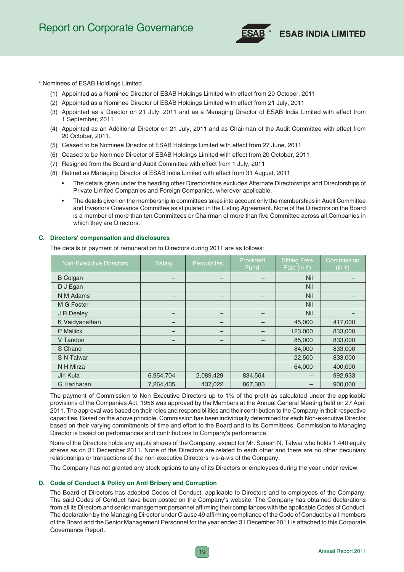

## \* Nominees of ESAB Holdings Limited

- (1) Appointed as a Nominee Director of ESAB Holdings Limited with effect from 20 October, 2011
- (2) Appointed as a Nominee Director of ESAB Holdings Limited with effect from 21 July, 2011
- (3) Appointed as a Director on 21 July, 2011 and as a Managing Director of ESAB India Limited with effect from 1 September, 2011
- (4) Appointed as an Additional Director on 21 July, 2011 and as Chairman of the Audit Committee with effect from 20 October, 2011.
- (5) Ceased to be Nominee Director of ESAB Holdings Limited with effect from 27 June, 2011
- (6) Ceased to be Nominee Director of ESAB Holdings Limited with effect from 20 October, 2011
- (7) Resigned from the Board and Audit Committee with effect from 1 July, 2011
- (8) Retired as Managing Director of ESAB India Limited with effect from 31 August, 2011
	- The details given under the heading other Directorships excludes Alternate Directorships and Directorships of Private Limited Companies and Foreign Companies, wherever applicable.
	- The details given on the membership in committees takes into account only the memberships in Audit Committee and Investors Grievance Committee as stipulated in the Listing Agreement. None of the Directors on the Board is a member of more than ten Committees or Chairman of more than five Committee across all Companies in which they are Directors.

## **C. Directors' compensation and disclosures**

The details of payment of remuneration to Directors during 2011 are as follows:

| Non-Executive Directors | <b>Salary</b> | <b>Perquisites</b>       | Provident<br>Fund | <b>Sitting Free</b><br>Paid (in $\overline{\tau}$ ) | Commission<br>(in ₹) |
|-------------------------|---------------|--------------------------|-------------------|-----------------------------------------------------|----------------------|
| <b>B</b> Colgan         |               | $\overline{\phantom{m}}$ |                   | Nil                                                 |                      |
| D J Egan                |               | $\overline{\phantom{m}}$ |                   | Nil                                                 |                      |
| N M Adams               |               | —                        |                   | Nil                                                 |                      |
| M G Foster              |               | $\qquad \qquad$          |                   | <b>Nil</b>                                          |                      |
| J R Deeley              |               | $\overline{\phantom{m}}$ |                   | Nil                                                 |                      |
| K Vaidyanathan          |               | $\overline{\phantom{m}}$ |                   | 45,000                                              | 417,000              |
| P Mallick               |               | $\overline{\phantom{m}}$ |                   | 123,000                                             | 833,000              |
| V Tandon                |               | —                        |                   | 85,000                                              | 833,000              |
| S Chand                 |               |                          |                   | 84,000                                              | 833,000              |
| S N Talwar              |               | $\overline{\phantom{m}}$ |                   | 22,500                                              | 833,000              |
| N H Mirza               |               | –                        |                   | 64,000                                              | 400,000              |
| Jiri Kula               | 6,954,704     | 2,089,429                | 834,564           |                                                     | 992,933              |
| G Hariharan             | 7,264,435     | 437,022                  | 867,383           |                                                     | 900,000              |

The payment of Commission to Non Executive Directors up to 1% of the profit as calculated under the applicable provisions of the Companies Act, 1956 was approved by the Members at the Annual General Meeting held on 27 April 2011. The approval was based on their roles and responsibilities and their contribution to the Company in their respective capacities. Based on the above principle, Commission has been individually determined for each Non-executive Director based on their varying commitments of time and effort to the Board and to its Committees. Commission to Managing Director is based on performances and contributions to Company's performance.

None of the Directors holds any equity shares of the Company, except for Mr. Suresh N. Talwar who holds 1,440 equity shares as on 31 December 2011. None of the Directors are related to each other and there are no other pecuniary relationships or transactions of the non-executive Directors' vis-à-vis of the Company.

The Company has not granted any stock options to any of its Directors or employees during the year under review.

## **D. Code of Conduct & Policy on Anti Bribery and Corruption**

The Board of Directors has adopted Codes of Conduct, applicable to Directors and to employees of the Company. The said Codes of Conduct have been posted on the Company's website. The Company has obtained declarations from all its Directors and senior management personnel affirming their compliances with the applicable Codes of Conduct. The declaration by the Managing Director under Clause 49 affirming compliance of the Code of Conduct by all members of the Board and the Senior Management Personnel for the year ended 31 December 2011 is attached to this Corporate Governance Report.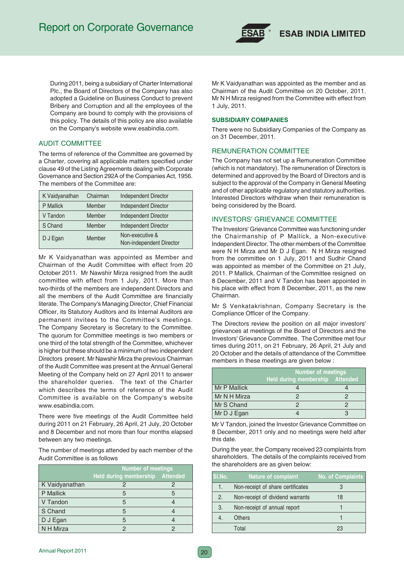

During 2011, being a subsidiary of Charter International Plc., the Board of Directors of the Company has also adopted a Guideline on Business Conduct to prevent Bribery and Corruption and all the employees of the Company are bound to comply with the provisions of this policy. The details of this policy are also available on the Company's website www.esabindia.com.

## AUDIT COMMITTEE

The terms of reference of the Committee are governed by a Charter, covering all applicable matters specified under clause 49 of the Listing Agreements dealing with Corporate Governance and Section 292A of the Companies Act, 1956. The members of the Committee are:

| K Vaidyanathan | Chairman | Independent Director                        |
|----------------|----------|---------------------------------------------|
| P Mallick      | Member   | Independent Director                        |
| V Tandon       | Member   | <b>Independent Director</b>                 |
| S Chand        | Member   | <b>Independent Director</b>                 |
| D J Egan       | Member   | Non-executive &<br>Non-independent Director |

Mr K Vaidyanathan was appointed as Member and Chairman of the Audit Committee with effect from 20 October 2011. Mr Nawshir Mirza resigned from the audit committee with effect from 1 July, 2011. More than two-thirds of the members are independent Directors and all the members of the Audit Committee are financially literate. The Company's Managing Director, Chief Financial Officer, its Statutory Auditors and its Internal Auditors are permanent invitees to the Committee's meetings. The Company Secretary is Secretary to the Committee. The quorum for Committee meetings is two members or one third of the total strength of the Committee, whichever is higher but these should be a minimum of two independent Directors present. Mr Nawshir Mirza the previous Chairman of the Audit Committee was present at the Annual General Meeting of the Company held on 27 April 2011 to answer the shareholder queries. The text of the Charter which describes the terms of reference of the Audit Committee is available on the Company's website www.esabindia.com.

There were five meetings of the Audit Committee held during 2011 on 21 February, 26 April, 21 July, 20 October and 8 December and not more than four months elapsed between any two meetings.

The number of meetings attended by each member of the Audit Committee is as follows

|                | <b>Number of meetings</b>              |  |  |
|----------------|----------------------------------------|--|--|
|                | <b>Held during membership Attended</b> |  |  |
| K Vaidyanathan |                                        |  |  |
| P Mallick      |                                        |  |  |
| V Tandon       |                                        |  |  |
| S Chand        |                                        |  |  |
| D J Egan       |                                        |  |  |
| N H Mirza      |                                        |  |  |

Mr K Vaidyanathan was appointed as the member and as Chairman of the Audit Committee on 20 October, 2011. Mr N H Mirza resigned from the Committee with effect from 1 July, 2011.

## **SUBSIDIARY COMPANIES**

There were no Subsidiary Companies of the Company as on 31 December, 2011.

## REMUNERATION COMMITTEE

The Company has not set up a Remuneration Committee (which is not mandatory). The remuneration of Directors is determined and approved by the Board of Directors and is subject to the approval of the Company in General Meeting and of other applicable regulatory and statutory authorities. Interested Directors withdraw when their remuneration is being considered by the Board.

## INVESTORS' GRIEVANCE COMMITTEE

The Investors' Grievance Committee was functioning under the Chairmanship of P Mallick, a Non-executive Independent Director. The other members of the Committee were N H Mirza and Mr D J Egan. N H Mirza resigned from the committee on 1 July, 2011 and Sudhir Chand was appointed as member of the Committee on 21 July, 2011. P Mallick. Chairman of the Committee resigned on 8 December, 2011 and V Tandon has been appointed in his place with effect from 8 December, 2011, as the new Chairman.

Mr S Venkatakrishnan, Company Secretary is the Compliance Officer of the Company.

The Directors review the position on all major investors' grievances at meetings of the Board of Directors and the Investors' Grievance Committee. The Committee met four times during 2011, on 21 February, 26 April, 21 July and 20 October and the details of attendance of the Committee members in these meetings are given below :

|              | Number of meetings                     |  |  |
|--------------|----------------------------------------|--|--|
|              | <b>Held during membership Attended</b> |  |  |
| Mr P Mallick |                                        |  |  |
| Mr N H Mirza |                                        |  |  |
| Mr S Chand   |                                        |  |  |
| Mr D J Egan  |                                        |  |  |

Mr V Tandon, joined the Investor Grievance Committee on 8 December, 2011 only and no meetings were held after this date.

During the year, the Company received 23 complaints from shareholders. The details of the complaints received from the shareholders are as given below:

| SI.No. | Nature of complaint               | <b>No. of Complaints</b> |
|--------|-----------------------------------|--------------------------|
| 1.     | Non-receipt of share certificates |                          |
| 2.     | Non-receipt of dividend warrants  | 18                       |
| 3.     | Non-receipt of annual report      |                          |
|        | <b>Others</b>                     |                          |
|        | Total                             | 23                       |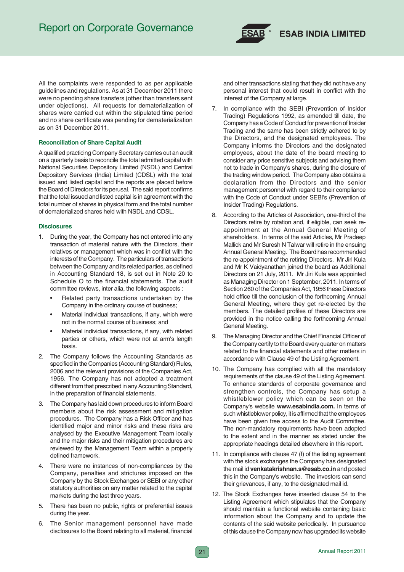

All the complaints were responded to as per applicable guidelines and regulations. As at 31 December 2011 there were no pending share transfers (other than transfers sent under objections). All requests for dematerialization of shares were carried out within the stipulated time period and no share certificate was pending for dematerialization as on 31 December 2011.

## **Reconciliation of Share Capital Audit**

A qualified practicing Company Secretary carries out an audit on a quarterly basis to reconcile the total admitted capital with National Securities Depository Limited (NSDL) and Central Depository Services (India) Limited (CDSL) with the total issued and listed capital and the reports are placed before the Board of Directors for its perusal. The said report confirms that the total issued and listed capital is in agreement with the total number of shares in physical form and the total number of dematerialized shares held with NSDL and CDSL.

## **Disclosures**

- 1. During the year, the Company has not entered into any transaction of material nature with the Directors, their relatives or management which was in conflict with the interests of the Company. The particulars of transactions between the Company and its related parties, as defined in Accounting Standard 18, is set out in Note 20 to Schedule O to the financial statements. The audit committee reviews, inter alia, the following aspects :
	- Related party transactions undertaken by the Company in the ordinary course of business;
	- Material individual transactions, if any, which were not in the normal course of business; and
	- Material individual transactions, if any, with related parties or others, which were not at arm's length basis.
- 2. The Company follows the Accounting Standards as specified in the Companies (Accounting Standard) Rules, 2006 and the relevant provisions of the Companies Act, 1956. The Company has not adopted a treatment different from that prescribed in any Accounting Standard, in the preparation of financial statements.
- 3. The Company has laid down procedures to inform Board members about the risk assessment and mitigation procedures. The Company has a Risk Officer and has identified major and minor risks and these risks are analysed by the Executive Management Team locally and the major risks and their mitigation procedures are reviewed by the Management Team within a properly defined framework.
- 4. There were no instances of non-compliances by the Company, penalties and strictures imposed on the Company by the Stock Exchanges or SEBI or any other statutory authorities on any matter related to the capital markets during the last three years.
- 5. There has been no public, rights or preferential issues during the year.
- 6. The Senior management personnel have made disclosures to the Board relating to all material, financial

and other transactions stating that they did not have any personal interest that could result in conflict with the interest of the Company at large.

- 7. In compliance with the SEBI (Prevention of Insider Trading) Regulations 1992, as amended till date, the Company has a Code of Conduct for prevention of Insider Trading and the same has been strictly adhered to by the Directors, and the designated employees. The Company informs the Directors and the designated employees, about the date of the board meeting to consider any price sensitive subjects and advising them not to trade in Company's shares, during the closure of the trading window period. The Company also obtains a declaration from the Directors and the senior management personnel with regard to their compliance with the Code of Conduct under SEBI's (Prevention of Insider Trading) Regulations.
- According to the Articles of Association, one-third of the Directors retire by rotation and, if eligible, can seek reappointment at the Annual General Meeting of shareholders. In terms of the said Articles, Mr Pradeep Mallick and Mr Suresh N Talwar will retire in the ensuing Annual General Meeting. The Board has recommended the re-appointment of the retiring Directors. Mr Jiri Kula and Mr K Vaidyanathan joined the board as Additional Directors on 21 July, 2011. Mr Jiri Kula was appointed as Managing Director on 1 September, 2011. In terms of Section 260 of the Companies Act, 1956 these Directors hold office till the conclusion of the forthcoming Annual General Meeting, where they get re-elected by the members. The detailed profiles of these Directors are provided in the notice calling the forthcoming Annual General Meeting.
- 9. The Managing Director and the Chief Financial Officer of the Company certify to the Board every quarter on matters related to the financial statements and other matters in accordance with Clause 49 of the Listing Agreement.
- 10. The Company has complied with all the mandatory requirements of the clause 49 of the Listing Agreement. To enhance standards of corporate governance and strengthen controls, the Company has setup a whistleblower policy which can be seen on the Company's website **www.esabindia.com.** In terms of such whistleblower policy, it is affirmed that the employees have been given free access to the Audit Committee. The non-mandatory requirements have been adopted to the extent and in the manner as stated under the appropriate headings detailed elsewhere in this report.
- 11. In compliance with clause 47 (f) of the listing agreement with the stock exchanges the Company has designated the mail id **venkatakrishnan.s@esab.co.in** and posted this in the Company's website. The investors can send their grievances, if any, to the designated mail id.
- 12. The Stock Exchanges have inserted clause 54 to the Listing Agreement which stipulates that the Company should maintain a functional website containing basic information about the Company and to update the contents of the said website periodically. In pursuance of this clause the Company now has upgraded its website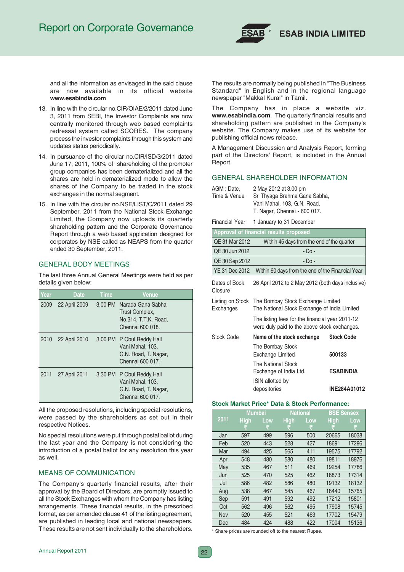

and all the information as envisaged in the said clause are now available in its official website **www.esabindia.com**

- 13. In line with the circular no.CIR/OIAE/2/2011 dated June 3, 2011 from SEBI, the Investor Complaints are now centrally monitored through web based complaints redressal system called SCORES. The company process the investor complaints through this system and updates status periodically.
- 14. In pursuance of the circular no.CIR/ISD/3/2011 dated June 17, 2011, 100% of shareholding of the promoter group companies has been dematerialized and all the shares are held in dematerialized mode to allow the shares of the Company to be traded in the stock exchanges in the normal segment.
- 15. In line with the circular no.NSE/LIST/C/2011 dated 29 September, 2011 from the National Stock Exchange Limited, the Company now uploads its quarterly shareholding pattern and the Corporate Governance Report through a web based application designed for corporates by NSE called as NEAPS from the quarter ended 30 September, 2011.

## GENERAL BODY MEETINGS

The last three Annual General Meetings were held as per details given below:

| Year | <b>Date</b>   | <b>Time</b> | Venue                                                                                     |
|------|---------------|-------------|-------------------------------------------------------------------------------------------|
| 2009 | 22 April 2009 |             | 3.00 PM Narada Gana Sabha<br>Trust Complex,<br>No.314, T.T.K. Road,<br>Chennai 600 018.   |
| 2010 | 22 April 2010 |             | 3.00 PM P Obul Reddy Hall<br>Vani Mahal, 103,<br>G.N. Road, T. Nagar,<br>Chennai 600 017. |
| 2011 | 27 April 2011 |             | 3.30 PM P Obul Reddy Hall<br>Vani Mahal, 103,<br>G.N. Road, T. Nagar,<br>Chennai 600 017. |

All the proposed resolutions, including special resolutions, were passed by the shareholders as set out in their respective Notices.

No special resolutions were put through postal ballot during the last year and the Company is not considering the introduction of a postal ballot for any resolution this year as well.

## MEANS OF COMMUNICATION

The Company's quarterly financial results, after their approval by the Board of Directors, are promptly issued to all the Stock Exchanges with whom the Company has listing arrangements. These financial results, in the prescribed format, as per amended clause 41 of the listing agreement, are published in leading local and national newspapers. These results are not sent individually to the shareholders. The results are normally being published in "The Business Standard" in English and in the regional language newspaper "Makkal Kural" in Tamil.

The Company has in place a website viz. **www.esabindia.com**. The quarterly financial results and shareholding pattern are published in the Company's website. The Company makes use of its website for publishing official news release.

A Management Discussion and Analysis Report, forming part of the Directors' Report, is included in the Annual Report.

## GENERAL SHAREHOLDER INFORMATION

| AGM : Date.  | 2 May 2012 at 3.00 pm         |
|--------------|-------------------------------|
| Time & Venue | Sri Thyaga Brahma Gana Sabha, |
|              | Vani Mahal, 103, G.N. Road,   |
|              | T. Nagar, Chennai - 600 017.  |

Financial Year 1 January to 31 December

|                               | Approval of financial results proposed                                                          |                     |  |  |
|-------------------------------|-------------------------------------------------------------------------------------------------|---------------------|--|--|
| <b>QE 31 Mar 2012</b>         | Within 45 days from the end of the quarter                                                      |                     |  |  |
| QE 30 Jun 2012                | - Do -                                                                                          |                     |  |  |
| QE 30 Sep 2012                | - Do -                                                                                          |                     |  |  |
| YE 31 Dec 2012                | Within 60 days from the end of the Financial Year                                               |                     |  |  |
| Dates of Book<br>Closure      | 26 April 2012 to 2 May 2012 (both days inclusive)                                               |                     |  |  |
| Listing on Stock<br>Exchanges | The Bombay Stock Exchange Limited<br>The National Stock Exchange of India Limited               |                     |  |  |
|                               | The listing fees for the financial year 2011-12<br>were duly paid to the above stock exchanges. |                     |  |  |
| Stock Code                    | Name of the stock exchange                                                                      | <b>Stock Code</b>   |  |  |
|                               | The Bombay Stock<br>Exchange Limited                                                            | 500133              |  |  |
|                               | The National Stock<br>Exchange of India Ltd.                                                    | <b>ESABINDIA</b>    |  |  |
|                               | ISIN allotted by<br>depositories                                                                | <b>INE284A01012</b> |  |  |

### **Stock Market Price\* Data & Stock Performance:**

|                  | <b>Mumbai</b> |     |             | <b>National</b> | <b>BSE Sensex</b> |       |
|------------------|---------------|-----|-------------|-----------------|-------------------|-------|
| 20 <sup>11</sup> | <b>High</b>   | Low | <b>High</b> | Low             | <b>High</b>       | Low   |
|                  |               |     |             |                 |                   |       |
| Jan              | 597           | 499 | 596         | 500             | 20665             | 18038 |
| Feb              | 520           | 443 | 528         | 427             | 18691             | 17296 |
| Mar              | 494           | 425 | 565         | 411             | 19575             | 17792 |
| Apr              | 548           | 480 | 580         | 480             | 19811             | 18976 |
| May              | 535           | 467 | 511         | 469             | 19254             | 17786 |
| Jun              | 525           | 470 | 525         | 462             | 18873             | 17314 |
| Jul              | 586           | 482 | 586         | 480             | 19132             | 18132 |
| Aug              | 538           | 467 | 545         | 467             | 18440             | 15765 |
| Sep              | 591           | 491 | 592         | 492             | 17212             | 15801 |
| Oct              | 562           | 496 | 562         | 495             | 17908             | 15745 |
| Nov              | 520           | 455 | 521         | 463             | 17702             | 15479 |
| Dec              | 484           | 424 | 488         | 422             | 17004             | 15136 |

\* Share prices are rounded off to the nearest Rupee.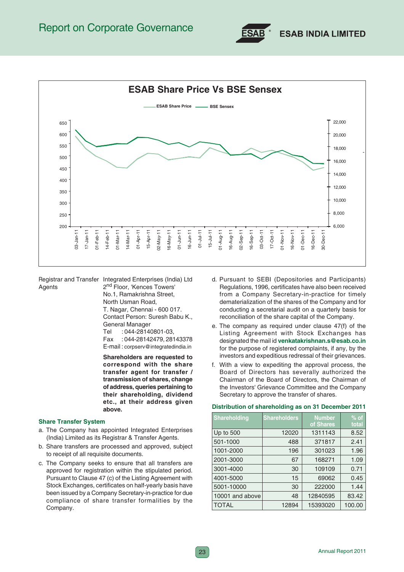



Registrar and Transfer Integrated Enterprises (India) Ltd Agents 2<sup>nd</sup> Floor, 'Kences Towers'

No.1, Ramakrishna Street, North Usman Road, T. Nagar, Chennai - 600 017. Contact Person: Suresh Babu K., General Manager Tel : 044-28140801-03, Fax : 044-28142479, 28143378

E-mail : corpserv@integratedindia.in

**Shareholders are requested to correspond with the share transfer agent for transfer / transmission of shares, change of address, queries pertaining to their shareholding, dividend etc., at their address given above.**

## **Share Transfer System**

- a. The Company has appointed Integrated Enterprises (India) Limited as its Registrar & Transfer Agents.
- b. Share transfers are processed and approved, subject to receipt of all requisite documents.
- c. The Company seeks to ensure that all transfers are approved for registration within the stipulated period. Pursuant to Clause 47 (c) of the Listing Agreement with Stock Exchanges, certificates on half-yearly basis have been issued by a Company Secretary-in-practice for due compliance of share transfer formalities by the Company.
- d. Pursuant to SEBI (Depositories and Participants) Regulations, 1996, certificates have also been received from a Company Secretary-in-practice for timely dematerialization of the shares of the Company and for conducting a secretarial audit on a quarterly basis for reconciliation of the share capital of the Company.
- e. The company as required under clause 47(f) of the Listing Agreement with Stock Exchanges has designated the mail id **venkatakrishnan.s@esab.co.in** for the purpose of registered complaints, if any, by the investors and expeditious redressal of their grievances.
- f. With a view to expediting the approval process, the Board of Directors has severally authorized the Chairman of the Board of Directors, the Chairman of the Investors' Grievance Committee and the Company Secretary to approve the transfer of shares.

## **Distribution of shareholding as on 31 December 2011**

| <b>Shareholding</b> | <b>Shareholders</b> | <b>Number</b><br>of Shares | $%$ of<br>total |
|---------------------|---------------------|----------------------------|-----------------|
| Up to $500$         | 12020               | 1311143                    | 8.52            |
| 501-1000            | 488                 | 371817                     | 2.41            |
| 1001-2000           | 196                 | 301023                     | 1.96            |
| 2001-3000           | 67                  | 168271                     | 1.09            |
| 3001-4000           | 30                  | 109109                     | 0.71            |
| 4001-5000           | 15                  | 69062                      | 0.45            |
| 5001-10000          | 30                  | 222000                     | 1.44            |
| 10001 and above     | 48                  | 12840595                   | 83.42           |
| <b>TOTAL</b>        | 12894               | 15393020                   | 100.00          |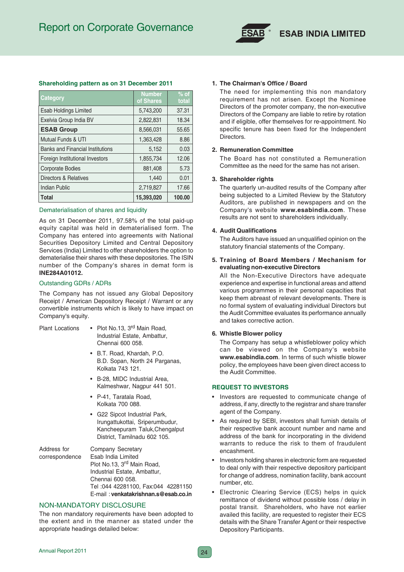

| <b>Category</b>                         | <b>Number</b><br>of Shares | $%$ of<br>total |
|-----------------------------------------|----------------------------|-----------------|
| <b>Esab Holdings Limited</b>            | 5,743,200                  | 37.31           |
| Exelvia Group India BV                  | 2,822,831                  | 18.34           |
| <b>ESAB Group</b>                       | 8,566,031                  | 55.65           |
| Mutual Funds & UTI                      | 1,363,428                  | 8.86            |
| <b>Banks and Financial Institutions</b> | 5,152                      | 0.03            |
| Foreign Institutional Investors         | 1,855,734                  | 12.06           |
| <b>Corporate Bodies</b>                 | 881,408                    | 5.73            |
| Directors & Relatives                   | 1,440                      | 0.01            |
| <b>Indian Public</b>                    | 2,719,827                  | 17.66           |
| <b>Total</b>                            | 15,393,020                 | 100.00          |

## **Shareholding pattern as on 31 December 2011**

### Dematerialisation of shares and liquidity

As on 31 December 2011, 97.58% of the total paid-up equity capital was held in dematerialised form. The Company has entered into agreements with National Securities Depository Limited and Central Depository Services (India) Limited to offer shareholders the option to dematerialise their shares with these depositories. The ISIN number of the Company's shares in demat form is **INE284A01012.**

## Outstanding GDRs / ADRs

The Company has not issued any Global Depository Receipt / American Depository Receipt / Warrant or any convertible instruments which is likely to have impact on Company's equity.

- Plant Locations Plot No.13, 3<sup>rd</sup> Main Road, Industrial Estate, Ambattur, Chennai 600 058.
	- B.T. Road, Khardah, P.O. B.D. Sopan, North 24 Parganas, Kolkata 743 121.
	- B-28, MIDC Industrial Area, Kalmeshwar, Nagpur 441 501.
	- P-41, Taratala Road, Kolkata 700 088.
	- G22 Sipcot Industrial Park, Irungattukottai, Sriperumbudur, Kancheepuram Taluk,Chengalput District, Tamilnadu 602 105.

Address for Company Secretary correspondence Esab India Limited Plot No.13, 3rd Main Road, Industrial Estate, Ambattur, Chennai 600 058. Tel :044 42281100, Fax:044 42281150 E-mail : **venkatakrishnan.s@esab.co.in**

## NON-MANDATORY DISCLOSURE

The non mandatory requirements have been adopted to the extent and in the manner as stated under the appropriate headings detailed below:

## **1. The Chairman's Office / Board**

The need for implementing this non mandatory requirement has not arisen. Except the Nominee Directors of the promoter company, the non-executive Directors of the Company are liable to retire by rotation and if eligible, offer themselves for re-appointment. No specific tenure has been fixed for the Independent Directors.

## **2. Remuneration Committee**

The Board has not constituted a Remuneration Committee as the need for the same has not arisen.

## **3. Shareholder rights**

The quarterly un-audited results of the Company after being subjected to a Limited Review by the Statutory Auditors, are published in newspapers and on the Company's website **www.esabindia.com**. These results are not sent to shareholders individually.

### **4. Audit Qualifications**

The Auditors have issued an unqualified opinion on the statutory financial statements of the Company.

**5. Training of Board Members / Mechanism for evaluating non-executive Directors**

All the Non-Executive Directors have adequate experience and expertise in functional areas and attend various programmes in their personal capacities that keep them abreast of relevant developments. There is no formal system of evaluating individual Directors but the Audit Committee evaluates its performance annually and takes corrective action.

## **6. Whistle Blower policy**

The Company has setup a whistleblower policy which can be viewed on the Company's website **www.esabindia.com**. In terms of such whistle blower policy, the employees have been given direct access to the Audit Committee.

### **REQUEST TO INVESTORS**

- Investors are requested to communicate change of address, if any, directly to the registrar and share transfer agent of the Company.
- As required by SEBI, investors shall furnish details of their respective bank account number and name and address of the bank for incorporating in the dividend warrants to reduce the risk to them of fraudulent encashment.
- Investors holding shares in electronic form are requested to deal only with their respective depository participant for change of address, nomination facility, bank account number, etc.
- Electronic Clearing Service (ECS) helps in quick remittance of dividend without possible loss / delay in postal transit. Shareholders, who have not earlier availed this facility, are requested to register their ECS details with the Share Transfer Agent or their respective Depository Participants.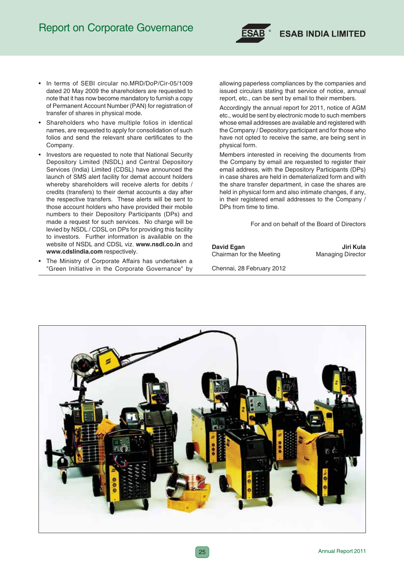

- In terms of SEBI circular no.MRD/DoP/Cir-05/1009 dated 20 May 2009 the shareholders are requested to note that it has now become mandatory to furnish a copy of Permanent Account Number (PAN) for registration of transfer of shares in physical mode.
- Shareholders who have multiple folios in identical names, are requested to apply for consolidation of such folios and send the relevant share certificates to the Company.
- Investors are requested to note that National Security Depository Limited (NSDL) and Central Depository Services (India) Limited (CDSL) have announced the launch of SMS alert facility for demat account holders whereby shareholders will receive alerts for debits / credits (transfers) to their demat accounts a day after the respective transfers. These alerts will be sent to those account holders who have provided their mobile numbers to their Depository Participants (DPs) and made a request for such services. No charge will be levied by NSDL / CDSL on DPs for providing this facility to investors. Further information is available on the website of NSDL and CDSL viz. **www.nsdl.co.in** and **www.cdslindia.com** respectively.
- The Ministry of Corporate Affairs has undertaken a "Green Initiative in the Corporate Governance" by

allowing paperless compliances by the companies and issued circulars stating that service of notice, annual report, etc., can be sent by email to their members.

Accordingly the annual report for 2011, notice of AGM etc., would be sent by electronic mode to such members whose email addresses are available and registered with the Company / Depository participant and for those who have not opted to receive the same, are being sent in physical form.

Members interested in receiving the documents from the Company by email are requested to register their email address, with the Depository Participants (DPs) in case shares are held in dematerialized form and with the share transfer department, in case the shares are held in physical form and also intimate changes, if any, in their registered email addresses to the Company / DPs from time to time.

For and on behalf of the Board of Directors

| David Egan               |  |
|--------------------------|--|
| Chairman for the Meeting |  |

**David Egan Jiri Kula Managing Director** 

Chennai, 28 February 2012

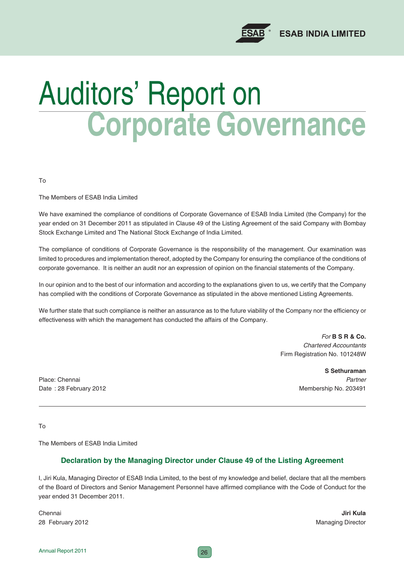

## Auditors' Report on **Corporate Governance**

To

The Members of ESAB India Limited

We have examined the compliance of conditions of Corporate Governance of ESAB India Limited (the Company) for the year ended on 31 December 2011 as stipulated in Clause 49 of the Listing Agreement of the said Company with Bombay Stock Exchange Limited and The National Stock Exchange of India Limited.

The compliance of conditions of Corporate Governance is the responsibility of the management. Our examination was limited to procedures and implementation thereof, adopted by the Company for ensuring the compliance of the conditions of corporate governance. It is neither an audit nor an expression of opinion on the financial statements of the Company.

In our opinion and to the best of our information and according to the explanations given to us, we certify that the Company has complied with the conditions of Corporate Governance as stipulated in the above mentioned Listing Agreements.

We further state that such compliance is neither an assurance as to the future viability of the Company nor the efficiency or effectiveness with which the management has conducted the affairs of the Company.

> For **B S R & Co.** Chartered Accountants Firm Registration No. 101248W

Date : 28 February 2012 **Membership No. 203491** Membership No. 203491

**S Sethuraman** Place: Chennai Partner Partner Partner Partner Partner Partner Partner Partner Partner Partner

To

The Members of ESAB India Limited

## **Declaration by the Managing Director under Clause 49 of the Listing Agreement**

I, Jiri Kula, Managing Director of ESAB India Limited, to the best of my knowledge and belief, declare that all the members of the Board of Directors and Senior Management Personnel have affirmed compliance with the Code of Conduct for the year ended 31 December 2011.

Chennai **Jiri Kula** 28 February 2012 **Managing Director** Managing Director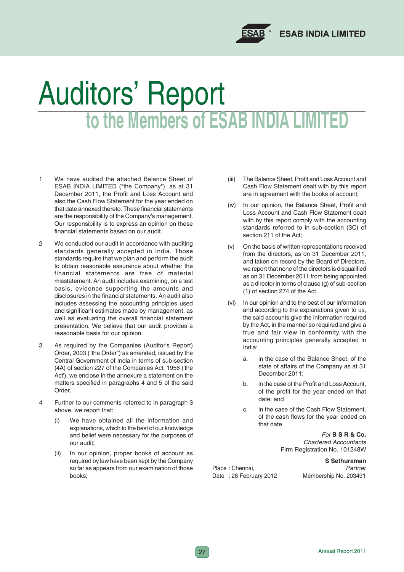

## Auditors' Report **to the Members of ESAB INDIA LIMI**

- 1 We have audited the attached Balance Sheet of ESAB INDIA LIMITED ("the Company"), as at 31 December 2011, the Profit and Loss Account and also the Cash Flow Statement for the year ended on that date annexed thereto. These financial statements are the responsibility of the Company's management. Our responsibility is to express an opinion on these financial statements based on our audit.
- 2 We conducted our audit in accordance with auditing standards generally accepted in India. Those standards require that we plan and perform the audit to obtain reasonable assurance about whether the financial statements are free of material misstatement. An audit includes examining, on a test basis, evidence supporting the amounts and disclosures in the financial statements. An audit also includes assessing the accounting principles used and significant estimates made by management, as well as evaluating the overall financial statement presentation. We believe that our audit provides a reasonable basis for our opinion.
- 3 As required by the Companies (Auditor's Report) Order, 2003 ("the Order") as amended, issued by the Central Government of India in terms of sub-section (4A) of section 227 of the Companies Act, 1956 ('the Act'), we enclose in the annexure a statement on the matters specified in paragraphs 4 and 5 of the said Order.
- 4 Further to our comments referred to in paragraph 3 above, we report that:
	- (i) We have obtained all the information and explanations, which to the best of our knowledge and belief were necessary for the purposes of our audit;
	- (ii) In our opinion, proper books of account as required by law have been kept by the Company so far as appears from our examination of those books;
- (iii) The Balance Sheet, Profit and Loss Account and Cash Flow Statement dealt with by this report are in agreement with the books of account;
- (iv) In our opinion, the Balance Sheet, Profit and Loss Account and Cash Flow Statement dealt with by this report comply with the accounting standards referred to in sub-section (3C) of section 211 of the Act;
- (v) On the basis of written representations received from the directors, as on 31 December 2011, and taken on record by the Board of Directors, we report that none of the directors is disqualified as on 31 December 2011 from being appointed as a director in terms of clause (g) of sub-section (1) of section 274 of the Act,
- (vi) In our opinion and to the best of our information and according to the explanations given to us, the said accounts give the information required by the Act, in the manner so required and give a true and fair view in conformity with the accounting principles generally accepted in India:
	- a. in the case of the Balance Sheet, of the state of affairs of the Company as at 31 December 2011;
	- b. in the case of the Profit and Loss Account, of the profit for the year ended on that date; and
	- c. in the case of the Cash Flow Statement, of the cash flows for the year ended on that date.

## For **B S R & Co.** Chartered Accountants Firm Registration No. 101248W

Place : Chennai, Place : Chennai, Partner Date : 28 February 2012 Membership No. 203491

**S Sethuraman**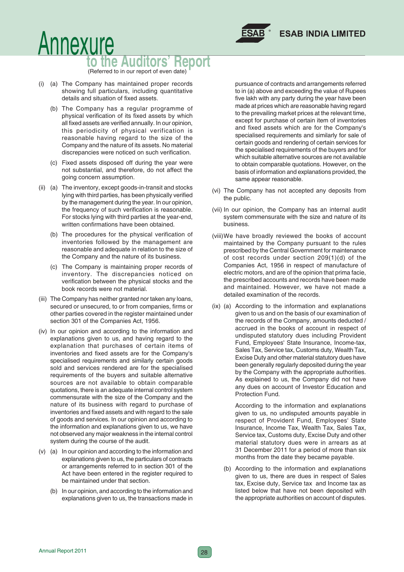

## Annexure **to the Auditors' Report**

(Referred to in our report of even date)

- (i) (a) The Company has maintained proper records showing full particulars, including quantitative details and situation of fixed assets.
	- (b) The Company has a regular programme of physical verification of its fixed assets by which all fixed assets are verified annually. In our opinion, this periodicity of physical verification is reasonable having regard to the size of the Company and the nature of its assets. No material discrepancies were noticed on such verification.
	- (c) Fixed assets disposed off during the year were not substantial, and therefore, do not affect the going concern assumption.
- (ii) (a) The inventory, except goods-in-transit and stocks lying with third parties, has been physically verified by the management during the year. In our opinion, the frequency of such verification is reasonable. For stocks lying with third parties at the year-end, written confirmations have been obtained.
	- (b) The procedures for the physical verification of inventories followed by the management are reasonable and adequate in relation to the size of the Company and the nature of its business.
	- (c) The Company is maintaining proper records of inventory. The discrepancies noticed on verification between the physical stocks and the book records were not material.
- (iii) The Company has neither granted nor taken any loans, secured or unsecured, to or from companies, firms or other parties covered in the register maintained under section 301 of the Companies Act, 1956.
- (iv) In our opinion and according to the information and explanations given to us, and having regard to the explanation that purchases of certain items of inventories and fixed assets are for the Company's specialised requirements and similarly certain goods sold and services rendered are for the specialised requirements of the buyers and suitable alternative sources are not available to obtain comparable quotations, there is an adequate internal control system commensurate with the size of the Company and the nature of its business with regard to purchase of inventories and fixed assets and with regard to the sale of goods and services. In our opinion and according to the information and explanations given to us, we have not observed any major weakness in the internal control system during the course of the audit.
- (v) (a) In our opinion and according to the information and explanations given to us, the particulars of contracts or arrangements referred to in section 301 of the Act have been entered in the register required to be maintained under that section.
	- (b) In our opinion, and according to the information and explanations given to us, the transactions made in

pursuance of contracts and arrangements referred to in (a) above and exceeding the value of Rupees five lakh with any party during the year have been made at prices which are reasonable having regard to the prevailing market prices at the relevant time, except for purchase of certain item of inventories and fixed assets which are for the Company's specialised requirements and similarly for sale of certain goods and rendering of certain services for the specialised requirements of the buyers and for which suitable alternative sources are not available to obtain comparable quotations. However, on the basis of information and explanations provided, the same appear reasonable.

- (vi) The Company has not accepted any deposits from the public.
- (vii) In our opinion, the Company has an internal audit system commensurate with the size and nature of its business.
- (viii)We have broadly reviewed the books of account maintained by the Company pursuant to the rules prescribed by the Central Government for maintenance of cost records under section 209(1)(d) of the Companies Act, 1956 in respect of manufacture of electric motors, and are of the opinion that prima facie, the prescribed accounts and records have been made and maintained. However, we have not made a detailed examination of the records.
- (ix) (a) According to the information and explanations given to us and on the basis of our examination of the records of the Company, amounts deducted / accrued in the books of account in respect of undisputed statutory dues including Provident Fund, Employees' State Insurance, Income-tax, Sales Tax, Service tax, Customs duty, Wealth Tax, Excise Duty and other material statutory dues have been generally regularly deposited during the year by the Company with the appropriate authorities. As explained to us, the Company did not have any dues on account of Investor Education and Protection Fund.

According to the information and explanations given to us, no undisputed amounts payable in respect of Provident Fund, Employees' State Insurance, Income Tax, Wealth Tax, Sales Tax, Service tax, Customs duty, Excise Duty and other material statutory dues were in arrears as at 31 December 2011 for a period of more than six months from the date they became payable.

(b) According to the information and explanations given to us, there are dues in respect of Sales tax, Excise duty, Service tax and Income tax as listed below that have not been deposited with the appropriate authorities on account of disputes.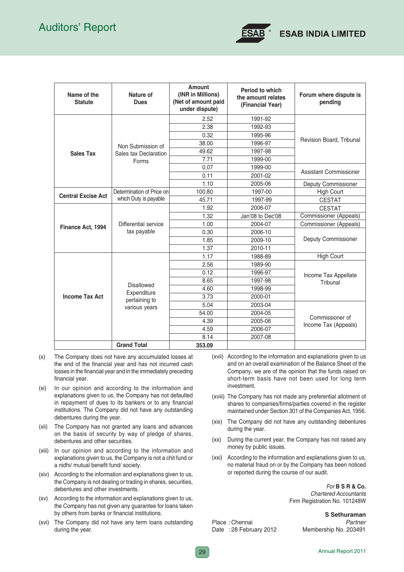

| Name of the<br><b>Statute</b> | Nature of<br><b>Dues</b>            | Amount<br>(INR in Millions)<br>(Net of amount paid<br>under dispute) | Period to which<br>the amount relates<br>(Financial Year) | Forum where dispute is<br>pending |
|-------------------------------|-------------------------------------|----------------------------------------------------------------------|-----------------------------------------------------------|-----------------------------------|
|                               |                                     | 2.52                                                                 | 1991-92                                                   |                                   |
|                               |                                     | 2.38                                                                 | 1992-93                                                   |                                   |
|                               |                                     | 0.32                                                                 | 1995-96                                                   |                                   |
|                               | Non Submission of                   | 38.00                                                                | 1996-97                                                   | Revision Board, Tribunal          |
| <b>Sales Tax</b>              | Sales tax Declaration               | 49.62                                                                | 1997-98                                                   |                                   |
|                               | Forms                               | 7.71                                                                 | 1999-00                                                   |                                   |
|                               |                                     | 0.07                                                                 | 1999-00                                                   | <b>Assistant Commissioner</b>     |
|                               |                                     | 0.11                                                                 | 2001-02                                                   |                                   |
|                               |                                     | 1.10                                                                 | 2005-06                                                   | Deputy Commissioner               |
| <b>Central Excise Act</b>     | Determination of Price on           | 100.80                                                               | 1997-00                                                   | <b>High Court</b>                 |
|                               | which Duty is payable               | 45.71                                                                | 1997-99                                                   | <b>CESTAT</b>                     |
|                               |                                     |                                                                      | 2006-07                                                   | <b>CESTAT</b>                     |
|                               |                                     | 1.32                                                                 | Jan'08 to Dec'08                                          | Commissioner (Appeals)            |
| Finance Act, 1994             | Differential service<br>tax payable | 1.00                                                                 | 2004-07                                                   | Commissioner (Appeals)            |
|                               |                                     | 0.30                                                                 | 2006-10                                                   |                                   |
|                               |                                     | 1.85                                                                 | 2009-10                                                   | Deputy Commissioner               |
|                               |                                     | 1.37                                                                 | 2010-11                                                   |                                   |
|                               |                                     | 1.17                                                                 | 1988-89                                                   | <b>High Court</b>                 |
|                               |                                     | 2.56                                                                 | 1989-90                                                   |                                   |
|                               |                                     | 0.12                                                                 | 1996-97                                                   | Income Tax Appellate              |
|                               | <b>Disallowed</b>                   | 8.65                                                                 | 1997-98                                                   | Tribunal                          |
|                               | Expenditure                         | 4.60                                                                 | 1998-99                                                   |                                   |
| <b>Income Tax Act</b>         | pertaining to                       | 3.73                                                                 | 2000-01                                                   |                                   |
|                               | various years                       | 5.04                                                                 | 2003-04                                                   |                                   |
|                               |                                     | 54.00                                                                | 2004-05                                                   | Commissioner of                   |
|                               |                                     | 4.39                                                                 | 2005-06                                                   | Income Tax (Appeals)              |
|                               |                                     | 4.59                                                                 | 2006-07                                                   |                                   |
|                               |                                     | 8.14                                                                 | 2007-08                                                   |                                   |
|                               | <b>Grand Total</b>                  | 353.09                                                               |                                                           |                                   |

- (x) The Company does not have any accumulated losses at the end of the financial year and has not incurred cash losses in the financial year and in the immediately preceding financial year.
- (xi) In our opinion and according to the information and explanations given to us, the Company has not defaulted in repayment of dues to its bankers or to any financial institutions. The Company did not have any outstanding debentures during the year.
- (xii) The Company has not granted any loans and advances on the basis of security by way of pledge of shares, debentures and other securities.
- (xiii) In our opinion and according to the information and explanations given to us, the Company is not a chit fund or a nidhi/ mutual benefit fund/ society.
- (xiv) According to the information and explanations given to us, the Company is not dealing or trading in shares, securities, debentures and other investments.
- (xv) According to the information and explanations given to us, the Company has not given any guarantee for loans taken by others from banks or financial institutions.
- (xvi) The Company did not have any term loans outstanding during the year.
- (xvii) According to the information and explanations given to us and on an overall examination of the Balance Sheet of the Company, we are of the opinion that the funds raised on short-term basis have not been used for long term investment.
- (xviii) The Company has not made any preferential allotment of shares to companies/firms/parties covered in the register maintained under Section 301 of the Companies Act, 1956.
- (xix) The Company did not have any outstanding debentures during the year.
- (xx) During the current year, the Company has not raised any money by public issues.
- (xxi) According to the information and explanations given to us, no material fraud on or by the Company has been noticed or reported during the course of our audit.

For **B S R & Co.** Chartered Accountants Firm Registration No. 101248W

Place : Chennai Partner Date: 28 February 2012 Membership No. 203491

**S Sethuraman**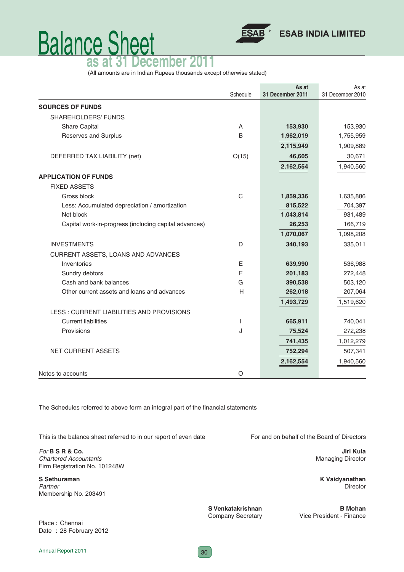

## **Balance Sheet**<br>as at 31 December 20

(All amounts are in Indian Rupees thousands except otherwise stated)

|                                                       |          | As at            | As at            |
|-------------------------------------------------------|----------|------------------|------------------|
|                                                       | Schedule | 31 December 2011 | 31 December 2010 |
| <b>SOURCES OF FUNDS</b>                               |          |                  |                  |
| SHAREHOLDERS' FUNDS                                   |          |                  |                  |
| <b>Share Capital</b>                                  | Α        | 153,930          | 153,930          |
| <b>Reserves and Surplus</b>                           | B        | 1,962,019        | 1,755,959        |
|                                                       |          | 2,115,949        | 1,909,889        |
| DEFERRED TAX LIABILITY (net)                          | O(15)    | 46,605           | 30,671           |
|                                                       |          | 2,162,554        | 1,940,560        |
| <b>APPLICATION OF FUNDS</b>                           |          |                  |                  |
| <b>FIXED ASSETS</b>                                   |          |                  |                  |
| Gross block                                           | C        | 1,859,336        | 1,635,886        |
| Less: Accumulated depreciation / amortization         |          | 815,522          | 704,397          |
| Net block                                             |          | 1,043,814        | 931,489          |
| Capital work-in-progress (including capital advances) |          | 26,253           | 166,719          |
|                                                       |          | 1,070,067        | 1,098,208        |
| <b>INVESTMENTS</b>                                    | D        | 340,193          | 335,011          |
| CURRENT ASSETS, LOANS AND ADVANCES                    |          |                  |                  |
| Inventories                                           | E        | 639,990          | 536,988          |
| Sundry debtors                                        | F        | 201,183          | 272,448          |
| Cash and bank balances                                | G        | 390,538          | 503,120          |
| Other current assets and loans and advances           | H        | 262,018          | 207,064          |
|                                                       |          | 1,493,729        | 1,519,620        |
| LESS: CURRENT LIABILITIES AND PROVISIONS              |          |                  |                  |
| <b>Current liabilities</b>                            | I        | 665,911          | 740,041          |
| Provisions                                            | J        | 75,524           | 272,238          |
|                                                       |          | 741,435          | 1,012,279        |
| <b>NET CURRENT ASSETS</b>                             |          | 752,294          | 507,341          |
|                                                       |          | 2,162,554        | 1,940,560        |
| Notes to accounts                                     | $\circ$  |                  |                  |

The Schedules referred to above form an integral part of the financial statements

This is the balance sheet referred to in our report of even date For and on behalf of the Board of Directors

For **B S R & Co. Jiri Kula Chartered Accountants** Firm Registration No. 101248W

**S Sethuraman K Vaidyanathan** Partner **Director** Director **Director Director Director Director Director Director Director** Membership No. 203491

Place : Chennai Date : 28 February 2012

**S Venkatakrishnan B Mohan** Company Secretary Vice President - Finance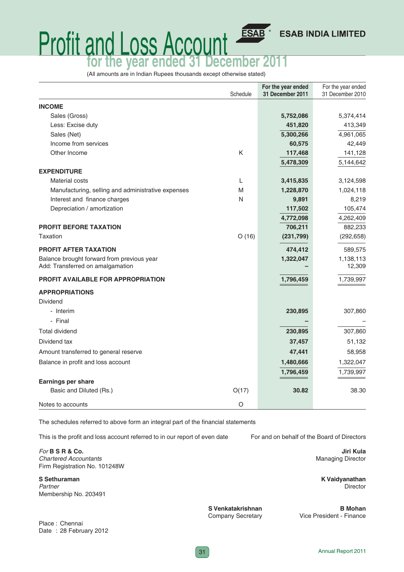## **ESAB INDIA LIMITED**

**for the year ended 31 December 2011** 

(All amounts are in Indian Rupees thousands except otherwise stated)

|                                                                                | Schedule | For the year ended<br>31 December 2011 | For the year ended<br>31 December 2010 |
|--------------------------------------------------------------------------------|----------|----------------------------------------|----------------------------------------|
| <b>INCOME</b>                                                                  |          |                                        |                                        |
|                                                                                |          |                                        |                                        |
| Sales (Gross)                                                                  |          | 5,752,086                              | 5,374,414                              |
| Less: Excise duty                                                              |          | 451,820                                | 413,349                                |
| Sales (Net)                                                                    |          | 5,300,266                              | 4,961,065                              |
| Income from services                                                           |          | 60,575                                 | 42,449                                 |
| Other Income                                                                   | Κ        | 117,468                                | 141,128                                |
|                                                                                |          | 5,478,309                              | 5,144,642                              |
| <b>EXPENDITURE</b>                                                             |          |                                        |                                        |
| Material costs                                                                 | L        | 3,415,835                              | 3,124,598                              |
| Manufacturing, selling and administrative expenses                             | M        | 1,228,870                              | 1,024,118                              |
| Interest and finance charges                                                   | N        | 9,891                                  | 8,219                                  |
| Depreciation / amortization                                                    |          | 117,502                                | 105,474                                |
|                                                                                |          | 4,772,098                              | 4,262,409                              |
| <b>PROFIT BEFORE TAXATION</b>                                                  |          | 706,211                                | 882,233                                |
| Taxation                                                                       | O(16)    | (231, 799)                             | (292, 658)                             |
| <b>PROFIT AFTER TAXATION</b>                                                   |          | 474,412                                | 589,575                                |
| Balance brought forward from previous year<br>Add: Transferred on amalgamation |          | 1,322,047                              | 1,138,113<br>12,309                    |
| <b>PROFIT AVAILABLE FOR APPROPRIATION</b>                                      |          | 1,796,459                              | 1,739,997                              |
| <b>APPROPRIATIONS</b>                                                          |          |                                        |                                        |
| <b>Dividend</b>                                                                |          |                                        |                                        |
| - Interim                                                                      |          | 230,895                                | 307,860                                |
| - Final                                                                        |          |                                        |                                        |
| <b>Total dividend</b>                                                          |          | 230,895                                | 307,860                                |
| Dividend tax                                                                   |          | 37,457                                 | 51,132                                 |
| Amount transferred to general reserve                                          |          | 47,441                                 | 58,958                                 |
| Balance in profit and loss account                                             |          | 1,480,666                              | 1,322,047                              |
|                                                                                |          | 1,796,459                              | 1,739,997                              |
| <b>Earnings per share</b>                                                      |          |                                        |                                        |
| Basic and Diluted (Rs.)                                                        | O(17)    | 30.82                                  | 38.30                                  |
| Notes to accounts                                                              | O        |                                        |                                        |

The schedules referred to above form an integral part of the financial statements

This is the profit and loss account referred to in our report of even date For and on behalf of the Board of Directors

For **B S R & Co. Jiri Kula Chartered Accountants** Firm Registration No. 101248W

**S Sethuraman K Vaidyanathan** Partner **Director** Director **Director Director Director Director Director Director** Membership No. 203491

Place : Chennai Date : 28 February 2012

**S Venkatakrishnan B Mohan** Company Secretary Vice President - Finance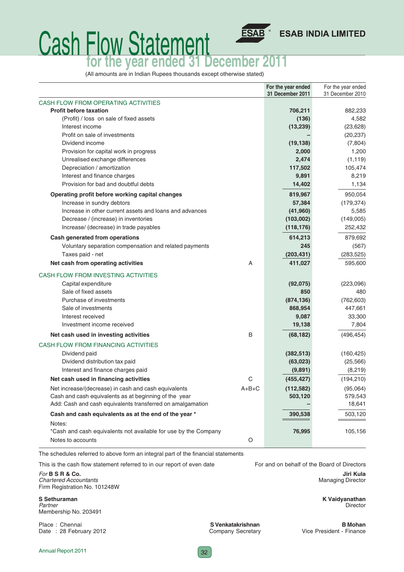

## **Cash Flow Statement**

(All amounts are in Indian Rupees thousands except otherwise stated)

|                                                                 |       | For the year ended<br>31 December 2011 | For the year ended<br>31 December 2010 |
|-----------------------------------------------------------------|-------|----------------------------------------|----------------------------------------|
| CASH FLOW FROM OPERATING ACTIVITIES                             |       |                                        |                                        |
| <b>Profit before taxation</b>                                   |       | 706,211                                | 882,233                                |
| (Profit) / loss on sale of fixed assets                         |       | (136)                                  | 4,582                                  |
| Interest income                                                 |       | (13, 239)                              | (23, 628)                              |
| Profit on sale of investments                                   |       |                                        | (20, 237)                              |
| Dividend income                                                 |       | (19, 138)                              | (7,804)                                |
| Provision for capital work in progress                          |       | 2,000                                  | 1,200                                  |
| Unrealised exchange differences                                 |       | 2,474                                  | (1, 119)                               |
| Depreciation / amortization                                     |       | 117,502                                | 105,474                                |
| Interest and finance charges                                    |       | 9,891                                  | 8,219                                  |
| Provision for bad and doubtful debts                            |       | 14,402                                 | 1,134                                  |
| Operating profit before working capital changes                 |       | 819,967                                | 950,054                                |
| Increase in sundry debtors                                      |       | 57,384                                 | (179, 374)                             |
| Increase in other current assets and loans and advances         |       | (41, 960)                              | 5,585                                  |
| Decrease / (increase) in inventories                            |       | (103,002)                              | (149,005)                              |
| Increase/ (decrease) in trade payables                          |       | (118, 176)                             | 252,432                                |
| Cash generated from operations                                  |       | 614,213                                | 879,692                                |
| Voluntary separation compensation and related payments          |       | 245                                    | (567)                                  |
| Taxes paid - net                                                |       | (203, 431)                             | (283, 525)                             |
| Net cash from operating activities                              | A     | 411,027                                | 595,600                                |
| CASH FLOW FROM INVESTING ACTIVITIES                             |       |                                        |                                        |
| Capital expenditure                                             |       | (92,075)                               | (223,096)                              |
| Sale of fixed assets                                            |       | 850                                    | 480                                    |
| Purchase of investments                                         |       | (874, 136)                             | (762, 603)                             |
| Sale of investments                                             |       | 868,954                                | 447,661                                |
| Interest received                                               |       | 9,087                                  | 33,300                                 |
| Investment income received                                      |       | 19,138                                 | 7,804                                  |
| Net cash used in investing activities                           | B     | (68, 182)                              | (496, 454)                             |
| CASH FLOW FROM FINANCING ACTIVITIES                             |       |                                        |                                        |
| Dividend paid                                                   |       | (382, 513)                             | (160, 425)                             |
| Dividend distribution tax paid                                  |       | (63, 023)                              | (25, 566)                              |
| Interest and finance charges paid                               |       | (9,891)                                | (8,219)                                |
| Net cash used in financing activities                           | C     | (455, 427)                             | (194, 210)                             |
| Net increase/(decrease) in cash and cash equivalents            |       |                                        |                                        |
| Cash and cash equivalents as at beginning of the year           | A+B+C | (112, 582)<br>503,120                  | (95,064)<br>579,543                    |
| Add: Cash and cash equivalents transferred on amalgamation      |       |                                        | 18,641                                 |
| Cash and cash equivalents as at the end of the year *           |       | 390,538                                | 503,120                                |
| Notes:                                                          |       |                                        |                                        |
| *Cash and cash equivalents not available for use by the Company |       | 76,995                                 | 105,156                                |
| Notes to accounts                                               | O     |                                        |                                        |
|                                                                 |       |                                        |                                        |

The schedules referred to above form an integral part of the financial statements

This is the cash flow statement referred to in our report of even date For and on behalf of the Board of Directors For **B S R & Co. Jiri Kula Chartered Accountants** Managing Director Managing Director Firm Registration No. 101248W

**S Sethuraman K Vaidyanathan** P*artner* Director **Director** Director **Director** Director **Director** Director **Director** Membership No. 203491

Place : Chennai **B Mohan**<br>
Date : 28 February 2012 **BMohan**<br>
Company Secretary **B Mohan**<br>
Company Secretary **B Mohan**<br>
Vice President - Finance Date : 28 February 2012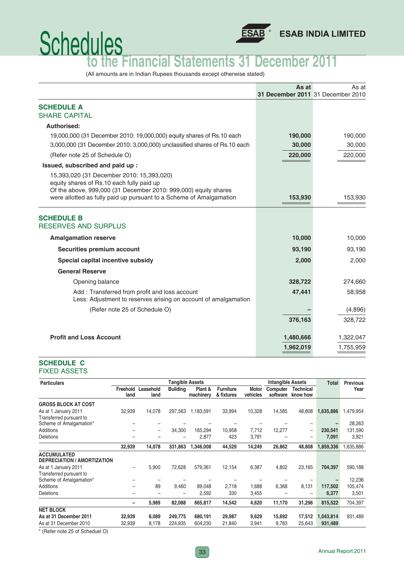

 $^{\circ}$ 

## **Schedules**<br>to the Financial Statements 31 December 2011

(All amounts are in Indian Rupees thousands except otherwise stated)

|                                                                                                                                                                                                                                  | As at<br>31 December 2011 31 December 2010 | As at             |
|----------------------------------------------------------------------------------------------------------------------------------------------------------------------------------------------------------------------------------|--------------------------------------------|-------------------|
|                                                                                                                                                                                                                                  |                                            |                   |
| <b>SCHEDULE A</b><br><b>SHARE CAPITAL</b>                                                                                                                                                                                        |                                            |                   |
| Authorised:                                                                                                                                                                                                                      |                                            |                   |
|                                                                                                                                                                                                                                  |                                            |                   |
| 19,000,000 (31 December 2010: 19,000,000) equity shares of Rs.10 each<br>3,000,000 (31 December 2010: 3,000,000) unclassified shares of Rs.10 each                                                                               | 190,000<br>30,000                          | 190,000<br>30,000 |
| (Refer note 25 of Schedule O)                                                                                                                                                                                                    | 220,000                                    | 220,000           |
| Issued, subscribed and paid up:                                                                                                                                                                                                  |                                            |                   |
| 15,393,020 (31 December 2010: 15,393,020)<br>equity shares of Rs.10 each fully paid up<br>Of the above, 999,000 (31 December 2010: 999,000) equity shares<br>were allotted as fully paid up pursuant to a Scheme of Amalgamation | 153,930                                    | 153,930           |
|                                                                                                                                                                                                                                  |                                            |                   |
| <b>SCHEDULE B</b><br><b>RESERVES AND SURPLUS</b>                                                                                                                                                                                 |                                            |                   |
| <b>Amalgamation reserve</b>                                                                                                                                                                                                      | 10,000                                     | 10,000            |
| Securities premium account                                                                                                                                                                                                       | 93,190                                     | 93,190            |
| Special capital incentive subsidy                                                                                                                                                                                                | 2,000                                      | 2,000             |
| <b>General Reserve</b>                                                                                                                                                                                                           |                                            |                   |
| Opening balance                                                                                                                                                                                                                  | 328,722                                    | 274,660           |
| Add: Transferred from profit and loss account<br>Less: Adjustment to reserves arising on account of amalgamation                                                                                                                 | 47,441                                     | 58,958            |
| (Refer note 25 of Schedule O)                                                                                                                                                                                                    |                                            | (4,896)           |
|                                                                                                                                                                                                                                  | 376,163                                    | 328,722           |
|                                                                                                                                                                                                                                  |                                            |                   |
| <b>Profit and Loss Account</b>                                                                                                                                                                                                   | 1,480,666                                  | 1,322,047         |
|                                                                                                                                                                                                                                  | 1,962,019                                  | 1,755,959         |

## **SCHEDULE C** FIXED ASSETS

| <b>Particulars</b>                                       | <b>Tangible Assets</b><br><b>Intangible Assets</b> |                   |                 |                      |                                |                          | <b>Previous</b>      |                              |           |           |
|----------------------------------------------------------|----------------------------------------------------|-------------------|-----------------|----------------------|--------------------------------|--------------------------|----------------------|------------------------------|-----------|-----------|
|                                                          | Freehold<br>land                                   | Leasehold<br>land | <b>Building</b> | Plant &<br>machinery | <b>Furniture</b><br>& fixtures | <b>Motor</b><br>vehicles | Computer<br>software | <b>Technical</b><br>know how | Total     | Year      |
| <b>GROSS BLOCK AT COST</b>                               |                                                    |                   |                 |                      |                                |                          |                      |                              |           |           |
| As at 1 January 2011                                     | 32,939                                             | 14,078            | 297,563         | 1,183,591            | 33,994                         | 10,328                   | 14,585               | 48,808                       | 1,635,886 | 1,479,954 |
| Transferred pursuant to                                  |                                                    |                   |                 |                      |                                |                          |                      |                              |           |           |
| Scheme of Amalgamation*                                  |                                                    |                   |                 |                      |                                |                          |                      | $\overline{\phantom{0}}$     |           | 28,263    |
| Additions                                                |                                                    | -                 | 34,300          | 165,294              | 10,958                         | 7,712                    | 12,277               | $\qquad \qquad -$            | 230,541   | 131,590   |
| <b>Deletions</b>                                         |                                                    |                   |                 | 2,877                | 423                            | 3,791                    |                      | -                            | 7,091     | 3,921     |
|                                                          | 32,939                                             | 14,078            | 331,863         | 1,346,008            | 44,529                         | 14,249                   | 26,862               | 48,808                       | 1,859,336 | 1,635,886 |
| <b>ACCUMULATED</b><br><b>DEPRECIATION / AMORTIZATION</b> |                                                    |                   |                 |                      |                                |                          |                      |                              |           |           |
| As at 1 January 2011                                     |                                                    | 5,900             | 72,628          | 579,361              | 12,154                         | 6,387                    | 4,802                | 23,165                       | 704,397   | 590,188   |
| Transferred pursuant to                                  |                                                    |                   |                 |                      |                                |                          |                      |                              |           |           |
| Scheme of Amalgamation*                                  |                                                    |                   |                 |                      |                                |                          |                      |                              |           | 12,236    |
| Additions                                                |                                                    | 89                | 9,460           | 89,048               | 2,718                          | 1,688                    | 6,368                | 8,131                        | 117,502   | 105,474   |
| <b>Deletions</b>                                         |                                                    | -                 |                 | 2,592                | 330                            | 3,455                    |                      |                              | 6,377     | 3,501     |
|                                                          |                                                    | 5,989             | 82,088          | 665,817              | 14,542                         | 4,620                    | 11,170               | 31,296                       | 815,522   | 704,397   |
| <b>NET BLOCK</b>                                         |                                                    |                   |                 |                      |                                |                          |                      |                              |           |           |
| As at 31 December 2011                                   | 32,939                                             | 8,089             | 249,775         | 680,191              | 29,987                         | 9,629                    | 15,692               | 17,512                       | 1,043,814 | 931,489   |
| As at 31 December 2010                                   | 32,939                                             | 8,178             | 224,935         | 604,230              | 21,840                         | 3,941                    | 9,783                | 25,643                       | 931,489   |           |

\* (Refer note 25 of Scheduel O)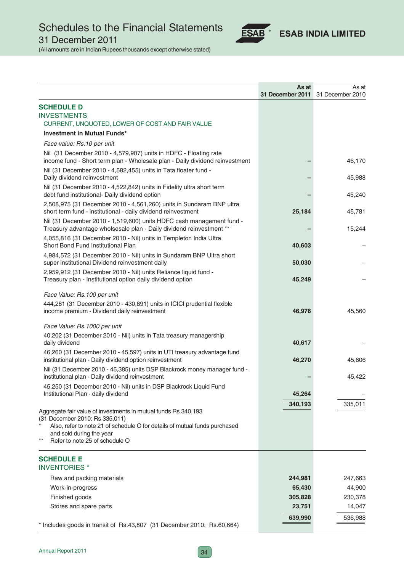

|                                                                                                                                                                                | As at<br>31 December 2011 | As at<br>31 December 2010 |
|--------------------------------------------------------------------------------------------------------------------------------------------------------------------------------|---------------------------|---------------------------|
| <b>SCHEDULE D</b>                                                                                                                                                              |                           |                           |
| <b>INVESTMENTS</b>                                                                                                                                                             |                           |                           |
| CURRENT, UNQUOTED, LOWER OF COST AND FAIR VALUE                                                                                                                                |                           |                           |
| <b>Investment in Mutual Funds*</b>                                                                                                                                             |                           |                           |
| Face value: Rs. 10 per unit                                                                                                                                                    |                           |                           |
| Nil (31 December 2010 - 4,579,907) units in HDFC - Floating rate<br>income fund - Short term plan - Wholesale plan - Daily dividend reinvestment                               |                           | 46,170                    |
| Nil (31 December 2010 - 4,582,455) units in Tata floater fund -<br>Daily dividend reinvestment                                                                                 |                           | 45,988                    |
| Nil (31 December 2010 - 4,522,842) units in Fidelity ultra short term<br>debt fund institutional- Daily dividend option                                                        |                           | 45,240                    |
| 2,508,975 (31 December 2010 - 4,561,260) units in Sundaram BNP ultra<br>short term fund - institutional - daily dividend reinvestment                                          | 25,184                    | 45,781                    |
| Nil (31 December 2010 - 1,519,600) units HDFC cash management fund -<br>Treasury advantage wholsesale plan - Daily dividend reinvestment **                                    |                           | 15,244                    |
| 4,055,816 (31 December 2010 - Nil) units in Templeton India Ultra<br>Short Bond Fund Institutional Plan                                                                        | 40,603                    |                           |
| 4,984,572 (31 December 2010 - Nil) units in Sundaram BNP Ultra short<br>super institutional Dividend reinvestment daily                                                        | 50,030                    |                           |
| 2,959,912 (31 December 2010 - Nil) units Reliance liquid fund -<br>Treasury plan - Institutional option daily dividend option                                                  | 45,249                    |                           |
| Face Value: Rs. 100 per unit                                                                                                                                                   |                           |                           |
| 444,281 (31 December 2010 - 430,891) units in ICICI prudential flexible<br>income premium - Dividend daily reinvestment                                                        | 46,976                    | 45,560                    |
| Face Value: Rs. 1000 per unit                                                                                                                                                  |                           |                           |
| 40,202 (31 December 2010 - Nil) units in Tata treasury managership<br>daily dividend                                                                                           | 40,617                    |                           |
| 46,260 (31 December 2010 - 45,597) units in UTI treasury advantage fund<br>institutional plan - Daily dividend option reinvestment                                             | 46,270                    | 45,606                    |
| Nil (31 December 2010 - 45,385) units DSP Blackrock money manager fund -<br>institutional plan - Daily dividend reinvestment                                                   |                           | 45,422                    |
| 45,250 (31 December 2010 - Nil) units in DSP Blackrock Liquid Fund<br>Institutional Plan - daily dividend                                                                      | 45,264                    |                           |
|                                                                                                                                                                                | 340,193                   | 335,011                   |
| Aggregate fair value of investments in mutual funds Rs 340,193<br>(31 December 2010: Rs 335,011)<br>Also, refer to note 21 of schedule O for details of mutual funds purchased |                           |                           |
| and sold during the year<br>Refer to note 25 of schedule O<br>$***$                                                                                                            |                           |                           |
| <b>SCHEDULE E</b><br><b>INVENTORIES*</b>                                                                                                                                       |                           |                           |
| Raw and packing materials                                                                                                                                                      | 244,981                   | 247,663                   |
| Work-in-progress                                                                                                                                                               | 65,430                    | 44,900                    |
| Finished goods                                                                                                                                                                 | 305,828                   | 230,378                   |
| Stores and spare parts                                                                                                                                                         | 23,751                    | 14,047                    |
|                                                                                                                                                                                | 639,990                   | 536,988                   |
| * Includes goods in transit of Rs.43,807 (31 December 2010: Rs.60,664)                                                                                                         |                           |                           |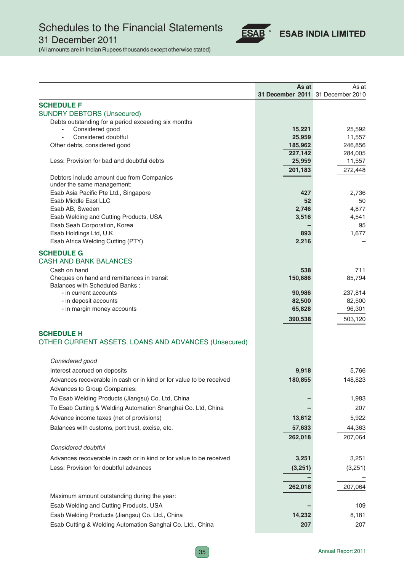

|                                                      | As at                             | As at   |
|------------------------------------------------------|-----------------------------------|---------|
|                                                      | 31 December 2011 31 December 2010 |         |
| <b>SCHEDULE F</b>                                    |                                   |         |
| <b>SUNDRY DEBTORS (Unsecured)</b>                    |                                   |         |
| Debts outstanding for a period exceeding six months  |                                   |         |
| Considered good                                      | 15,221                            | 25,592  |
| Considered doubtful                                  | 25,959                            | 11,557  |
| Other debts, considered good                         | 185,962                           | 246,856 |
|                                                      | 227,142                           | 284,005 |
| Less: Provision for bad and doubtful debts           | 25,959                            | 11,557  |
|                                                      | 201,183                           | 272,448 |
| Debtors include amount due from Companies            |                                   |         |
| under the same management:                           |                                   |         |
| Esab Asia Pacific Pte Ltd., Singapore                | 427                               | 2,736   |
| Esab Middle East LLC                                 | 52                                | 50      |
| Esab AB, Sweden                                      | 2,746                             | 4,877   |
| Esab Welding and Cutting Products, USA               | 3,516                             | 4,541   |
| Esab Seah Corporation, Korea                         |                                   | 95      |
| Esab Holdings Ltd, U.K                               | 893                               | 1,677   |
| Esab Africa Welding Cutting (PTY)                    | 2,216                             |         |
| <b>SCHEDULE G</b>                                    |                                   |         |
| <b>CASH AND BANK BALANCES</b>                        |                                   |         |
| Cash on hand                                         | 538                               | 711     |
| Cheques on hand and remittances in transit           | 150,686                           | 85,794  |
| <b>Balances with Scheduled Banks:</b>                |                                   |         |
| - in current accounts                                | 90,986                            | 237,814 |
| - in deposit accounts                                | 82,500                            | 82,500  |
| - in margin money accounts                           | 65,828                            | 96,301  |
|                                                      | 390,538                           | 503,120 |
| <b>SCHEDULE H</b>                                    |                                   |         |
| OTHER CURRENT ASSETS, LOANS AND ADVANCES (Unsecured) |                                   |         |
|                                                      |                                   |         |
| Considered aood                                      |                                   |         |

| <u>Considered good</u>                                              |         |         |
|---------------------------------------------------------------------|---------|---------|
| Interest accrued on deposits                                        | 9,918   | 5,766   |
| Advances recoverable in cash or in kind or for value to be received | 180,855 | 148,823 |
| Advances to Group Companies:                                        |         |         |
| To Esab Welding Products (Jiangsu) Co. Ltd, China                   |         | 1,983   |
| To Esab Cutting & Welding Automation Shanghai Co. Ltd, China        |         | 207     |
| Advance income taxes (net of provisions)                            | 13,612  | 5,922   |
| Balances with customs, port trust, excise, etc.                     | 57,633  | 44,363  |
|                                                                     | 262,018 | 207,064 |
| Considered doubtful                                                 |         |         |
| Advances recoverable in cash or in kind or for value to be received | 3,251   | 3,251   |
| Less: Provision for doubtful advances                               | (3,251) | (3,251) |
|                                                                     |         |         |
|                                                                     | 262,018 | 207,064 |
| Maximum amount outstanding during the year:                         |         |         |
| Esab Welding and Cutting Products, USA                              |         | 109     |
| Esab Welding Products (Jiangsu) Co. Ltd., China                     | 14,232  | 8,181   |
| Esab Cutting & Welding Automation Sanghai Co. Ltd., China           | 207     | 207     |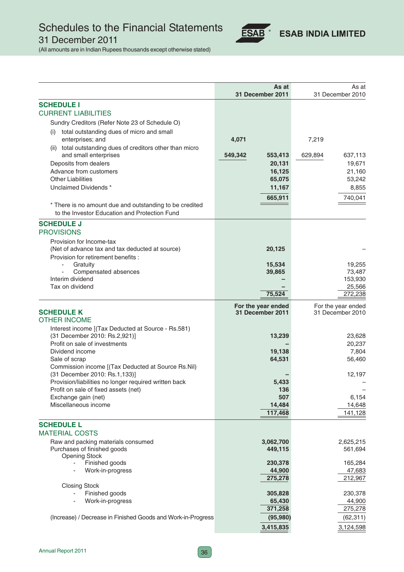

|                                                                                                                        | As at<br>31 December 2011              | As at<br>31 December 2010              |
|------------------------------------------------------------------------------------------------------------------------|----------------------------------------|----------------------------------------|
| <b>SCHEDULE I</b><br><b>CURRENT LIABILITIES</b>                                                                        |                                        |                                        |
| Sundry Creditors (Refer Note 23 of Schedule O)<br>total outstanding dues of micro and small<br>(i)<br>enterprises; and | 4,071                                  | 7,219                                  |
| (ii) total outstanding dues of creditors other than micro<br>and small enterprises                                     | 549,342<br>553,413                     | 629,894<br>637,113                     |
| Deposits from dealers<br>Advance from customers<br><b>Other Liabilities</b>                                            | 20,131<br>16,125<br>65,075             | 19,671<br>21,160<br>53,242             |
| Unclaimed Dividends *                                                                                                  | 11,167<br>665,911                      | 8,855<br>740,041                       |
| * There is no amount due and outstanding to be credited<br>to the Investor Education and Protection Fund               |                                        |                                        |
| <b>SCHEDULE J</b><br><b>PROVISIONS</b>                                                                                 |                                        |                                        |
| Provision for Income-tax<br>(Net of advance tax and tax deducted at source)<br>Provision for retirement benefits :     | 20,125                                 |                                        |
| Gratuity<br>Compensated absences                                                                                       | 15,534<br>39,865                       | 19,255<br>73,487                       |
| Interim dividend<br>Tax on dividend                                                                                    | 75,524                                 | 153,930<br>25,566<br>272,238           |
| <b>SCHEDULE K</b><br><b>OTHER INCOME</b>                                                                               | For the year ended<br>31 December 2011 | For the year ended<br>31 December 2010 |
| Interest income [(Tax Deducted at Source - Rs.581)<br>(31 December 2010: Rs.2,921)]                                    | 13,239                                 | 23,628                                 |
| Profit on sale of investments<br>Dividend income<br>Sale of scrap                                                      | 19,138<br>64,531                       | 20,237<br>7,804<br>56,460              |
| Commission income [(Tax Deducted at Source Rs.Nil)<br>(31 December 2010: Rs.1,133)]                                    |                                        | 12,197                                 |
| Provision/liabilities no longer required written back<br>Profit on sale of fixed assets (net)<br>Exchange gain (net)   | 5,433<br>136<br>507                    | 6,154                                  |
| Miscellaneous income                                                                                                   | 14,484<br>117,468                      | 14,648<br>141,128                      |
| <b>SCHEDULE L</b><br><b>MATERIAL COSTS</b>                                                                             |                                        |                                        |
| Raw and packing materials consumed<br>Purchases of finished goods<br><b>Opening Stock</b>                              | 3,062,700<br>449,115                   | 2,625,215<br>561,694                   |
| Finished goods<br>Work-in-progress                                                                                     | 230,378<br>44,900<br>275,278           | 165,284<br>47,683<br>212,967           |
| <b>Closing Stock</b><br>Finished goods<br>Work-in-progress                                                             | 305,828<br>65,430                      | 230,378<br>44,900                      |
| (Increase) / Decrease in Finished Goods and Work-in-Progress                                                           | 371,258<br>(95, 980)                   | 275,278<br>(62, 311)                   |
|                                                                                                                        | 3,415,835                              | 3,124,598                              |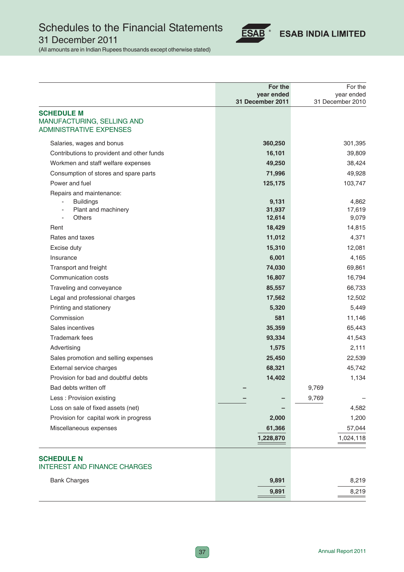## Schedules to the Financial Statements 31 December 2011



|                                            | For the                        | For the                        |
|--------------------------------------------|--------------------------------|--------------------------------|
|                                            | year ended<br>31 December 2011 | year ended<br>31 December 2010 |
| <b>SCHEDULE M</b>                          |                                |                                |
| MANUFACTURING, SELLING AND                 |                                |                                |
| <b>ADMINISTRATIVE EXPENSES</b>             |                                |                                |
| Salaries, wages and bonus                  | 360,250                        | 301,395                        |
| Contributions to provident and other funds | 16,101                         | 39,809                         |
| Workmen and staff welfare expenses         | 49,250                         | 38,424                         |
| Consumption of stores and spare parts      | 71,996                         | 49,928                         |
| Power and fuel                             | 125,175                        | 103,747                        |
| Repairs and maintenance:                   |                                |                                |
| <b>Buildings</b>                           | 9,131                          | 4,862                          |
| Plant and machinery                        | 31,937                         | 17,619                         |
| <b>Others</b>                              | 12,614                         | 9,079                          |
| Rent                                       | 18,429                         | 14,815                         |
| Rates and taxes                            | 11,012                         | 4,371                          |
| Excise duty                                | 15,310                         | 12,081                         |
| Insurance                                  | 6,001                          | 4,165                          |
| Transport and freight                      | 74,030                         | 69,861                         |
| Communication costs                        | 16,807                         | 16,794                         |
| Traveling and conveyance                   | 85,557                         | 66,733                         |
| Legal and professional charges             | 17,562                         | 12,502                         |
| Printing and stationery                    | 5,320                          | 5,449                          |
| Commission                                 | 581                            | 11,146                         |
| Sales incentives                           | 35,359                         | 65,443                         |
| <b>Trademark fees</b>                      | 93,334                         | 41,543                         |
| Advertising                                | 1,575                          | 2,111                          |
| Sales promotion and selling expenses       | 25,450                         | 22,539                         |
| External service charges                   | 68,321                         | 45,742                         |
| Provision for bad and doubtful debts       | 14,402                         | 1,134                          |
| Bad debts written off                      |                                | 9,769                          |
| Less : Provision existing                  |                                | 9,769                          |
| Loss on sale of fixed assets (net)         |                                | 4,582                          |
| Provision for capital work in progress     | 2,000                          | 1,200                          |
| Miscellaneous expenses                     | 61,366                         | 57,044                         |
|                                            | 1,228,870                      | 1,024,118                      |
| <b>SCHEDULE N</b>                          |                                |                                |
| <b>INTEREST AND FINANCE CHARGES</b>        |                                |                                |
| <b>Bank Charges</b>                        | 9,891                          | 8,219                          |
|                                            | 9,891                          | 8,219                          |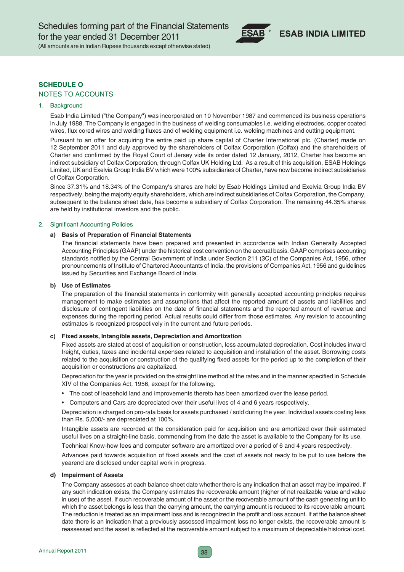

## **SCHEDULE O**

## NOTES TO ACCOUNTS

## 1. Background

Esab India Limited ("the Company") was incorporated on 10 November 1987 and commenced its business operations in July 1988. The Company is engaged in the business of welding consumables i.e. welding electrodes, copper coated wires, flux cored wires and welding fluxes and of welding equipment i.e. welding machines and cutting equipment.

Pursuant to an offer for acquiring the entire paid up share capital of Charter International plc. (Charter) made on 12 September 2011 and duly approved by the shareholders of Colfax Corporation (Colfax) and the shareholders of Charter and confirmed by the Royal Court of Jersey vide its order dated 12 January, 2012, Charter has become an indirect subsidiary of Colfax Corporation, through Colfax UK Holding Ltd. As a result of this acquisition, ESAB Holdings Limited, UK and Exelvia Group India BV which were 100% subsidiaries of Charter, have now become indirect subsidiaries of Colfax Corporation.

Since 37.31% and 18.34% of the Company's shares are held by Esab Holdings Limited and Exelvia Group India BV respectively, being the majority equity shareholders, which are indirect subsidiaries of Colfax Corporation, the Company, subsequent to the balance sheet date, has become a subsidiary of Colfax Corporation. The remaining 44.35% shares are held by institutional investors and the public.

### 2. Significant Accounting Policies

## **a) Basis of Preparation of Financial Statements**

The financial statements have been prepared and presented in accordance with Indian Generally Accepted Accounting Principles (GAAP) under the historical cost convention on the accrual basis. GAAP comprises accounting standards notified by the Central Government of India under Section 211 (3C) of the Companies Act, 1956, other pronouncements of Institute of Chartered Accountants of India, the provisions of Companies Act, 1956 and guidelines issued by Securities and Exchange Board of India.

### **b) Use of Estimates**

The preparation of the financial statements in conformity with generally accepted accounting principles requires management to make estimates and assumptions that affect the reported amount of assets and liabilities and disclosure of contingent liabilities on the date of financial statements and the reported amount of revenue and expenses during the reporting period. Actual results could differ from those estimates. Any revision to accounting estimates is recognized prospectively in the current and future periods.

### **c) Fixed assets, Intangible assets, Depreciation and Amortization**

Fixed assets are stated at cost of acquisition or construction, less accumulated depreciation. Cost includes inward freight, duties, taxes and incidental expenses related to acquisition and installation of the asset. Borrowing costs related to the acquisition or construction of the qualifying fixed assets for the period up to the completion of their acquisition or constructions are capitalized.

Depreciation for the year is provided on the straight line method at the rates and in the manner specified in Schedule XIV of the Companies Act, 1956, except for the following.

- The cost of leasehold land and improvements thereto has been amortized over the lease period.
- Computers and Cars are depreciated over their useful lives of 4 and 6 years respectively.

Depreciation is charged on pro-rata basis for assets purchased / sold during the year. Individual assets costing less than Rs. 5,000/- are depreciated at 100%.

Intangible assets are recorded at the consideration paid for acquisition and are amortized over their estimated useful lives on a straight-line basis, commencing from the date the asset is available to the Company for its use.

Technical Know-how fees and computer software are amortized over a period of 6 and 4 years respectively.

Advances paid towards acquisition of fixed assets and the cost of assets not ready to be put to use before the yearend are disclosed under capital work in progress.

## **d) Impairment of Assets**

The Company assesses at each balance sheet date whether there is any indication that an asset may be impaired. If any such indication exists, the Company estimates the recoverable amount (higher of net realizable value and value in use) of the asset. If such recoverable amount of the asset or the recoverable amount of the cash generating unit to which the asset belongs is less than the carrying amount, the carrying amount is reduced to its recoverable amount. The reduction is treated as an impairment loss and is recognized in the profit and loss account. If at the balance sheet date there is an indication that a previously assessed impairment loss no longer exists, the recoverable amount is reassessed and the asset is reflected at the recoverable amount subject to a maximum of depreciable historical cost.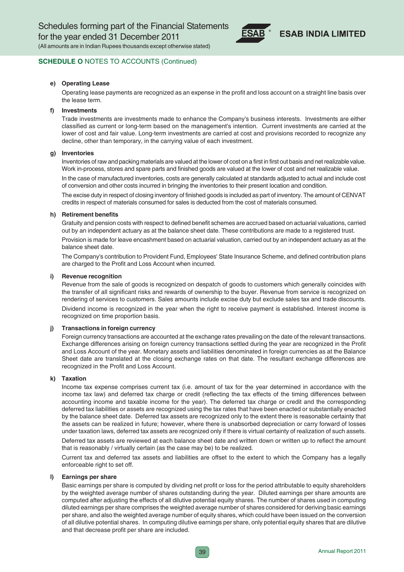

## **e) Operating Lease**

Operating lease payments are recognized as an expense in the profit and loss account on a straight line basis over the lease term.

## **f) Investments**

Trade investments are investments made to enhance the Company's business interests. Investments are either classified as current or long-term based on the management's intention. Current investments are carried at the lower of cost and fair value. Long-term investments are carried at cost and provisions recorded to recognize any decline, other than temporary, in the carrying value of each investment.

## **g) Inventories**

Inventories of raw and packing materials are valued at the lower of cost on a first in first out basis and net realizable value. Work in-process, stores and spare parts and finished goods are valued at the lower of cost and net realizable value.

In the case of manufactured inventories, costs are generally calculated at standards adjusted to actual and include cost of conversion and other costs incurred in bringing the inventories to their present location and condition.

The excise duty in respect of closing inventory of finished goods is included as part of inventory. The amount of CENVAT credits in respect of materials consumed for sales is deducted from the cost of materials consumed.

## **h) Retirement benefits**

Gratuity and pension costs with respect to defined benefit schemes are accrued based on actuarial valuations, carried out by an independent actuary as at the balance sheet date. These contributions are made to a registered trust. Provision is made for leave encashment based on actuarial valuation, carried out by an independent actuary as at the balance sheet date.

The Company's contribution to Provident Fund, Employees' State Insurance Scheme, and defined contribution plans are charged to the Profit and Loss Account when incurred.

## **i) Revenue recognition**

Revenue from the sale of goods is recognized on despatch of goods to customers which generally coincides with the transfer of all significant risks and rewards of ownership to the buyer. Revenue from service is recognized on rendering of services to customers. Sales amounts include excise duty but exclude sales tax and trade discounts. Dividend income is recognized in the year when the right to receive payment is established. Interest income is recognized on time proportion basis.

## **j) Transactions in foreign currency**

Foreign currency transactions are accounted at the exchange rates prevailing on the date of the relevant transactions. Exchange differences arising on foreign currency transactions settled during the year are recognized in the Profit and Loss Account of the year. Monetary assets and liabilities denominated in foreign currencies as at the Balance Sheet date are translated at the closing exchange rates on that date. The resultant exchange differences are recognized in the Profit and Loss Account.

## **k) Taxation**

Income tax expense comprises current tax (i.e. amount of tax for the year determined in accordance with the income tax law) and deferred tax charge or credit (reflecting the tax effects of the timing differences between accounting income and taxable income for the year). The deferred tax charge or credit and the corresponding deferred tax liabilities or assets are recognized using the tax rates that have been enacted or substantially enacted by the balance sheet date. Deferred tax assets are recognized only to the extent there is reasonable certainty that the assets can be realized in future; however, where there is unabsorbed depreciation or carry forward of losses under taxation laws, deferred tax assets are recognized only if there is virtual certainty of realization of such assets. Deferred tax assets are reviewed at each balance sheet date and written down or written up to reflect the amount that is reasonably / virtually certain (as the case may be) to be realized.

Current tax and deferred tax assets and liabilities are offset to the extent to which the Company has a legally enforceable right to set off.

## **l) Earnings per share**

Basic earnings per share is computed by dividing net profit or loss for the period attributable to equity shareholders by the weighted average number of shares outstanding during the year. Diluted earnings per share amounts are computed after adjusting the effects of all dilutive potential equity shares. The number of shares used in computing diluted earnings per share comprises the weighted average number of shares considered for deriving basic earnings per share, and also the weighted average number of equity shares, which could have been issued on the conversion of all dilutive potential shares. In computing dilutive earnings per share, only potential equity shares that are dilutive and that decrease profit per share are included.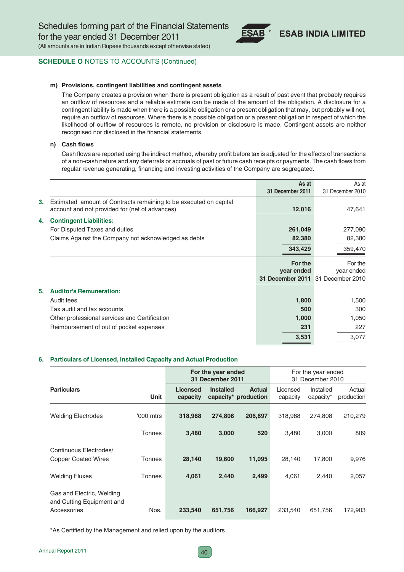

## **m) Provisions, contingent liabilities and contingent assets**

The Company creates a provision when there is present obligation as a result of past event that probably requires an outflow of resources and a reliable estimate can be made of the amount of the obligation. A disclosure for a contingent liability is made when there is a possible obligation or a present obligation that may, but probably will not, require an outflow of resources. Where there is a possible obligation or a present obligation in respect of which the likelihood of outflow of resources is remote, no provision or disclosure is made. Contingent assets are neither recognised nor disclosed in the financial statements.

## **n) Cash flows**

Cash flows are reported using the indirect method, whereby profit before tax is adjusted for the effects of transactions of a non-cash nature and any deferrals or accruals of past or future cash receipts or payments. The cash flows from regular revenue generating, financing and investing activities of the Company are segregated.

|                                                                                                                           | As at<br>31 December 2011 | As at<br>31 December 2010         |
|---------------------------------------------------------------------------------------------------------------------------|---------------------------|-----------------------------------|
| 3.<br>Estimated amount of Contracts remaining to be executed on capital<br>account and not provided for (net of advances) | 12,016                    | 47,641                            |
| <b>Contingent Liabilities:</b><br>4.                                                                                      |                           |                                   |
| For Disputed Taxes and duties                                                                                             | 261,049                   | 277,090                           |
| Claims Against the Company not acknowledged as debts                                                                      | 82,380                    | 82,380                            |
|                                                                                                                           | 343,429                   | 359,470                           |
|                                                                                                                           | For the<br>year ended     | For the<br>year ended             |
|                                                                                                                           |                           | 31 December 2011 31 December 2010 |
| 5.<br><b>Auditor's Remuneration:</b>                                                                                      |                           |                                   |
| Audit fees                                                                                                                | 1,800                     | 1,500                             |
| Tax audit and tax accounts                                                                                                | 500                       | 300                               |
| Other professional services and Certification                                                                             | 1,000                     | 1,050                             |
| Reimbursement of out of pocket expenses                                                                                   | 231                       | 227                               |
|                                                                                                                           | 3,531                     | 3,077                             |

## **6. Particulars of Licensed, Installed Capacity and Actual Production**

|                                                                       |             |                      | For the year ended<br>31 December 2011 |                                       |                      | For the year ended<br>31 December 2010 |                      |  |
|-----------------------------------------------------------------------|-------------|----------------------|----------------------------------------|---------------------------------------|----------------------|----------------------------------------|----------------------|--|
| <b>Particulars</b>                                                    | <b>Unit</b> | Licensed<br>capacity | <b>Installed</b>                       | <b>Actual</b><br>capacity* production | Licensed<br>capacity | Installed<br>capacity*                 | Actual<br>production |  |
| <b>Welding Electrodes</b>                                             | '000 mtrs   | 318,988              | 274,808                                | 206,897                               | 318,988              | 274,808                                | 210,279              |  |
|                                                                       | Tonnes      | 3,480                | 3,000                                  | 520                                   | 3,480                | 3,000                                  | 809                  |  |
| Continuous Electrodes/<br><b>Copper Coated Wires</b>                  | Tonnes      | 28,140               | 19,600                                 | 11,095                                | 28,140               | 17,800                                 | 9,976                |  |
| <b>Welding Fluxes</b>                                                 | Tonnes      | 4,061                | 2,440                                  | 2,499                                 | 4,061                | 2.440                                  | 2,057                |  |
| Gas and Electric, Welding<br>and Cutting Equipment and<br>Accessories | Nos.        | 233,540              | 651,756                                | 166,927                               | 233,540              | 651,756                                | 172,903              |  |

\*As Certified by the Management and relied upon by the auditors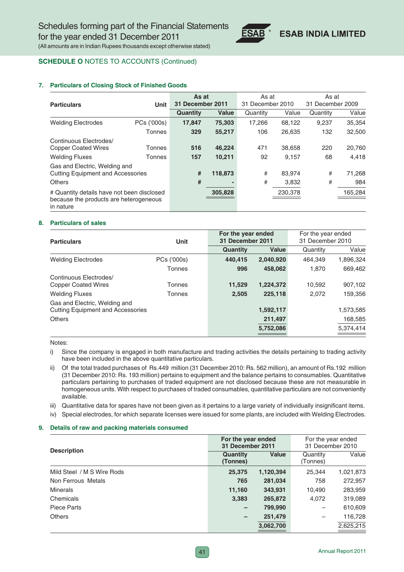

## **7. Particulars of Closing Stock of Finished Goods**

| <b>Particulars</b>                                                                                | <b>Unit</b>   | As at<br>31 December 2011 |         | As at<br>31 December 2010 |                 | As at<br>31 December 2009 |               |
|---------------------------------------------------------------------------------------------------|---------------|---------------------------|---------|---------------------------|-----------------|---------------------------|---------------|
|                                                                                                   |               | <b>Quantity</b>           | Value   | Quantity                  | Value           | Quantity                  | Value         |
| <b>Welding Electrodes</b>                                                                         | PCs ('000s)   | 17.847                    | 75,303  | 17,266                    | 68,122          | 9.237                     | 35,354        |
|                                                                                                   | Tonnes        | 329                       | 55,217  | 106                       | 26,635          | 132                       | 32,500        |
| Continuous Electrodes/<br><b>Copper Coated Wires</b>                                              | Tonnes        | 516                       | 46,224  | 471                       | 38,658          | 220                       | 20,760        |
| <b>Welding Fluxes</b>                                                                             | <b>Tonnes</b> | 157                       | 10.211  | 92                        | 9.157           | 68                        | 4.418         |
| Gas and Electric, Welding and<br><b>Cutting Equipment and Accessories</b><br>Others               |               | #<br>#                    | 118,873 | #<br>#                    | 83,974<br>3,832 | #<br>#                    | 71,268<br>984 |
| # Quantity details have not been disclosed<br>because the products are heterogeneous<br>in nature |               |                           | 305,828 |                           | 230,378         |                           | 165,284       |

## **8. Particulars of sales**

| <b>Particulars</b>                                                                         | Unit        | For the year ended<br>31 December 2011 |                                   | For the year ended<br>31 December 2010 |                                   |  |
|--------------------------------------------------------------------------------------------|-------------|----------------------------------------|-----------------------------------|----------------------------------------|-----------------------------------|--|
|                                                                                            |             | Quantity                               | <b>Value</b>                      | Quantity                               | Value                             |  |
| <b>Welding Electrodes</b>                                                                  | PCs ('000s) | 440.415                                | 2,040,920                         | 464.349                                | 1,896,324                         |  |
|                                                                                            | Tonnes      | 996                                    | 458.062                           | 1.870                                  | 669,462                           |  |
| Continuous Electrodes/<br><b>Copper Coated Wires</b>                                       | Tonnes      | 11,529                                 | 1,224,372                         | 10.592                                 | 907,102                           |  |
| <b>Welding Fluxes</b>                                                                      | Tonnes      | 2,505                                  | 225,118                           | 2.072                                  | 159,356                           |  |
| Gas and Electric, Welding and<br><b>Cutting Equipment and Accessories</b><br><b>Others</b> |             |                                        | 1,592,117<br>211,497<br>5,752,086 |                                        | 1,573,585<br>168,585<br>5,374,414 |  |

## Notes:

- i) Since the company is engaged in both manufacture and trading activities the details pertaining to trading activity have been included in the above quantitative particulars.
- ii) Of the total traded purchases of Rs.449 million (31 December 2010: Rs. 562 million), an amount of Rs.192 million (31 December 2010: Rs. 193 million) pertains to equipment and the balance pertains to consumables. Quantitative particulars pertaining to purchases of traded equipment are not disclosed because these are not measurable in homogeneous units. With respect to purchases of traded consumables, quantitative particulars are not conveniently available.
- iii) Quantitative data for spares have not been given as it pertains to a large variety of individually insignificant items.
- iv) Special electrodes, for which separate licenses were issued for some plants, are included with Welding Electrodes.

## **9. Details of raw and packing materials consumed**

|                            | For the year ended<br>31 December 2011 |              | For the year ended<br>31 December 2010 |           |  |
|----------------------------|----------------------------------------|--------------|----------------------------------------|-----------|--|
| <b>Description</b>         | Quantity<br>(Tonnes)                   | <b>Value</b> | Quantity<br>Tonnes)                    | Value     |  |
| Mild Steel / M S Wire Rods | 25,375                                 | 1,120,394    | 25.344                                 | 1,021,873 |  |
| Non Ferrous Metals         | 765                                    | 281,034      | 758                                    | 272,957   |  |
| <b>Minerals</b>            | 11,160                                 | 343,931      | 10,490                                 | 283,959   |  |
| Chemicals                  | 3,383                                  | 265,872      | 4.072                                  | 319,089   |  |
| Piece Parts                | -                                      | 799,990      |                                        | 610,609   |  |
| <b>Others</b>              | $\overline{\phantom{0}}$               | 251,479      |                                        | 116,728   |  |
|                            |                                        | 3,062,700    |                                        | 2,625,215 |  |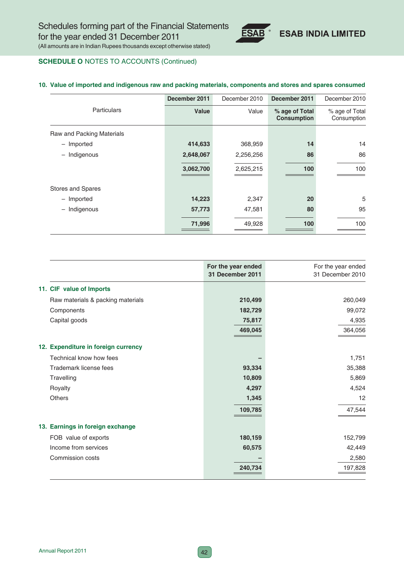

## **10. Value of imported and indigenous raw and packing materials, components and stores and spares consumed**

|                           | December 2011 | December 2010 | December 2011                        | December 2010                 |
|---------------------------|---------------|---------------|--------------------------------------|-------------------------------|
| <b>Particulars</b>        | <b>Value</b>  | Value         | % age of Total<br><b>Consumption</b> | % age of Total<br>Consumption |
| Raw and Packing Materials |               |               |                                      |                               |
| - Imported                | 414,633       | 368,959       | 14                                   | 14                            |
| - Indigenous              | 2,648,067     | 2,256,256     | 86                                   | 86                            |
|                           | 3,062,700     | 2,625,215     | 100                                  | 100                           |
| <b>Stores and Spares</b>  |               |               |                                      |                               |
| - Imported                | 14,223        | 2,347         | 20                                   | 5                             |
| - Indigenous              | 57,773        | 47,581        | 80                                   | 95                            |
|                           | 71,996        | 49,928        | 100                                  | 100                           |

|                                     | For the year ended<br>31 December 2011 | For the year ended<br>31 December 2010 |
|-------------------------------------|----------------------------------------|----------------------------------------|
| 11. CIF value of Imports            |                                        |                                        |
| Raw materials & packing materials   | 210,499                                | 260,049                                |
| Components                          | 182,729                                | 99,072                                 |
| Capital goods                       | 75,817                                 | 4,935                                  |
|                                     | 469,045                                | 364,056                                |
| 12. Expenditure in foreign currency |                                        |                                        |
| Technical know how fees             |                                        | 1,751                                  |
| Trademark license fees              | 93,334                                 | 35,388                                 |
| Travelling                          | 10,809                                 | 5,869                                  |
| Royalty                             | 4,297                                  | 4,524                                  |
| <b>Others</b>                       | 1,345                                  | 12                                     |
|                                     | 109,785                                | 47,544                                 |
| 13. Earnings in foreign exchange    |                                        |                                        |
| FOB value of exports                | 180,159                                | 152,799                                |
| Income from services                | 60,575                                 | 42,449                                 |
| Commission costs                    |                                        | 2,580                                  |
|                                     | 240.734                                | 197,828                                |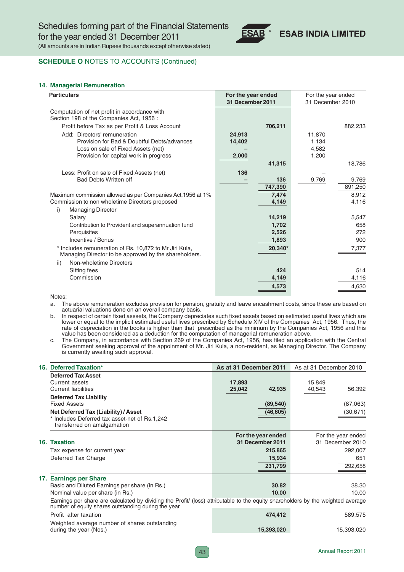

## **14. Managerial Remuneration**

| <b>Particulars</b>                                                                       | For the year ended<br>31 December 2011 |         | For the year ended<br>31 December 2010 |         |
|------------------------------------------------------------------------------------------|----------------------------------------|---------|----------------------------------------|---------|
| Computation of net profit in accordance with<br>Section 198 of the Companies Act, 1956 : |                                        |         |                                        |         |
| Profit before Tax as per Profit & Loss Account                                           |                                        | 706,211 |                                        | 882,233 |
| Add: Directors' remuneration                                                             | 24,913                                 |         | 11,870                                 |         |
| Provision for Bad & Doubtful Debts/advances                                              | 14,402                                 |         | 1,134                                  |         |
| Loss on sale of Fixed Assets (net)                                                       |                                        |         | 4.582                                  |         |
| Provision for capital work in progress                                                   | 2,000                                  |         | 1,200                                  |         |
|                                                                                          |                                        | 41,315  |                                        | 18,786  |
| Less: Profit on sale of Fixed Assets (net)                                               | 136                                    |         |                                        |         |
| <b>Bad Debts Written off</b>                                                             |                                        | 136     | 9,769                                  | 9,769   |
|                                                                                          |                                        | 747,390 |                                        | 891,250 |
| Maximum commission allowed as per Companies Act, 1956 at 1%                              |                                        | 7,474   |                                        | 8,912   |
| Commission to non wholetime Directors proposed                                           |                                        | 4,149   |                                        | 4,116   |
| i)<br><b>Managing Director</b>                                                           |                                        |         |                                        |         |
| Salary                                                                                   |                                        | 14,219  |                                        | 5,547   |
| Contribution to Provident and superannuation fund                                        |                                        | 1,702   |                                        | 658     |
| Perquisites                                                                              |                                        | 2,526   |                                        | 272     |
| Incentive / Bonus                                                                        |                                        | 1,893   |                                        | 900     |
| * Includes remuneration of Rs. 10,872 to Mr Jiri Kula,                                   |                                        | 20,340* |                                        | 7,377   |
| Managing Director to be approved by the shareholders.                                    |                                        |         |                                        |         |
| Non-wholetime Directors<br>ii)                                                           |                                        |         |                                        |         |
| Sitting fees                                                                             |                                        | 424     |                                        | 514     |
| Commission                                                                               |                                        | 4,149   |                                        | 4,116   |
|                                                                                          |                                        | 4,573   |                                        | 4,630   |
|                                                                                          |                                        |         |                                        |         |

Notes:

a. The above remuneration excludes provision for pension, gratuity and leave encashment costs, since these are based on actuarial valuations done on an overall company basis.

b. In respect of certain fixed asssets, the Company depreciates such fixed assets based on estimated useful lives which are lower or equal to the implicit estimated useful lives prescribed by Schedule XIV of the Companies Act, 1956. Thus, the rate of depreciation in the books is higher than that prescribed as the minimum by the Companies Act, 1956 and this value has been considered as a deduction for the computation of managerial remuneration above.

c. The Company, in accordance with Section 269 of the Companies Act, 1956, has filed an application with the Central Government seeking approval of the appoinment of Mr. Jiri Kula, a non-resident, as Managing Director. The Company is currently awaiting such approval.

| 15. Deferred Taxation*                                                                                                                                                                  | As at 31 December 2011     | As at 31 December 2010     |  |
|-----------------------------------------------------------------------------------------------------------------------------------------------------------------------------------------|----------------------------|----------------------------|--|
| <b>Deferred Tax Asset</b><br>Current assets<br><b>Current liabilities</b>                                                                                                               | 17,893<br>42,935<br>25,042 | 15,849<br>56,392<br>40,543 |  |
| <b>Deferred Tax Liability</b><br><b>Fixed Assets</b>                                                                                                                                    | (89, 540)                  | (87,063)                   |  |
| Net Deferred Tax (Liability) / Asset<br>* Includes Deferred tax asset-net of Rs.1,242<br>transferred on amalgamation                                                                    | (46, 605)                  | (30, 671)                  |  |
|                                                                                                                                                                                         | For the year ended         | For the year ended         |  |
| 16. Taxation                                                                                                                                                                            | 31 December 2011           | 31 December 2010           |  |
| Tax expense for current year                                                                                                                                                            | 215,865                    | 292,007                    |  |
| Deferred Tax Charge                                                                                                                                                                     | 15,934                     | 651                        |  |
|                                                                                                                                                                                         | 231,799                    | 292,658                    |  |
| 17. Earnings per Share                                                                                                                                                                  |                            |                            |  |
| Basic and Diluted Earnings per share (in Rs.)                                                                                                                                           | 30.82                      | 38.30                      |  |
| Nominal value per share (in Rs.)                                                                                                                                                        | 10.00                      | 10.00                      |  |
| Earnings per share are calculated by dividing the Profit/ (loss) attributable to the equity shareholders by the weighted average<br>number of equity shares outstanding during the year |                            |                            |  |
| Profit after taxation                                                                                                                                                                   | 474,412                    | 589,575                    |  |
| Weighted average number of shares outstanding<br>during the year (Nos.)                                                                                                                 | 15,393,020                 | 15,393,020                 |  |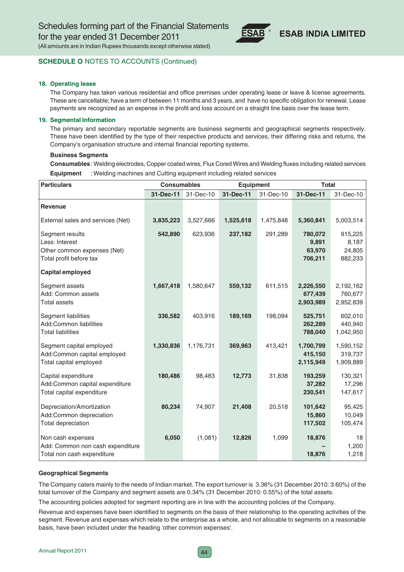

## **18. Operating lease**

The Company has taken various residential and office premises under operating lease or leave & license agreements. These are cancellable; have a term of between 11 months and 3 years, and have no specific obligation for renewal. Lease payments are recognized as an expense in the profit and loss account on a straight line basis over the lease term.

## **19. Segmental Information**

The primary and secondary reportable segments are business segments and geographical segments respectively. These have been identified by the type of their respective products and services, their differing risks and returns, the Company's organisation structure and internal financial reporting systems.

## **Business Segments**

**Consumables**: Welding electrodes, Copper coated wires, Flux Cored Wires and Welding fluxes including related services **Equipment** : Welding machines and Cutting equipment including related services

| <b>Particulars</b>                                                                          | <b>Consumables</b> |           | <b>Equipment</b> |           | <b>Total</b>                          |                                       |  |
|---------------------------------------------------------------------------------------------|--------------------|-----------|------------------|-----------|---------------------------------------|---------------------------------------|--|
|                                                                                             | 31-Dec-11          | 31-Dec-10 | 31-Dec-11        | 31-Dec-10 | 31-Dec-11                             | 31-Dec-10                             |  |
| <b>Revenue</b>                                                                              |                    |           |                  |           |                                       |                                       |  |
| External sales and services (Net)                                                           | 3,835,223          | 3,527,666 | 1,525,618        | 1,475,848 | 5,360,841                             | 5,003,514                             |  |
| Segment results<br>Less: Interest<br>Other common expenses (Net)<br>Total profit before tax | 542,890            | 623,936   | 237,182          | 291,289   | 780,072<br>9,891<br>63,970<br>706,211 | 915,225<br>8,187<br>24,805<br>882,233 |  |
| <b>Capital employed</b>                                                                     |                    |           |                  |           |                                       |                                       |  |
| Segment assets<br>Add: Common assets<br><b>Total assets</b>                                 | 1,667,418          | 1,580,647 | 559,132          | 611,515   | 2,226,550<br>677,439<br>2,903,989     | 2,192,162<br>760,677<br>2,952,839     |  |
| Segment liabilities<br>Add:Common liabilities<br><b>Total liabilities</b>                   | 336,582            | 403,916   | 189,169          | 198,094   | 525,751<br>262,289<br>788,040         | 602,010<br>440,940<br>1,042,950       |  |
| Segment capital employed<br>Add:Common capital employed<br>Total capital employed           | 1,330,836          | 1,176,731 | 369,963          | 413,421   | 1,700,799<br>415,150<br>2,115,949     | 1,590,152<br>319,737<br>1,909,889     |  |
| Capital expenditure<br>Add:Common capital expenditure<br>Total capital expenditure          | 180,486            | 98,483    | 12,773           | 31,838    | 193,259<br>37,282<br>230,541          | 130,321<br>17,296<br>147,617          |  |
| Depreciation/Amortization<br>Add:Common depreciation<br>Total depreciation                  | 80,234             | 74,907    | 21,408           | 20,518    | 101,642<br>15,860<br>117,502          | 95,425<br>10,049<br>105,474           |  |
| Non cash expenses<br>Add: Common non cash expenditure<br>Total non cash expenditure         | 6,050              | (1,081)   | 12,826           | 1,099     | 18,876<br>18,876                      | 18<br>1,200<br>1,218                  |  |

## **Geographical Segments**

The Company caters mainly to the needs of Indian market. The export turnover is 3.36% (31 December 2010: 3.60%) of the total turnover of the Company and segment assets are 0.34% (31 December 2010: 0.55%) of the total assets.

The accounting policies adopted for segment reporting are in line with the accounting policies of the Company.

Revenue and expenses have been identified to segments on the basis of their relationship to the operating activities of the segment. Revenue and expenses which relate to the enterprise as a whole, and not allocable to segments on a reasonable basis, have been included under the heading 'other common expenses'.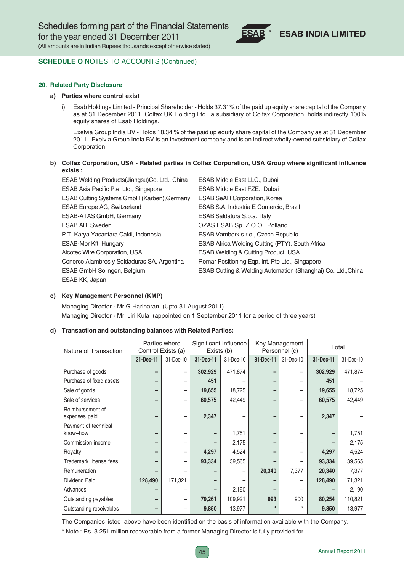

## **20. Related Party Disclosure**

## **a) Parties where control exist**

i) Esab Holdings Limited - Principal Shareholder - Holds 37.31% of the paid up equity share capital of the Company as at 31 December 2011. Colfax UK Holding Ltd., a subsidiary of Colfax Corporation, holds indirectly 100% equity shares of Esab Holdings.

Exelvia Group India BV - Holds 18.34 % of the paid up equity share capital of the Company as at 31 December 2011. Exelvia Group India BV is an investment company and is an indirect wholly-owned subsidiary of Colfax Corporation.

## **b) Colfax Corporation, USA - Related parties in Colfax Corporation, USA Group where significant influence exists :**

| ESAB Welding Products (Jiangsu) Co. Ltd., China | <b>ESAB Middle East LLC., Dubai</b>                          |
|-------------------------------------------------|--------------------------------------------------------------|
| ESAB Asia Pacific Pte. Ltd., Singapore          | ESAB Middle East FZE., Dubai                                 |
| ESAB Cutting Systems GmbH (Karben), Germany     | <b>ESAB SeAH Corporation, Korea</b>                          |
| ESAB Europe AG, Switzerland                     | ESAB S.A. Industria E Comercio, Brazil                       |
| ESAB-ATAS GmbH, Germany                         | ESAB Saldatura S.p.a., Italy                                 |
| ESAB AB, Sweden                                 | OZAS ESAB Sp. Z.O.O., Polland                                |
| P.T. Karya Yasantara Cakti, Indonesia           | ESAB Vamberk s.r.o., Czech Republic                          |
| ESAB-Mor Kft, Hungary                           | ESAB Africa Welding Cutting (PTY), South Africa              |
| Alcotec Wire Corporation, USA                   | <b>ESAB Welding &amp; Cutting Product, USA</b>               |
| Conorco Alambres y Soldaduras SA, Argentina     | Romar Positioning Eqp. Int. Pte Ltd., Singapore              |
| ESAB GmbH Solingen, Belgium                     | ESAB Cutting & Welding Automation (Shanghai) Co. Ltd., China |
| ESAB KK, Japan                                  |                                                              |

## **c) Key Management Personnel (KMP)**

Managing Director - Mr.G.Hariharan (Upto 31 August 2011) Managing Director - Mr. Jiri Kula (appointed on 1 September 2011 for a period of three years)

## **d) Transaction and outstanding balances with Related Parties:**

| Nature of Transaction             |           | Parties where<br>Control Exists (a) | Significant Influence<br>Exists (b) |           | Key Management<br>Personnel (c) |           | Total     |           |
|-----------------------------------|-----------|-------------------------------------|-------------------------------------|-----------|---------------------------------|-----------|-----------|-----------|
|                                   | 31-Dec-11 | 31-Dec-10                           | 31-Dec-11                           | 31-Dec-10 | 31-Dec-11                       | 31-Dec-10 | 31-Dec-11 | 31-Dec-10 |
| Purchase of goods                 |           |                                     | 302,929                             | 471,874   |                                 |           | 302,929   | 471,874   |
| Purchase of fixed assets          |           |                                     | 451                                 |           |                                 |           | 451       |           |
| Sale of goods                     |           |                                     | 19,655                              | 18,725    |                                 |           | 19,655    | 18,725    |
| Sale of services                  |           | $\overline{\phantom{0}}$            | 60,575                              | 42,449    |                                 |           | 60,575    | 42,449    |
| Reimbursement of<br>expenses paid |           |                                     | 2,347                               |           |                                 |           | 2,347     |           |
| Payment of technical<br>know-how  |           |                                     |                                     | 1,751     |                                 |           |           | 1,751     |
| Commission income                 |           |                                     |                                     | 2,175     |                                 |           |           | 2,175     |
| Royalty                           |           |                                     | 4,297                               | 4,524     |                                 |           | 4,297     | 4,524     |
| Trademark license fees            |           |                                     | 93,334                              | 39,565    |                                 |           | 93,334    | 39,565    |
| Remuneration                      |           |                                     |                                     |           | 20,340                          | 7,377     | 20,340    | 7,377     |
| Dividend Paid                     | 128,490   | 171,321                             |                                     |           |                                 |           | 128,490   | 171,321   |
| Advances                          |           |                                     |                                     | 2,190     |                                 |           |           | 2,190     |
| Outstanding payables              |           |                                     | 79,261                              | 109,921   | 993                             | 900       | 80,254    | 110,821   |
| Outstanding receivables           |           |                                     | 9,850                               | 13,977    | $\star$                         |           | 9,850     | 13,977    |

The Companies listed above have been identified on the basis of information available with the Company.

\* Note : Rs. 3.251 million recoverable from a former Managing Director is fully provided for.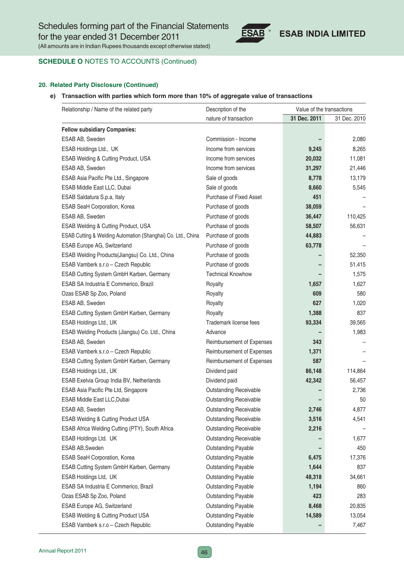

## **20. Related Party Disclosure (Continued)**

## **e) Transaction with parties which form more than 10% of aggregate value of transactions**

| Relationship / Name of the related party                     | Description of the            | Value of the transactions |              |
|--------------------------------------------------------------|-------------------------------|---------------------------|--------------|
|                                                              | nature of transaction         | 31 Dec. 2011              | 31 Dec. 2010 |
| <b>Fellow subsidiary Companies:</b>                          |                               |                           |              |
| ESAB AB, Sweden                                              | Commission - Income           |                           | 2,080        |
| ESAB Holdings Ltd., UK                                       | Income from services          | 9,245                     | 8,265        |
| ESAB Welding & Cutting Product, USA                          | Income from services          | 20,032                    | 11,081       |
| ESAB AB, Sweden                                              | Income from services          | 31,297                    | 21,446       |
| ESAB Asia Pacific Pte Ltd., Singapore                        | Sale of goods                 | 8,778                     | 13,179       |
| ESAB Middle East LLC, Dubai                                  | Sale of goods                 | 8,660                     | 5,545        |
| ESAB Saldatura S.p.a, Italy                                  | Purchase of Fixed Asset       | 451                       |              |
| ESAB SeaH Corporation, Korea                                 | Purchase of goods             | 38,059                    |              |
| ESAB AB, Sweden                                              | Purchase of goods             | 36,447                    | 110,425      |
| ESAB Welding & Cutting Product, USA                          | Purchase of goods             | 58,507                    | 56,631       |
| ESAB Cutting & Welding Automation (Shanghai) Co. Ltd., China | Purchase of goods             | 44,883                    |              |
| ESAB Europe AG, Switzerland                                  | Purchase of goods             | 63,778                    |              |
| ESAB Welding Products(Jiangsu) Co. Ltd., China               | Purchase of goods             |                           | 52,350       |
| ESAB Vamberk s.r.o - Czech Republic                          | Purchase of goods             |                           | 51,415       |
| ESAB Cutting System GmbH Karben, Germany                     | <b>Technical Knowhow</b>      |                           | 1,575        |
| ESAB SA Industria E Commerico, Brazil                        | Royalty                       | 1,657                     | 1,627        |
| Ozas ESAB Sp Zoo, Poland                                     | Royalty                       | 609                       | 580          |
| ESAB AB, Sweden                                              | Royalty                       | 627                       | 1,020        |
| ESAB Cutting System GmbH Karben, Germany                     | Royalty                       | 1,388                     | 837          |
| ESAB Holdings Ltd., UK                                       | Trademark license fees        | 93,334                    | 39,565       |
| ESAB Welding Products (Jiangsu) Co. Ltd., China              | Advance                       |                           | 1,983        |
| ESAB AB, Sweden                                              | Reimbursement of Expenses     | 343                       |              |
| ESAB Vamberk s.r.o - Czech Republic                          | Reimbursement of Expenses     | 1,371                     |              |
| ESAB Cutting System GmbH Karben, Germany                     | Reimbursement of Expenses     | 587                       |              |
| ESAB Holdings Ltd., UK                                       | Dividend paid                 | 86,148                    | 114,864      |
| ESAB Exelvia Group India BV, Netherlands                     | Dividend paid                 | 42,342                    | 56,457       |
| ESAB Asia Pacific Pte Ltd, Singapore                         | <b>Outstanding Receivable</b> |                           | 2,736        |
| ESAB Middle East LLC, Dubai                                  | Outstanding Receivable        |                           | 50           |
| ESAB AB, Sweden                                              | <b>Outstanding Receivable</b> | 2,746                     | 4,877        |
| ESAB Welding & Cutting Product USA                           | <b>Outstanding Receivable</b> | 3,516                     | 4,541        |
| ESAB Africa Welding Cutting (PTY), South Africa              | <b>Outstanding Receivable</b> | 2,216                     |              |
| ESAB Holdings Ltd. UK                                        | <b>Outstanding Receivable</b> |                           | 1,677        |
| ESAB AB, Sweden                                              | <b>Outstanding Payable</b>    |                           | 450          |
| ESAB SeaH Corporation, Korea                                 | <b>Outstanding Payable</b>    | 6,475                     | 17,376       |
| ESAB Cutting System GmbH Karben, Germany                     | <b>Outstanding Payable</b>    | 1,644                     | 837          |
| ESAB Holdings Ltd, UK                                        | <b>Outstanding Payable</b>    | 48,318                    | 34,661       |
| ESAB SA Industria E Commerico, Brazil                        | <b>Outstanding Payable</b>    | 1,194                     | 860          |
| Ozas ESAB Sp Zoo, Poland                                     | <b>Outstanding Payable</b>    | 423                       | 283          |
| ESAB Europe AG, Switzerland                                  | <b>Outstanding Payable</b>    | 8,468                     | 20,835       |
| ESAB Welding & Cutting Product USA                           | <b>Outstanding Payable</b>    | 14,589                    | 13,054       |
| ESAB Vamberk s.r.o - Czech Republic                          | <b>Outstanding Payable</b>    |                           | 7,467        |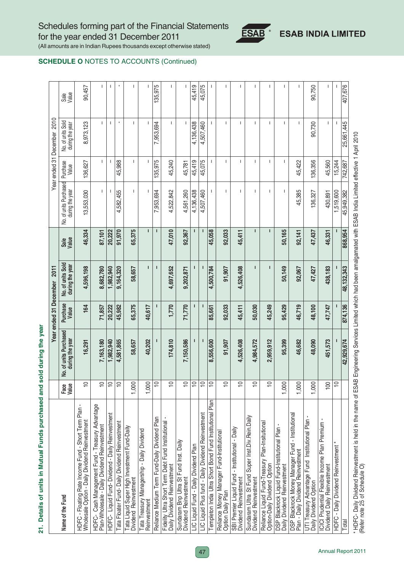|                                                                                                        |                 |                                           |                   | Year ended 31 December 2011          |               |                                           |                          | Year ended 31 December 2010          |                |  |
|--------------------------------------------------------------------------------------------------------|-----------------|-------------------------------------------|-------------------|--------------------------------------|---------------|-------------------------------------------|--------------------------|--------------------------------------|----------------|--|
| Name of the Fund                                                                                       | Face<br>Value   | No. of units Purchased<br>during the year | Purchase<br>Value | No. of units Sold<br>during the year | Sale<br>Value | No. of units Purchased<br>during the year | Purchase<br>Value        | No. of units Sold<br>during the year | Sale<br>Value  |  |
| HDFC - Floating Rate Income Fund - Short Term Plan -<br>Wholesale Option - Daily Dividend Reinvestment | $\approx$       | 16,291                                    | 164               | 4,596,198                            | 46,334        | 13,553,030                                | 136,627                  | 8,973,123                            | 90,457         |  |
| HDFC- Cash Management Fund - Treasury Advantage<br>Plan-Wholesale - Daily Dividend Reinvestment        | $\circ$         | 7,163,180                                 | 71,857            | 8,682,780                            | 87,101        | $\mathbf{I}$                              |                          | $\mathbf{I}$                         | $\mathbf{I}$   |  |
| HDFC-Liquid Fund-Dividend - Daily Reinvestment                                                         | $\cong$         | 1,982,940                                 | 20,222            | 1,982,940                            | 20,222        | $\mathbf{I}$                              | $\mathbf{I}$             | $\mathbf{I}$                         | I              |  |
| Tata Floater Fund- Daily Dividend Reinvestment                                                         | $\Rightarrow$   | 4,581,865                                 | 45,982            | 9,164,320                            | 91,970        | 4,582,455                                 | 45,988                   | $\blacksquare$                       |                |  |
| Tata Liquid Super High Investment Fund-Daily<br>Dividend Reinvestment                                  | 1,000           | 58,657                                    | 65,375            | 58,657                               | 65,375        | -1                                        | $\mathbf{I}$             | $\mathbf{I}$                         | $\mathbf{I}$   |  |
| Tata Treasury Managership - Daily Dividend<br>Reinvestment                                             | 1,000           | 40,202                                    | 40,617            | ı                                    | п             |                                           | ı                        | $\overline{1}$                       | I              |  |
| Reliance Medium Term Fund-Daily Dividend Plan                                                          | $\cong$         |                                           |                   | ı                                    |               | 7,953,694                                 | 135,975                  | 7,953,694                            | 135,975        |  |
| Fidelity Ultra Short Term Debt Fund Institutional<br>Daily Dividend Reinvestment                       | $\cong$         | 174,810                                   | 1,770             | 4,697,652                            | 47,010        | 4,522,842                                 | 45,240                   | $\mathbf{I}$                         | $\mathbf{I}$   |  |
| Sundaram Bnp Ultra St Fund Inst. Daily<br>Dividend Reinvestment                                        | $\circ$         | 7,150,586                                 | 71,770            | 9,202,871                            | 92,367        | 4,561,260                                 | 45,781                   | п                                    |                |  |
| LIC Liquid Fund - Daily Dividend Plan                                                                  | $\circ$         |                                           | ı                 |                                      | ı             | 4,136,438                                 | 45,419                   | 4,136,438                            | 45,419         |  |
| LIC Liquid Plus fund - Daily Dividend Reinvestment                                                     | $\cong$         |                                           | п                 | ı                                    |               | 4,507,460                                 | 45,075                   | 4,507,460                            | 45,075         |  |
| Templeton India Ultra Short Bond Fund Institutional Plan                                               | $\circ$         | 8,556,600                                 | 85,661            | 4,500,784                            | 45,058        | $\mathsf{I}$                              |                          |                                      |                |  |
| Reliance Money Manager Fund-Institutional<br>Option Daily Plan                                         | $\cong$         | 91,907                                    | 92,033            | 91,907                               | 92,033        | $\overline{1}$                            | <sup>1</sup>             | $\mathbf{I}$                         | $\mathbf{I}$   |  |
| SBI Premier Liquid Fund - Institutional - Daily<br>Dividend Reinvestment                               | $\cong$         | 4,526,408                                 | 45,411            | 4,526,408                            | 45,411        | $\mathbf{I}$                              | L                        | $\mathsf I$                          | $\mathbf{I}$   |  |
| Sundaram Ultra St Fund Super Inst. Div. Rein. Daily<br>Dividend Reinvestment                           | $\circ$         | 4,984,572                                 | 50,030            | ī                                    | г             | п                                         | п                        | $\mathbf{I}$                         | $\mathbf{I}$   |  |
| Reliance Liquid Fund-Treasury Plan-Insitutional<br>Option-Daily Dividend Option                        |                 | 2,959,912                                 | 45,249            | ı                                    | I             | $\overline{1}$                            | $\overline{\phantom{a}}$ | $\mathbf{I}$                         | $\overline{1}$ |  |
| DSP Blackrock Liquid Fund-Institutional Plan -<br>Daily Dividend Reinvestment                          | 1,000           | 95,399                                    | 95,429            | 50,149                               | 50,165        | I                                         | $\mathbf{I}$             | $\mathbf{I}$                         | $\mathbf{I}$   |  |
| DSP Blackrock Money Manager Fund - Institutional<br>Plan - Daily Dividend Reinvestment                 | 1,000           | 46,682                                    | 46,719            | 92,067                               | 92,141        | 45,385                                    | 45,422                   | $\mathbf{I}$                         | T              |  |
| UTI Treasury Advantage Fund Institutional Plan<br>Daily Dividend Option                                | 1,000           | 48,090                                    | 48,100            | 47,427                               | 47,437        | 136,327                                   | 136,356                  | 90,730                               | 90,750         |  |
| ICICI Prudential Flexible Income Plan Premium<br>Dividend Daily Reinvestment                           | $\overline{00}$ | 451,573                                   | 47,747            | 438,183                              | 46,331        | 430,891                                   | 45,560                   | L                                    | L              |  |
| HDFC - Daily Dividend Reinvestment *                                                                   |                 |                                           |                   |                                      |               | 1,519,600                                 | 15,244                   | I                                    | T              |  |
| Total                                                                                                  |                 | 42,929,674                                | 874,136           | 48, 132, 343                         | 868,954       | 45,949,382                                | 742,687                  | 25,661,445                           | 407,676        |  |

# 21. Details of units in Mutual Funds purchased and sold during the year **21. Details of units in Mutual Funds purchased and sold during the year**

**SCHEDULE O** NOTES TO ACCOUNTS (Continued)

## Schedules forming part of the Financial Statements for the year ended 31 December 2011 (All amounts are in Indian Rupees thousands except otherwise stated)



## **ESAB INDIA LIMITED**

\* HDFC- Daily Dividend Reinvestment is held in the name of ESAB Engineering Services Limited which had been amalgamated with ESAB India Limited effective 1 April 2010<br>(Refer note 25 of Schedule O) \* HDFC- Daily Dividend Reinvestment is held in the name of ESAB Engineering Services Limited which had been amalgamated with ESAB India Limited effective 1 April 2010 (Refer note 25 of Schedule O)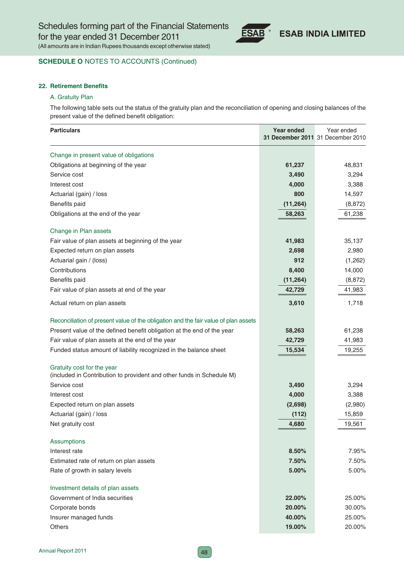

## **22. Retirement Benefits**

## A. Gratuity Plan

The following table sets out the status of the gratuity plan and the reconciliation of opening and closing balances of the present value of the defined benefit obligation:

| <b>Particulars</b>                                                                                  | <b>Year ended</b> | Year ended<br>31 December 2011 31 December 2010 |
|-----------------------------------------------------------------------------------------------------|-------------------|-------------------------------------------------|
| Change in present value of obligations                                                              |                   |                                                 |
| Obligations at beginning of the year                                                                | 61,237            | 48,831                                          |
| Service cost                                                                                        | 3,490             | 3,294                                           |
| Interest cost                                                                                       | 4,000             | 3,388                                           |
| Actuarial (gain) / loss                                                                             | 800               | 14,597                                          |
| Benefits paid                                                                                       | (11, 264)         | (8, 872)                                        |
| Obligations at the end of the year                                                                  | 58,263            | 61,238                                          |
| Change in Plan assets                                                                               |                   |                                                 |
| Fair value of plan assets at beginning of the year                                                  | 41,983            | 35,137                                          |
| Expected return on plan assets                                                                      | 2,698             | 2,980                                           |
| Actuarial gain / (loss)                                                                             | 912               | (1,262)                                         |
| Contributions                                                                                       | 8,400             | 14,000                                          |
| Benefits paid                                                                                       | (11, 264)         | (8, 872)                                        |
| Fair value of plan assets at end of the year                                                        | 42,729            | 41,983                                          |
| Actual return on plan assets                                                                        | 3,610             | 1,718                                           |
| Reconciliation of present value of the obligation and the fair value of plan assets                 |                   |                                                 |
| Present value of the defined benefit obligation at the end of the year                              | 58,263            | 61,238                                          |
| Fair value of plan assets at the end of the year                                                    | 42,729            | 41,983                                          |
| Funded status amount of liability recognized in the balance sheet                                   | 15,534            | 19,255                                          |
| Gratuity cost for the year<br>(included in Contribution to provident and other funds in Schedule M) |                   |                                                 |
| Service cost                                                                                        | 3,490             | 3,294                                           |
| Interest cost                                                                                       | 4,000             | 3,388                                           |
| Expected return on plan assets                                                                      | (2,698)           | (2,980)                                         |
| Actuarial (gain) / loss                                                                             | (112)             | 15,859                                          |
| Net gratuity cost                                                                                   | 4,680             | 19,561                                          |
| <b>Assumptions</b>                                                                                  |                   |                                                 |
| Interest rate                                                                                       | 8.50%             | 7.95%                                           |
| Estimated rate of return on plan assets                                                             | 7.50%             | 7.50%                                           |
| Rate of growth in salary levels                                                                     | 5.00%             | 5.00%                                           |
| Investment details of plan assets                                                                   |                   |                                                 |
| Government of India securities                                                                      | 22.00%            | 25.00%                                          |
| Corporate bonds                                                                                     | 20.00%            | 30.00%                                          |
| Insurer managed funds                                                                               | 40.00%            | 25.00%                                          |
| Others                                                                                              | 19.00%            | 20.00%                                          |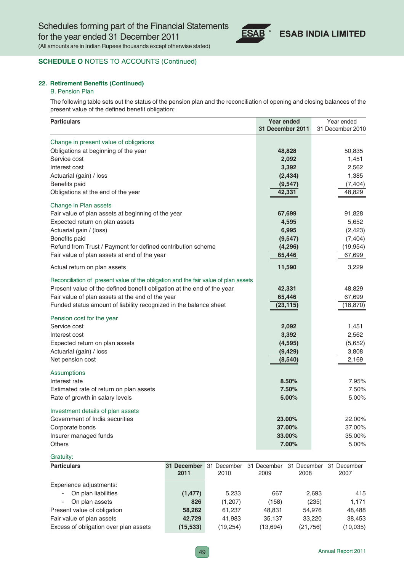

## **22. Retirement Benefits (Continued)**

## B. Pension Plan

The following table sets out the status of the pension plan and the reconciliation of opening and closing balances of the present value of the defined benefit obligation:

| <b>Particulars</b>                                                                                                                                                                                                                                                                     |      |      | <b>Year ended</b><br>31 December 2011                                       | Year ended<br>31 December 2010                                 |
|----------------------------------------------------------------------------------------------------------------------------------------------------------------------------------------------------------------------------------------------------------------------------------------|------|------|-----------------------------------------------------------------------------|----------------------------------------------------------------|
| Change in present value of obligations<br>Obligations at beginning of the year<br>Service cost<br>Interest cost<br>Actuarial (gain) / loss<br>Benefits paid<br>Obligations at the end of the year                                                                                      |      |      | 48,828<br>2,092<br>3,392<br>(2, 434)<br>(9, 547)<br>42,331                  | 50,835<br>1,451<br>2,562<br>1,385<br>(7, 404)<br>48,829        |
| Change in Plan assets<br>Fair value of plan assets at beginning of the year<br>Expected return on plan assets<br>Actuarial gain / (loss)<br>Benefits paid<br>Refund from Trust / Payment for defined contribution scheme<br>Fair value of plan assets at end of the year               |      |      | 67,699<br>4,595<br>6,995<br>(9, 547)<br>(4, 296)<br>65,446                  | 91,828<br>5,652<br>(2, 423)<br>(7, 404)<br>(19, 954)<br>67,699 |
| Actual return on plan assets                                                                                                                                                                                                                                                           |      |      | 11,590                                                                      | 3,229                                                          |
| Reconciliation of present value of the obligation and the fair value of plan assets<br>Present value of the defined benefit obligation at the end of the year<br>Fair value of plan assets at the end of the year<br>Funded status amount of liability recognized in the balance sheet |      |      | 42,331<br>65,446<br>(23, 115)                                               | 48,829<br>67,699<br>(18, 870)                                  |
| Pension cost for the year<br>Service cost<br>Interest cost<br>Expected return on plan assets<br>Actuarial (gain) / loss<br>Net pension cost                                                                                                                                            |      |      | 2,092<br>3,392<br>(4,595)<br>(9, 429)<br>(8,540)                            | 1,451<br>2,562<br>(5,652)<br>3,808<br>2,169                    |
| Assumptions<br>Interest rate<br>Estimated rate of return on plan assets<br>Rate of growth in salary levels                                                                                                                                                                             |      |      | 8.50%<br>7.50%<br>5.00%                                                     | 7.95%<br>7.50%<br>5.00%                                        |
| Investment details of plan assets<br>Government of India securities<br>Corporate bonds<br>Insurer managed funds<br>Others                                                                                                                                                              |      |      | 23.00%<br>37.00%<br>33.00%<br>7.00%                                         | 22.00%<br>37.00%<br>35.00%<br>5.00%                            |
| Gratuity:                                                                                                                                                                                                                                                                              |      |      |                                                                             |                                                                |
| <b>Particulars</b>                                                                                                                                                                                                                                                                     | 2011 | 2010 | 31 December 31 December 31 December 31 December 31 December<br>2009<br>2008 | 2007                                                           |

|                                       | 2011      | 2010     | 2009     | 2008      | 2007      |
|---------------------------------------|-----------|----------|----------|-----------|-----------|
| Experience adjustments:               |           |          |          |           |           |
| - On plan liabilities                 | (1, 477)  | 5.233    | 667      | 2.693     | 415       |
| - On plan assets                      | 826       | (1,207)  | (158)    | (235)     | 1.171     |
| Present value of obligation           | 58,262    | 61.237   | 48.831   | 54.976    | 48.488    |
| Fair value of plan assets             | 42.729    | 41.983   | 35.137   | 33,220    | 38,453    |
| Excess of obligation over plan assets | (15, 533) | (19,254) | (13,694) | (21, 756) | (10, 035) |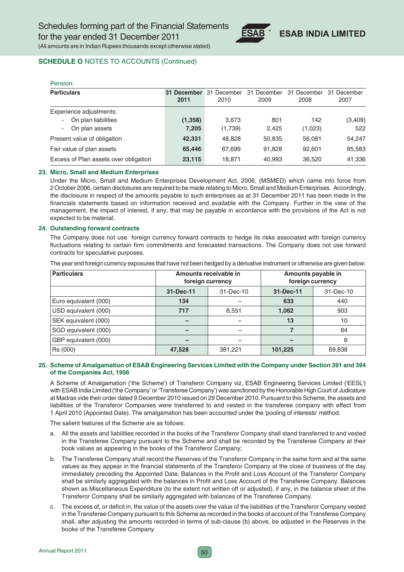

## **SCHEDULE O** NOTES TO ACCOUNTS (Continued)

| Pension:                              |                     |                     |                        |                     |                     |
|---------------------------------------|---------------------|---------------------|------------------------|---------------------|---------------------|
| <b>Particulars</b>                    | 31 December<br>2011 | 31 December<br>2010 | 31<br>December<br>2009 | 31 December<br>2008 | 31 December<br>2007 |
| Experience adjustments:               |                     |                     |                        |                     |                     |
| On plan liabilities<br>۰              | (1, 358)            | 3.673               | 801                    | 142                 | (3,409)             |
| On plan assets<br>۰                   | 7,205               | (1,739)             | 2,425                  | (1,023)             | 522                 |
| Present value of obligation           | 42,331              | 48.828              | 50.835                 | 56.081              | 54.247              |
| Fair value of plan assets             | 65,446              | 67.699              | 91.828                 | 92.601              | 95,583              |
| Excess of Plan assets over obligation | 23,115              | 18.871              | 40.993                 | 36,520              | 41,336              |

## **23. Micro, Small and Medium Enterprises**

Under the Micro, Small and Medium Enterprises Development Act, 2006, (MSMED) which came into force from 2 October 2006, certain disclosures are required to be made relating to Micro, Small and Medium Enterprises. Accordingly, the disclosure in respect of the amounts payable to such enterprises as at 31 December 2011 has been made in the financials statements based on information received and available with the Company. Further in the view of the management, the impact of interest, if any, that may be payable in accordance with the provisions of the Act is not expected to be material.

## **24. Outstanding forward contracts**

The Company does not use foreign currency forward contracts to hedge its risks associated with foreign currency fluctuations relating to certain firm commitments and forecasted transactions. The Company does not use forward contracts for speculative purposes.

The year end foreign currency exposures that have not been hedged by a derivative instrument or otherwise are given below:

| <b>Particulars</b>    |           | Amounts receivable in<br>foreign currency | foreign currency | Amounts payable in |
|-----------------------|-----------|-------------------------------------------|------------------|--------------------|
|                       | 31-Dec-11 | 31-Dec-10                                 | 31-Dec-11        | 31-Dec-10          |
| Euro equivalent (000) | 134       |                                           | 633              | 440                |
| USD equivalent (000)  | 717       | 8,551                                     | 1,062            | 903                |
| SEK equivalent (000)  |           |                                           | 13               | 10                 |
| SGD equivalent (000)  |           |                                           |                  | 64                 |
| GBP equivalent (000)  |           |                                           |                  | 6                  |
| Rs (000)              | 47,528    | 381,221                                   | 101,225          | 69,838             |

## **25. Scheme of Amalgamation of ESAB Engineering Services Limited with the Company under Section 391 and 394 of the Companies Act, 1956**

A Scheme of Amalgamation ('the Scheme') of Transferor Company viz, ESAB Engineering Services Limited ('EESL') with ESAB India Limited ('the Company' or 'Transferee Company') was sanctioned by the Honorable High Court of Judicature at Madras vide their order dated 9 December 2010 issued on 29 December 2010. Pursuant to this Scheme, the assets and liabilities of the Transferor Companies were transferred to and vested in the transferee company with effect from 1 April 2010 (Appointed Date). The amalgamation has been accounted under the 'pooling of interests' method.

The salient features of the Scheme are as follows:

- a. All the assets and liabilities recorded in the books of the Transferor Company shall stand transferred to and vested in the Transferee Company pursuant to the Scheme and shall be recorded by the Transferee Company at their book values as appearing in the books of the Transferor Company;
- b. The Transferee Company shall record the Reserves of the Transferor Company in the same form and at the same values as they appear in the financial statements of the Transferor Company at the close of business of the day immediately preceding the Appointed Date. Balances in the Profit and Loss Account of the Transferor Company shall be similarly aggregated with the balances in Profit and Loss Account of the Transferee Company. Balances shown as Miscellaneous Expenditure (to the extent not written off or adjusted), if any, in the balance sheet of the Transferor Company shall be similarly aggregated with balances of the Transferee Company.
- c. The excess of, or deficit in, the value of the assets over the value of the liabilities of the Transferor Company vested in the Transferee Company pursuant to this Scheme as recorded in the books of account of the Transferee Company shall, after adjusting the amounts recorded in terms of sub-clause (b) above, be adjusted in the Reserves in the books of the Transferee Company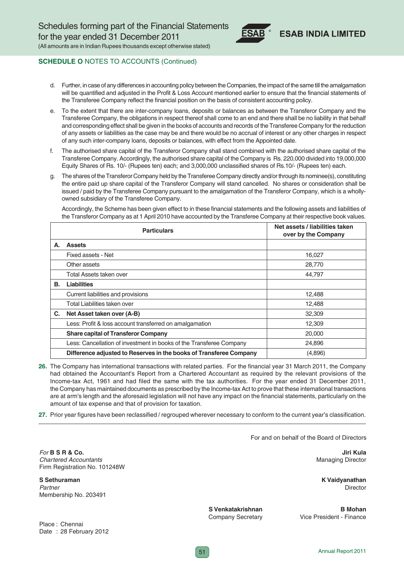

- d. Further, in case of any differences in accounting policy between the Companies, the impact of the same till the amalgamation will be quantified and adjusted in the Profit & Loss Account mentioned earlier to ensure that the financial statements of the Transferee Company reflect the financial position on the basis of consistent accounting policy.
- e. To the extent that there are inter-company loans, deposits or balances as between the Transferor Company and the Transferee Company, the obligations in respect thereof shall come to an end and there shall be no liability in that behalf and corresponding effect shall be given in the books of accounts and records of the Transferee Company for the reduction of any assets or liabilities as the case may be and there would be no accrual of interest or any other charges in respect of any such inter-company loans, deposits or balances, with effect from the Appointed date.
- f. The authorised share capital of the Transferor Company shall stand combined with the authorised share capital of the Transferee Company. Accordingly, the authorised share capital of the Company is Rs. 220,000 divided into 19,000,000 Equity Shares of Rs. 10/- (Rupees ten) each; and 3,000,000 unclassified shares of Rs.10/- (Rupees ten) each.
- g. The shares of the Transferor Company held by the Transferee Company directly and/or through its nominee(s), constituting the entire paid up share capital of the Transferor Company will stand cancelled. No shares or consideration shall be issued / paid by the Transferee Company pursuant to the amalgamation of the Transferor Company, which is a whollyowned subsidiary of the Transferee Company.

Accordingly, the Scheme has been given effect to in these financial statements and the following assets and liabilities of the Transferor Company as at 1 April 2010 have accounted by the Transferee Company at their respective book values.

|    | <b>Particulars</b>                                                  | Net assets / liabilities taken<br>over by the Company |
|----|---------------------------------------------------------------------|-------------------------------------------------------|
| А. | <b>Assets</b>                                                       |                                                       |
|    | Fixed assets - Net                                                  | 16,027                                                |
|    | Other assets                                                        | 28,770                                                |
|    | Total Assets taken over                                             | 44,797                                                |
| В. | <b>Liabilities</b>                                                  |                                                       |
|    | Current liabilities and provisions                                  | 12,488                                                |
|    | Total Liabilities taken over                                        | 12,488                                                |
| C. | Net Asset taken over (A-B)                                          | 32,309                                                |
|    | Less: Profit & loss account transferred on amalgamation             | 12,309                                                |
|    | <b>Share capital of Transferor Company</b>                          | 20,000                                                |
|    | Less: Cancellation of investment in books of the Transferee Company | 24,896                                                |
|    | Difference adjusted to Reserves in the books of Transferee Company  | (4,896)                                               |

- **26.** The Company has international transactions with related parties. For the financial year 31 March 2011, the Company had obtained the Accountant's Report from a Chartered Accountant as required by the relevant provisions of the Income-tax Act, 1961 and had filed the same with the tax authorities. For the year ended 31 December 2011, the Company has maintained documents as prescribed by the Income-tax Act to prove that these international transactions are at arm's length and the aforesaid legislation will not have any impact on the financial statements, particularly on the amount of tax expense and that of provision for taxation.
- **27.** Prior year figures have been reclassified / regrouped wherever necessary to conform to the current year's classification.

For and on behalf of the Board of Directors

**S Venkatakrishnan B Mohan** Company Secretary Vice President - Finance

For **B S R & Co. Jiri Kula** Chartered Accountants **Managing Director** Managing Director Firm Registration No. 101248W

**S Sethuraman K Vaidyanathan** Partner **Director** Director **Director Director Director Director Director Director** Membership No. 203491

Place : Chennai Date : 28 February 2012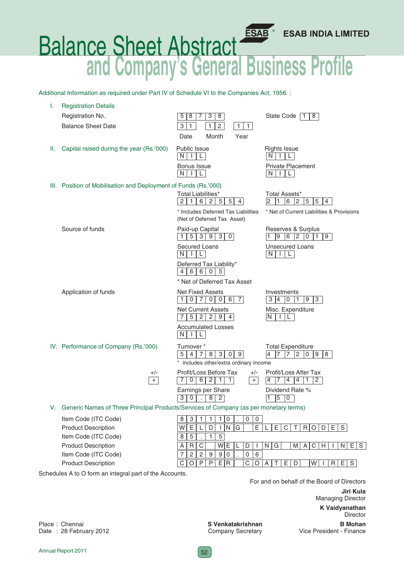## **ESAB INDIA LIMITED** Balance Sheet Abstract **and Company's General Business Profile**

Additional Information as required under Part IV of Schedule VI to the Companies Act, 1956. :

| Τ. | <b>Registration Details</b>                                                           |                                                                                                                                                     |                                                                                       |
|----|---------------------------------------------------------------------------------------|-----------------------------------------------------------------------------------------------------------------------------------------------------|---------------------------------------------------------------------------------------|
|    | Registration No.                                                                      | 8<br>3<br>5<br>7<br>8                                                                                                                               | State Code   1  <br>8                                                                 |
|    | <b>Balance Sheet Date</b>                                                             | $\overline{2}$<br>3<br>$\mathbf{1}$<br>1<br>1<br>$\mathbf{1}$                                                                                       |                                                                                       |
|    |                                                                                       | Date<br>Month<br>Year                                                                                                                               |                                                                                       |
| Ш. | Capital raised during the year (Rs.'000)                                              | Public Issue<br>N<br>$\mathbf{I}$<br>L                                                                                                              | <b>Rights Issue</b><br>N                                                              |
|    |                                                                                       | Bonus Issue<br>L<br>N<br>$\mathbf{I}$                                                                                                               | <b>Private Placement</b><br>N<br>$\mathbf{I}$<br>L                                    |
|    | III. Position of Mobilisation and Deployment of Funds (Rs.'000)                       |                                                                                                                                                     |                                                                                       |
|    |                                                                                       | Total Liabilities*<br>$5\phantom{.0}$<br>2<br>6<br>$\overline{2}$<br>5<br>4<br>1                                                                    | Total Assets*<br>$\overline{1}$<br>6<br>2<br>5<br>5<br>4                              |
|    |                                                                                       | * Includes Deferred Tax Liabilities<br>(Net of Deferred Tax Asset)                                                                                  | * Net of Current Liabilities & Provisions                                             |
|    | Source of funds                                                                       | Paid-up Capital<br>5 <br> 3 <br>$\overline{0}$<br>93<br>1.                                                                                          | Reserves & Surplus<br>9<br>9 <br>6<br>$ 2\rangle$<br>$ 0\rangle$<br>1                 |
|    |                                                                                       | <b>Secured Loans</b><br>N.<br>$\mathbf{I}$<br>L                                                                                                     | <b>Unsecured Loans</b><br>N  <br>J.                                                   |
|    |                                                                                       | Deferred Tax Liability*                                                                                                                             | L                                                                                     |
|    |                                                                                       | $6 \mid$<br>6<br>$\circ$<br>$5\phantom{.0}$<br>4                                                                                                    |                                                                                       |
|    |                                                                                       | * Net of Deferred Tax Asset                                                                                                                         |                                                                                       |
|    | Application of funds                                                                  | <b>Net Fixed Assets</b><br>0 0 6 7 <br>$\overline{7}$<br>0                                                                                          | Investments<br>9<br>3<br>34<br>$ 0\rangle$<br> 1                                      |
|    |                                                                                       | <b>Net Current Assets</b><br>$5^{\circ}$<br>$\overline{2}$<br>$2 \mid$<br>9 <sub>o</sub><br>4                                                       | Misc. Expenditure<br>N.<br>H.                                                         |
|    |                                                                                       | <b>Accumulated Losses</b><br>$\mathbf{I}$<br>L<br>N.                                                                                                |                                                                                       |
|    | IV. Performance of Company (Rs.'000)                                                  | Turnover *<br>8<br>3<br>5<br>0<br>9<br>4<br>7<br>includes other/extra ordinary Income                                                               | <b>Total Expenditure</b><br>7<br>$\overline{2}$<br>$\overline{4}$<br>7<br>0<br>9<br>8 |
|    | $+/-$<br>$^{+}$                                                                       | Profit/Loss Before Tax<br>$+/-$<br>0<br>6<br>2<br>1<br>$\overline{1}$<br>$+$                                                                        | Profit/Loss After Tax<br>4<br>$\overline{2}$<br> 4<br>7<br>4<br>1                     |
|    |                                                                                       | Earnings per Share<br>3<br>0<br>8<br>$\overline{2}$                                                                                                 | Dividend Rate %<br>5<br>10<br>П.                                                      |
|    | Generic Names of Three Principal Products/Services of Company (as per monetary terms) |                                                                                                                                                     |                                                                                       |
|    | Item Code (ITC Code)                                                                  | $\ensuremath{\mathsf{3}}$<br>1<br>0<br>8<br>1<br>1<br>0<br>0                                                                                        |                                                                                       |
|    | <b>Product Description</b>                                                            | $\mathsf E$<br>N<br>G<br>E<br>D<br>W<br>L<br>$\mathbf{I}$                                                                                           | E.<br>$\mathsf C$<br>R O <br>E S<br>Τ<br>D<br>L                                       |
|    | Item Code (ITC Code)                                                                  | 5<br>5<br>1<br>8                                                                                                                                    |                                                                                       |
|    | <b>Product Description</b><br>Item Code (ITC Code)                                    | C<br>$\overline{W}$ E<br>$\mathsf R$<br>Α<br>D<br>$\overline{2}$<br>$\overline{c}$<br>$\mathsf 0$<br>9<br>9 <sup>°</sup><br>$\pmb{0}$<br>$\,6$<br>7 | G<br>C<br>E S<br>N<br>M  <br>$\mathsf{A}$<br>H<br>N                                   |
|    | <b>Product Description</b>                                                            | E R<br>$\mathbf C$<br>C<br>$\mathsf O$<br>P<br>P<br>$\circ$                                                                                         | W<br>E.<br>$R \mid$<br>E<br>S<br>Α<br>т<br>D                                          |
|    | Schedules A to O form an integral part of the Accounts.                               |                                                                                                                                                     |                                                                                       |
|    |                                                                                       |                                                                                                                                                     | For and on behalf of the Board of Directors<br>Jiri Kula                              |
|    |                                                                                       |                                                                                                                                                     | <b>Managing Director</b>                                                              |
|    |                                                                                       |                                                                                                                                                     | K Vaidyanathan<br><b>Director</b>                                                     |
|    | Place: Chennai<br>Date: 28 February 2012                                              | S Venkatakrishnan<br><b>Company Secretary</b>                                                                                                       | <b>B</b> Mohan<br>Vice President - Finance                                            |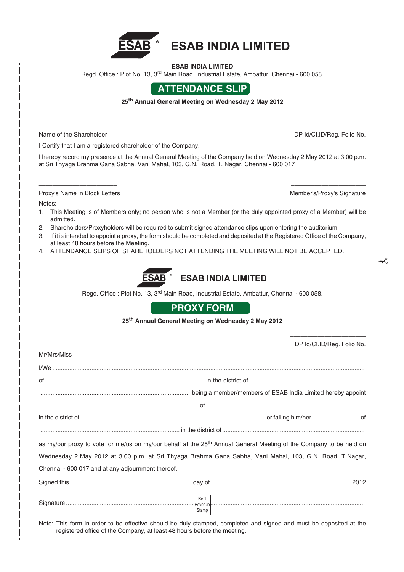

## **ESAB INDIA LIMITED**

**ESAB INDIA LIMITED**

Regd. Office : Plot No. 13, 3<sup>rd</sup> Main Road, Industrial Estate, Ambattur, Chennai - 600 058.

## **ATTENDANCE SLIP**

**25th Annual General Meeting on Wednesday 2 May 2012**

\_\_\_\_\_\_\_\_\_\_\_\_\_\_\_\_\_\_\_\_\_\_\_ \_\_\_\_\_\_\_\_\_\_\_\_\_\_\_\_\_\_\_\_\_\_

Name of the Shareholder **Name of the Shareholder** DP Id/CI.ID/Reg. Folio No.

I Certify that I am a registered shareholder of the Company.

I hereby record my presence at the Annual General Meeting of the Company held on Wednesday 2 May 2012 at 3.00 p.m. at Sri Thyaga Brahma Gana Sabha, Vani Mahal, 103, G.N. Road, T. Nagar, Chennai - 600 017

 $\overline{\phantom{a}}$  , and the contract of the contract of the contract of the contract of the contract of the contract of the contract of the contract of the contract of the contract of the contract of the contract of the contrac

Proxy's Name in Block Letters **Member's/Proxy's Signature** Member's/Proxy's Signature

Notes:

Mr/Mrc/Micc

- 1. This Meeting is of Members only; no person who is not a Member (or the duly appointed proxy of a Member) will be admitted.
- 2. Shareholders/Proxyholders will be required to submit signed attendance slips upon entering the auditorium.
- 3. If it is intended to appoint a proxy, the form should be completed and deposited at the Registered Office of the Company, at least 48 hours before the Meeting.
- 4. ATTENDANCE SLIPS OF SHAREHOLDERS NOT ATTENDING THE MEETING WILL NOT BE ACCEPTED.

## **ESAB INDIA LIMITED**

Regd. Office : Plot No. 13, 3<sup>rd</sup> Main Road, Industrial Estate, Ambattur, Chennai - 600 058.

## **PROXY FORM**

**25th Annual General Meeting on Wednesday 2 May 2012**

\_\_\_\_\_\_\_\_\_\_\_\_\_\_\_\_\_\_\_\_\_\_ DP Id/CI.ID/Reg. Folio No.  $\prec$ 

| <u> טטוועו יש ווערונדו</u>                                                                                                                                                                                                                                                                                                                                                          |
|-------------------------------------------------------------------------------------------------------------------------------------------------------------------------------------------------------------------------------------------------------------------------------------------------------------------------------------------------------------------------------------|
| $\textit{I\textbf{We}}\textit{}{\textbf{}{\textbf{}{\textbf{}{\textbf{}{\textbf{}{\textbf{}{\textbf{}{\textbf{}{\textbf{}{\textbf{}{\textbf{}{\textbf{}{\textbf{}{\textbf{}{\textbf{}{\textbf{}{\textbf{}{\textbf{}{\textbf{}{\textbf{}{\textbf{}{\textbf{}{\textbf{}{\textbf{}{\textbf{}{\textbf{}{\textbf{}{\textbf{}{\textbf{}{\textbf{}{\textbf{}{\textbf{}{\textbf{}{\textbf{$ |
|                                                                                                                                                                                                                                                                                                                                                                                     |
| being a member/members of ESAB India Limited hereby appoint                                                                                                                                                                                                                                                                                                                         |
|                                                                                                                                                                                                                                                                                                                                                                                     |
|                                                                                                                                                                                                                                                                                                                                                                                     |
|                                                                                                                                                                                                                                                                                                                                                                                     |
| as my/our proxy to vote for me/us on my/our behalf at the 25 <sup>th</sup> Annual General Meeting of the Company to be held on                                                                                                                                                                                                                                                      |
| Wednesday 2 May 2012 at 3.00 p.m. at Sri Thyaga Brahma Gana Sabha, Vani Mahal, 103, G.N. Road, T.Nagar,                                                                                                                                                                                                                                                                             |
| Chennai - 600 017 and at any adjournment thereof.                                                                                                                                                                                                                                                                                                                                   |
|                                                                                                                                                                                                                                                                                                                                                                                     |
| Re.1<br>Stamp                                                                                                                                                                                                                                                                                                                                                                       |

Note: This form in order to be effective should be duly stamped, completed and signed and must be deposited at the registered office of the Company, at least 48 hours before the meeting.